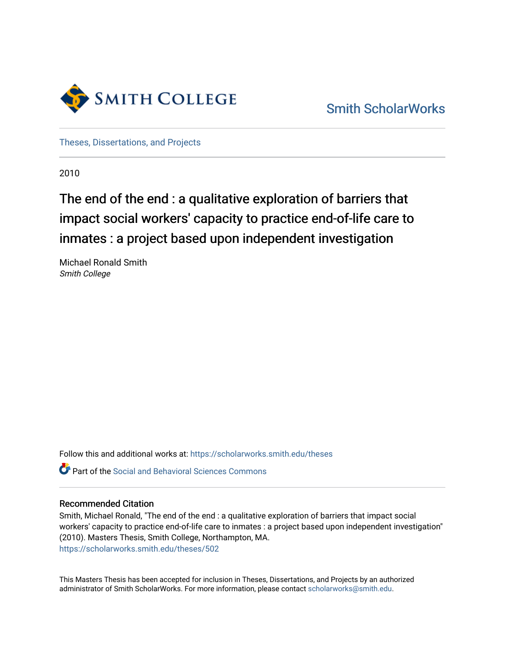

[Smith ScholarWorks](https://scholarworks.smith.edu/) 

[Theses, Dissertations, and Projects](https://scholarworks.smith.edu/theses) 

2010

# The end of the end : a qualitative exploration of barriers that impact social workers' capacity to practice end-of-life care to inmates : a project based upon independent investigation

Michael Ronald Smith Smith College

Follow this and additional works at: [https://scholarworks.smith.edu/theses](https://scholarworks.smith.edu/theses?utm_source=scholarworks.smith.edu%2Ftheses%2F502&utm_medium=PDF&utm_campaign=PDFCoverPages) 

Part of the [Social and Behavioral Sciences Commons](http://network.bepress.com/hgg/discipline/316?utm_source=scholarworks.smith.edu%2Ftheses%2F502&utm_medium=PDF&utm_campaign=PDFCoverPages) 

## Recommended Citation

Smith, Michael Ronald, "The end of the end : a qualitative exploration of barriers that impact social workers' capacity to practice end-of-life care to inmates : a project based upon independent investigation" (2010). Masters Thesis, Smith College, Northampton, MA. [https://scholarworks.smith.edu/theses/502](https://scholarworks.smith.edu/theses/502?utm_source=scholarworks.smith.edu%2Ftheses%2F502&utm_medium=PDF&utm_campaign=PDFCoverPages) 

This Masters Thesis has been accepted for inclusion in Theses, Dissertations, and Projects by an authorized administrator of Smith ScholarWorks. For more information, please contact [scholarworks@smith.edu](mailto:scholarworks@smith.edu).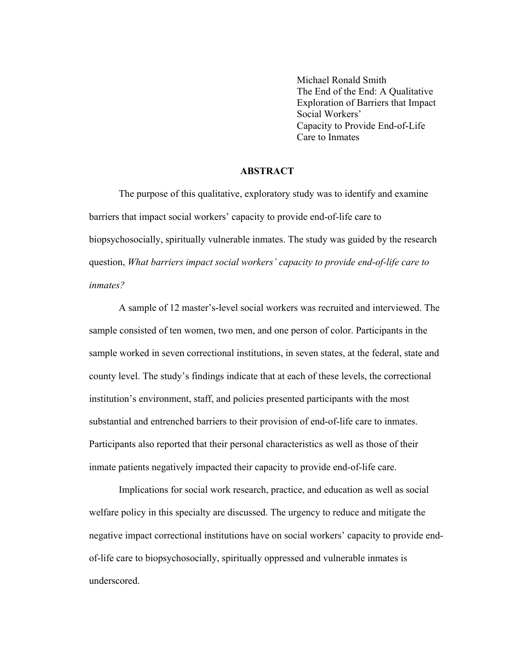Michael Ronald Smith The End of the End: A Qualitative Exploration of Barriers that Impact Social Workers' Capacity to Provide End-of-Life Care to Inmates

## **ABSTRACT**

The purpose of this qualitative, exploratory study was to identify and examine barriers that impact social workers' capacity to provide end-of-life care to biopsychosocially, spiritually vulnerable inmates. The study was guided by the research question, *What barriers impact social workers' capacity to provide end-of-life care to inmates?*

A sample of 12 master's-level social workers was recruited and interviewed. The sample consisted of ten women, two men, and one person of color. Participants in the sample worked in seven correctional institutions, in seven states, at the federal, state and county level. The study's findings indicate that at each of these levels, the correctional institution's environment, staff, and policies presented participants with the most substantial and entrenched barriers to their provision of end-of-life care to inmates. Participants also reported that their personal characteristics as well as those of their inmate patients negatively impacted their capacity to provide end-of-life care.

Implications for social work research, practice, and education as well as social welfare policy in this specialty are discussed. The urgency to reduce and mitigate the negative impact correctional institutions have on social workers' capacity to provide endof-life care to biopsychosocially, spiritually oppressed and vulnerable inmates is underscored.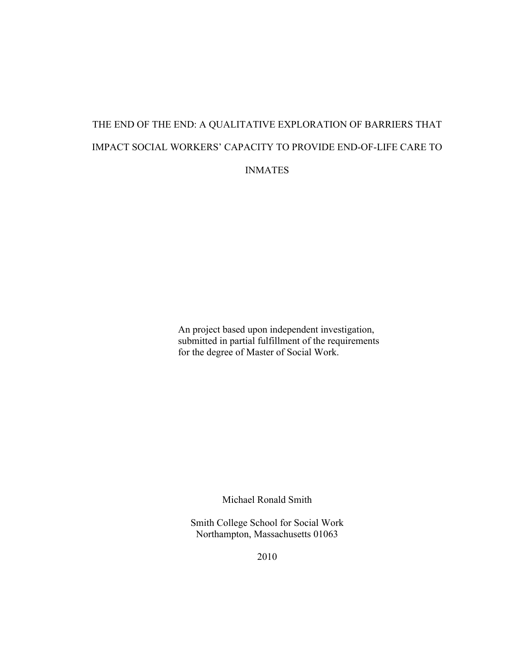# THE END OF THE END: A QUALITATIVE EXPLORATION OF BARRIERS THAT IMPACT SOCIAL WORKERS' CAPACITY TO PROVIDE END-OF-LIFE CARE TO INMATES

An project based upon independent investigation, submitted in partial fulfillment of the requirements for the degree of Master of Social Work.

Michael Ronald Smith

Smith College School for Social Work Northampton, Massachusetts 01063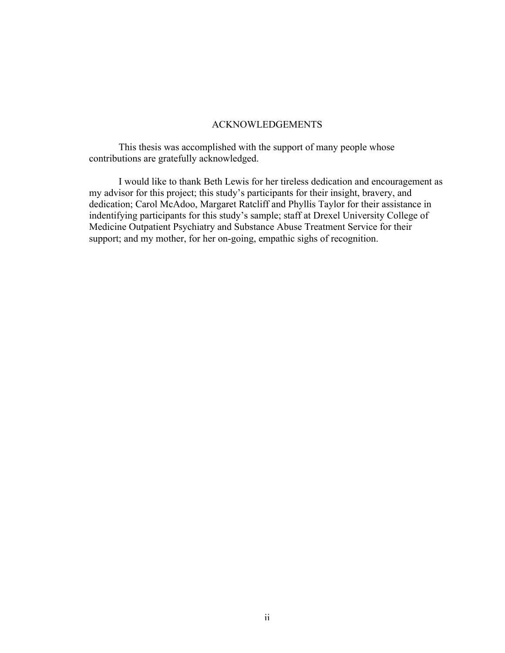## ACKNOWLEDGEMENTS

This thesis was accomplished with the support of many people whose contributions are gratefully acknowledged.

I would like to thank Beth Lewis for her tireless dedication and encouragement as my advisor for this project; this study's participants for their insight, bravery, and dedication; Carol McAdoo, Margaret Ratcliff and Phyllis Taylor for their assistance in indentifying participants for this study's sample; staff at Drexel University College of Medicine Outpatient Psychiatry and Substance Abuse Treatment Service for their support; and my mother, for her on-going, empathic sighs of recognition.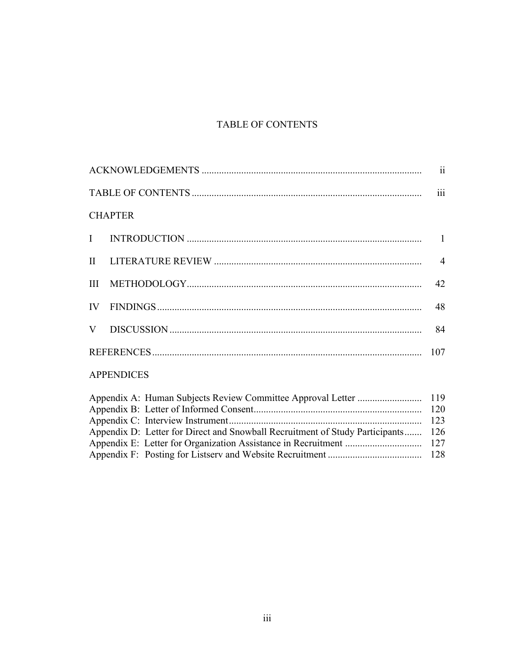## TABLE OF CONTENTS

| <b>CHAPTER</b>                                                                                                                                                                                                                                                                                                                     |  |  |  |
|------------------------------------------------------------------------------------------------------------------------------------------------------------------------------------------------------------------------------------------------------------------------------------------------------------------------------------|--|--|--|
|                                                                                                                                                                                                                                                                                                                                    |  |  |  |
|                                                                                                                                                                                                                                                                                                                                    |  |  |  |
|                                                                                                                                                                                                                                                                                                                                    |  |  |  |
|                                                                                                                                                                                                                                                                                                                                    |  |  |  |
|                                                                                                                                                                                                                                                                                                                                    |  |  |  |
|                                                                                                                                                                                                                                                                                                                                    |  |  |  |
| <b>APPENDICES</b>                                                                                                                                                                                                                                                                                                                  |  |  |  |
| $\mathbf{1}$ $\mathbf{1}$ $\mathbf{1}$ $\mathbf{1}$ $\mathbf{1}$ $\mathbf{1}$ $\mathbf{1}$ $\mathbf{1}$ $\mathbf{1}$ $\mathbf{1}$ $\mathbf{1}$ $\mathbf{1}$ $\mathbf{1}$ $\mathbf{1}$ $\mathbf{1}$ $\mathbf{1}$ $\mathbf{1}$ $\mathbf{1}$ $\mathbf{1}$ $\mathbf{1}$ $\mathbf{1}$ $\mathbf{1}$ $\mathbf{1}$ $\mathbf{1}$ $\mathbf{$ |  |  |  |

| Appendix D: Letter for Direct and Snowball Recruitment of Study Participants 126 |  |
|----------------------------------------------------------------------------------|--|
|                                                                                  |  |
|                                                                                  |  |
|                                                                                  |  |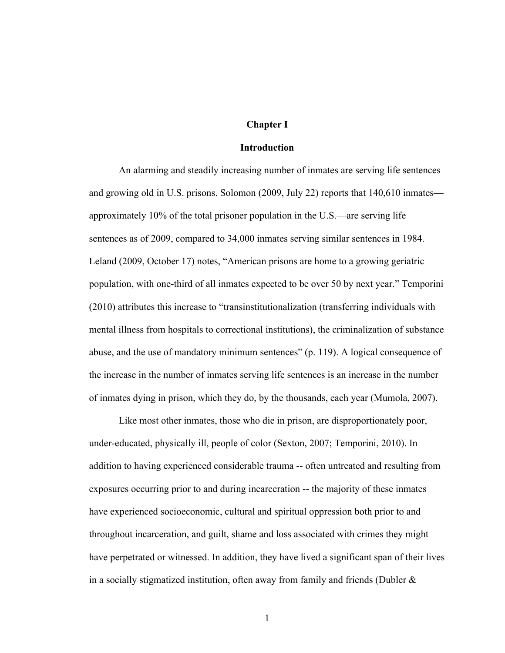## **Chapter I**

#### **Introduction**

An alarming and steadily increasing number of inmates are serving life sentences and growing old in U.S. prisons. Solomon (2009, July 22) reports that 140,610 inmates approximately 10% of the total prisoner population in the U.S.—are serving life sentences as of 2009, compared to 34,000 inmates serving similar sentences in 1984. Leland (2009, October 17) notes, "American prisons are home to a growing geriatric population, with one-third of all inmates expected to be over 50 by next year." Temporini (2010) attributes this increase to "transinstitutionalization (transferring individuals with mental illness from hospitals to correctional institutions), the criminalization of substance abuse, and the use of mandatory minimum sentences" (p. 119). A logical consequence of the increase in the number of inmates serving life sentences is an increase in the number of inmates dying in prison, which they do, by the thousands, each year (Mumola, 2007).

Like most other inmates, those who die in prison, are disproportionately poor, under-educated, physically ill, people of color (Sexton, 2007; Temporini, 2010). In addition to having experienced considerable trauma -- often untreated and resulting from exposures occurring prior to and during incarceration -- the majority of these inmates have experienced socioeconomic, cultural and spiritual oppression both prior to and throughout incarceration, and guilt, shame and loss associated with crimes they might have perpetrated or witnessed. In addition, they have lived a significant span of their lives in a socially stigmatized institution, often away from family and friends (Dubler &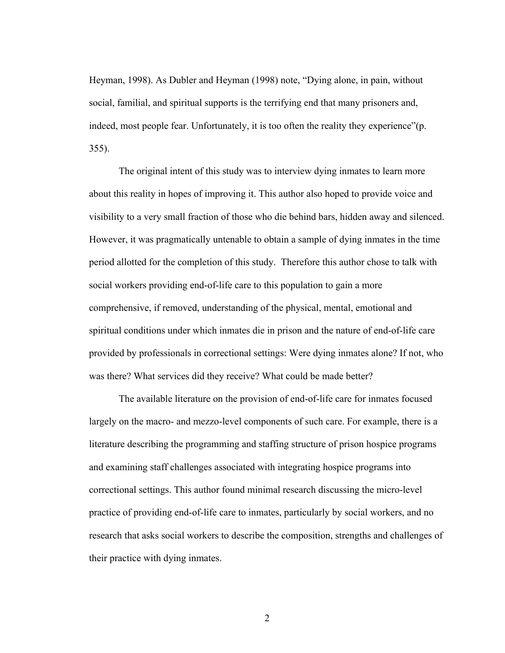Heyman, 1998). As Dubler and Heyman (1998) note, "Dying alone, in pain, without social, familial, and spiritual supports is the terrifying end that many prisoners and, indeed, most people fear. Unfortunately, it is too often the reality they experience"(p. 355).

The original intent of this study was to interview dying inmates to learn more about this reality in hopes of improving it. This author also hoped to provide voice and visibility to a very small fraction of those who die behind bars, hidden away and silenced. However, it was pragmatically untenable to obtain a sample of dying inmates in the time period allotted for the completion of this study. Therefore this author chose to talk with social workers providing end-of-life care to this population to gain a more comprehensive, if removed, understanding of the physical, mental, emotional and spiritual conditions under which inmates die in prison and the nature of end-of-life care provided by professionals in correctional settings: Were dying inmates alone? If not, who was there? What services did they receive? What could be made better?

The available literature on the provision of end-of-life care for inmates focused largely on the macro- and mezzo-level components of such care. For example, there is a literature describing the programming and staffing structure of prison hospice programs and examining staff challenges associated with integrating hospice programs into correctional settings. This author found minimal research discussing the micro-level practice of providing end-of-life care to inmates, particularly by social workers, and no research that asks social workers to describe the composition, strengths and challenges of their practice with dying inmates.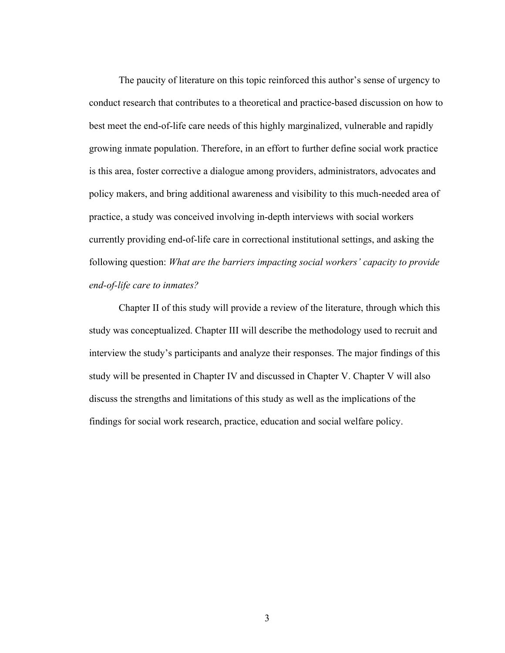The paucity of literature on this topic reinforced this author's sense of urgency to conduct research that contributes to a theoretical and practice-based discussion on how to best meet the end-of-life care needs of this highly marginalized, vulnerable and rapidly growing inmate population. Therefore, in an effort to further define social work practice is this area, foster corrective a dialogue among providers, administrators, advocates and policy makers, and bring additional awareness and visibility to this much-needed area of practice, a study was conceived involving in-depth interviews with social workers currently providing end-of-life care in correctional institutional settings, and asking the following question: *What are the barriers impacting social workers' capacity to provide end-of-life care to inmates?*

Chapter II of this study will provide a review of the literature, through which this study was conceptualized. Chapter III will describe the methodology used to recruit and interview the study's participants and analyze their responses. The major findings of this study will be presented in Chapter IV and discussed in Chapter V. Chapter V will also discuss the strengths and limitations of this study as well as the implications of the findings for social work research, practice, education and social welfare policy.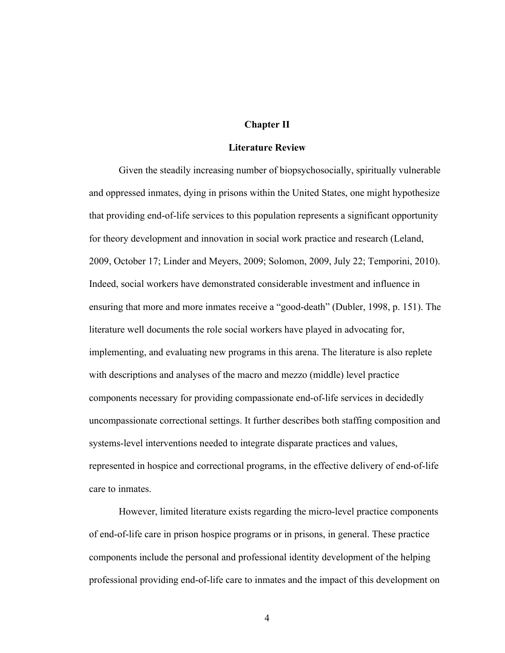## **Chapter II**

#### **Literature Review**

Given the steadily increasing number of biopsychosocially, spiritually vulnerable and oppressed inmates, dying in prisons within the United States, one might hypothesize that providing end-of-life services to this population represents a significant opportunity for theory development and innovation in social work practice and research (Leland, 2009, October 17; Linder and Meyers, 2009; Solomon, 2009, July 22; Temporini, 2010). Indeed, social workers have demonstrated considerable investment and influence in ensuring that more and more inmates receive a "good-death" (Dubler, 1998, p. 151). The literature well documents the role social workers have played in advocating for, implementing, and evaluating new programs in this arena. The literature is also replete with descriptions and analyses of the macro and mezzo (middle) level practice components necessary for providing compassionate end-of-life services in decidedly uncompassionate correctional settings. It further describes both staffing composition and systems-level interventions needed to integrate disparate practices and values, represented in hospice and correctional programs, in the effective delivery of end-of-life care to inmates.

However, limited literature exists regarding the micro-level practice components of end-of-life care in prison hospice programs or in prisons, in general. These practice components include the personal and professional identity development of the helping professional providing end-of-life care to inmates and the impact of this development on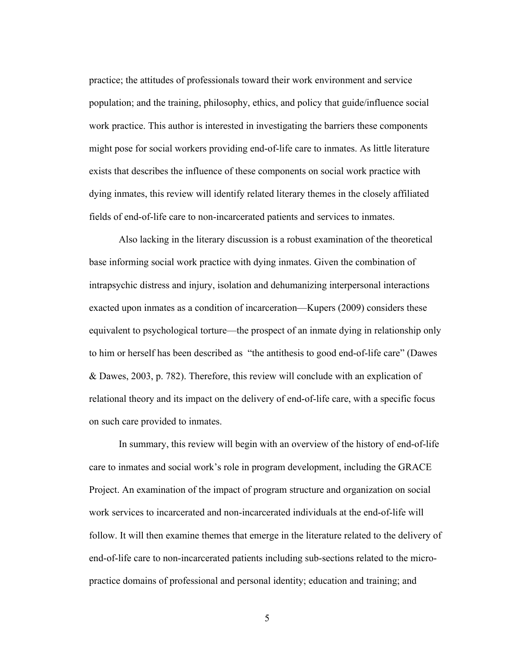practice; the attitudes of professionals toward their work environment and service population; and the training, philosophy, ethics, and policy that guide/influence social work practice. This author is interested in investigating the barriers these components might pose for social workers providing end-of-life care to inmates. As little literature exists that describes the influence of these components on social work practice with dying inmates, this review will identify related literary themes in the closely affiliated fields of end-of-life care to non-incarcerated patients and services to inmates.

Also lacking in the literary discussion is a robust examination of the theoretical base informing social work practice with dying inmates. Given the combination of intrapsychic distress and injury, isolation and dehumanizing interpersonal interactions exacted upon inmates as a condition of incarceration—Kupers (2009) considers these equivalent to psychological torture—the prospect of an inmate dying in relationship only to him or herself has been described as "the antithesis to good end-of-life care" (Dawes & Dawes, 2003, p. 782). Therefore, this review will conclude with an explication of relational theory and its impact on the delivery of end-of-life care, with a specific focus on such care provided to inmates.

In summary, this review will begin with an overview of the history of end-of-life care to inmates and social work's role in program development, including the GRACE Project. An examination of the impact of program structure and organization on social work services to incarcerated and non-incarcerated individuals at the end-of-life will follow. It will then examine themes that emerge in the literature related to the delivery of end-of-life care to non-incarcerated patients including sub-sections related to the micropractice domains of professional and personal identity; education and training; and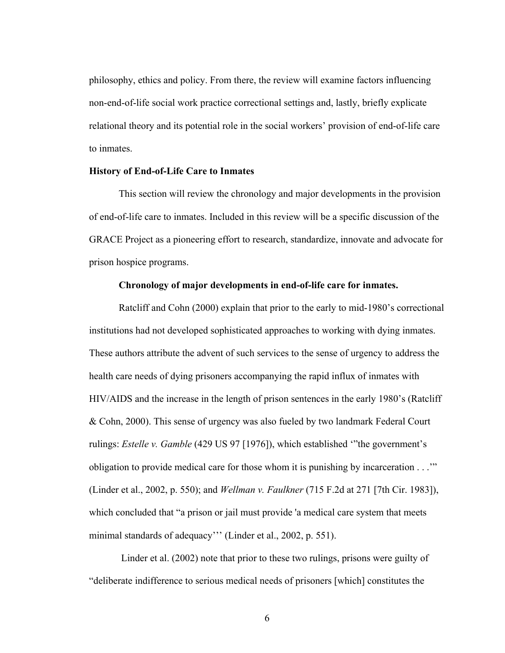philosophy, ethics and policy. From there, the review will examine factors influencing non-end-of-life social work practice correctional settings and, lastly, briefly explicate relational theory and its potential role in the social workers' provision of end-of-life care to inmates.

#### **History of End-of-Life Care to Inmates**

This section will review the chronology and major developments in the provision of end-of-life care to inmates. Included in this review will be a specific discussion of the GRACE Project as a pioneering effort to research, standardize, innovate and advocate for prison hospice programs.

## **Chronology of major developments in end-of-life care for inmates.**

Ratcliff and Cohn (2000) explain that prior to the early to mid-1980's correctional institutions had not developed sophisticated approaches to working with dying inmates. These authors attribute the advent of such services to the sense of urgency to address the health care needs of dying prisoners accompanying the rapid influx of inmates with HIV/AIDS and the increase in the length of prison sentences in the early 1980's (Ratcliff & Cohn, 2000). This sense of urgency was also fueled by two landmark Federal Court rulings: *Estelle v. Gamble* (429 US 97 [1976]), which established '"the government's obligation to provide medical care for those whom it is punishing by incarceration . . .'" (Linder et al., 2002, p. 550); and *Wellman v. Faulkner* (715 F.2d at 271 [7th Cir. 1983]), which concluded that "a prison or jail must provide 'a medical care system that meets minimal standards of adequacy''' (Linder et al., 2002, p. 551).

 Linder et al. (2002) note that prior to these two rulings, prisons were guilty of "deliberate indifference to serious medical needs of prisoners [which] constitutes the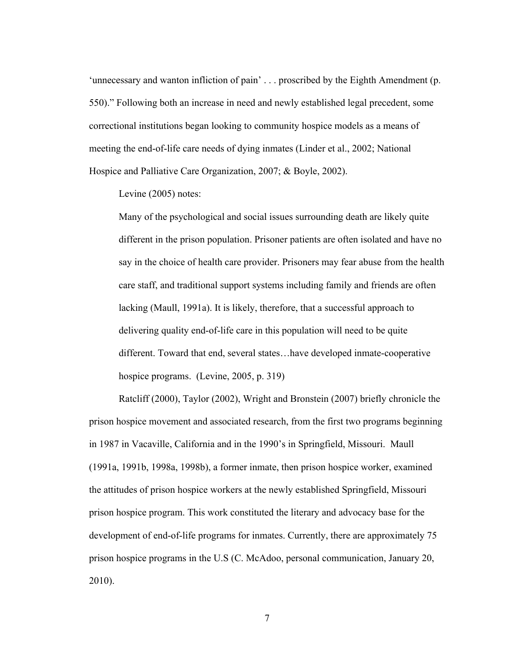'unnecessary and wanton infliction of pain' . . . proscribed by the Eighth Amendment (p. 550)." Following both an increase in need and newly established legal precedent, some correctional institutions began looking to community hospice models as a means of meeting the end-of-life care needs of dying inmates (Linder et al., 2002; National Hospice and Palliative Care Organization, 2007; & Boyle, 2002).

Levine (2005) notes:

Many of the psychological and social issues surrounding death are likely quite different in the prison population. Prisoner patients are often isolated and have no say in the choice of health care provider. Prisoners may fear abuse from the health care staff, and traditional support systems including family and friends are often lacking (Maull, 1991a). It is likely, therefore, that a successful approach to delivering quality end-of-life care in this population will need to be quite different. Toward that end, several states…have developed inmate-cooperative hospice programs. (Levine, 2005, p. 319)

Ratcliff (2000), Taylor (2002), Wright and Bronstein (2007) briefly chronicle the prison hospice movement and associated research, from the first two programs beginning in 1987 in Vacaville, California and in the 1990's in Springfield, Missouri. Maull (1991a, 1991b, 1998a, 1998b), a former inmate, then prison hospice worker, examined the attitudes of prison hospice workers at the newly established Springfield, Missouri prison hospice program. This work constituted the literary and advocacy base for the development of end-of-life programs for inmates. Currently, there are approximately 75 prison hospice programs in the U.S (C. McAdoo, personal communication, January 20, 2010).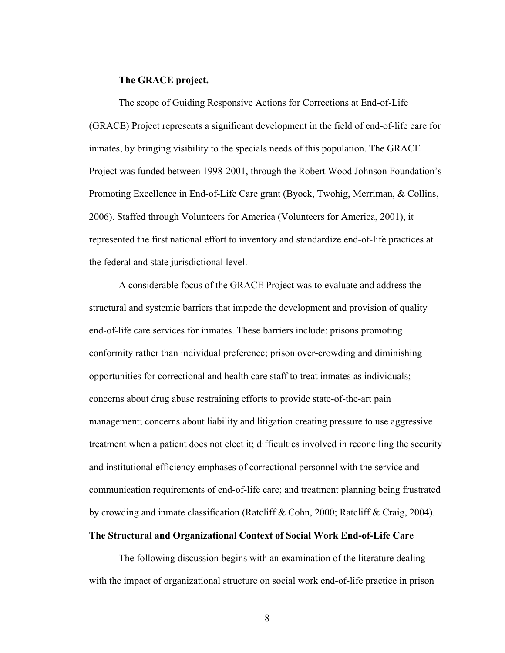#### **The GRACE project.**

The scope of Guiding Responsive Actions for Corrections at End-of-Life (GRACE) Project represents a significant development in the field of end-of-life care for inmates, by bringing visibility to the specials needs of this population. The GRACE Project was funded between 1998-2001, through the Robert Wood Johnson Foundation's Promoting Excellence in End-of-Life Care grant (Byock, Twohig, Merriman, & Collins, 2006). Staffed through Volunteers for America (Volunteers for America, 2001), it represented the first national effort to inventory and standardize end-of-life practices at the federal and state jurisdictional level.

A considerable focus of the GRACE Project was to evaluate and address the structural and systemic barriers that impede the development and provision of quality end-of-life care services for inmates. These barriers include: prisons promoting conformity rather than individual preference; prison over-crowding and diminishing opportunities for correctional and health care staff to treat inmates as individuals; concerns about drug abuse restraining efforts to provide state-of-the-art pain management; concerns about liability and litigation creating pressure to use aggressive treatment when a patient does not elect it; difficulties involved in reconciling the security and institutional efficiency emphases of correctional personnel with the service and communication requirements of end-of-life care; and treatment planning being frustrated by crowding and inmate classification (Ratcliff & Cohn, 2000; Ratcliff & Craig, 2004).

## **The Structural and Organizational Context of Social Work End-of-Life Care**

The following discussion begins with an examination of the literature dealing with the impact of organizational structure on social work end-of-life practice in prison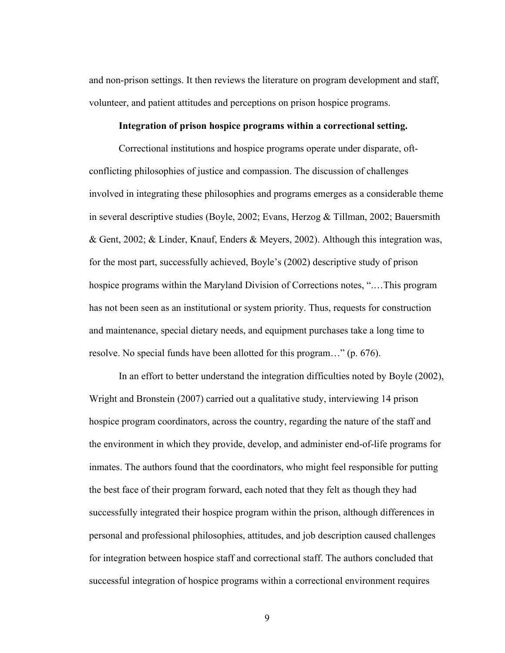and non-prison settings. It then reviews the literature on program development and staff, volunteer, and patient attitudes and perceptions on prison hospice programs.

#### **Integration of prison hospice programs within a correctional setting.**

Correctional institutions and hospice programs operate under disparate, oftconflicting philosophies of justice and compassion. The discussion of challenges involved in integrating these philosophies and programs emerges as a considerable theme in several descriptive studies (Boyle, 2002; Evans, Herzog & Tillman, 2002; Bauersmith & Gent, 2002; & Linder, Knauf, Enders & Meyers, 2002). Although this integration was, for the most part, successfully achieved, Boyle's (2002) descriptive study of prison hospice programs within the Maryland Division of Corrections notes, ".…This program has not been seen as an institutional or system priority. Thus, requests for construction and maintenance, special dietary needs, and equipment purchases take a long time to resolve. No special funds have been allotted for this program…" (p. 676).

In an effort to better understand the integration difficulties noted by Boyle (2002), Wright and Bronstein (2007) carried out a qualitative study, interviewing 14 prison hospice program coordinators, across the country, regarding the nature of the staff and the environment in which they provide, develop, and administer end-of-life programs for inmates. The authors found that the coordinators, who might feel responsible for putting the best face of their program forward, each noted that they felt as though they had successfully integrated their hospice program within the prison, although differences in personal and professional philosophies, attitudes, and job description caused challenges for integration between hospice staff and correctional staff. The authors concluded that successful integration of hospice programs within a correctional environment requires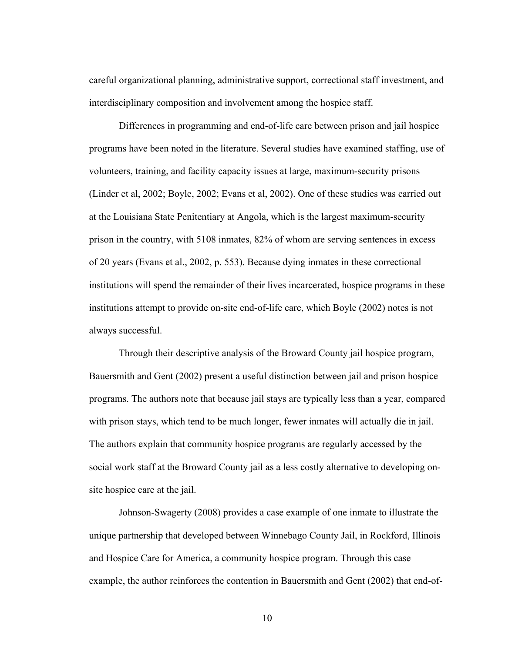careful organizational planning, administrative support, correctional staff investment, and interdisciplinary composition and involvement among the hospice staff.

Differences in programming and end-of-life care between prison and jail hospice programs have been noted in the literature. Several studies have examined staffing, use of volunteers, training, and facility capacity issues at large, maximum-security prisons (Linder et al, 2002; Boyle, 2002; Evans et al, 2002). One of these studies was carried out at the Louisiana State Penitentiary at Angola, which is the largest maximum-security prison in the country, with 5108 inmates, 82% of whom are serving sentences in excess of 20 years (Evans et al., 2002, p. 553). Because dying inmates in these correctional institutions will spend the remainder of their lives incarcerated, hospice programs in these institutions attempt to provide on-site end-of-life care, which Boyle (2002) notes is not always successful.

Through their descriptive analysis of the Broward County jail hospice program, Bauersmith and Gent (2002) present a useful distinction between jail and prison hospice programs. The authors note that because jail stays are typically less than a year, compared with prison stays, which tend to be much longer, fewer inmates will actually die in jail. The authors explain that community hospice programs are regularly accessed by the social work staff at the Broward County jail as a less costly alternative to developing onsite hospice care at the jail.

Johnson-Swagerty (2008) provides a case example of one inmate to illustrate the unique partnership that developed between Winnebago County Jail, in Rockford, Illinois and Hospice Care for America, a community hospice program. Through this case example, the author reinforces the contention in Bauersmith and Gent (2002) that end-of-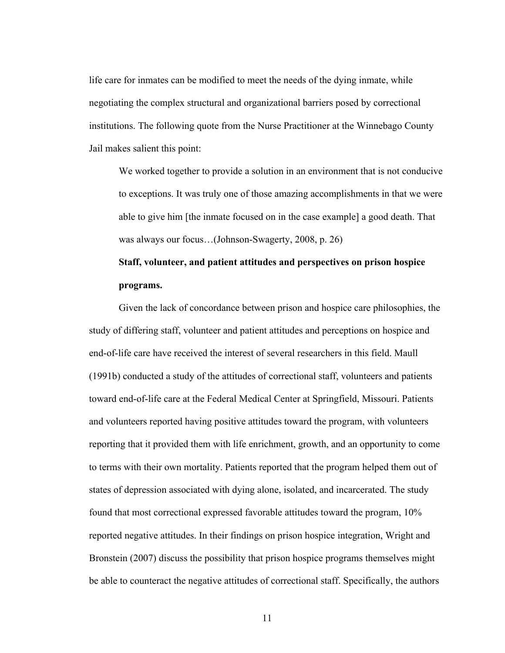life care for inmates can be modified to meet the needs of the dying inmate, while negotiating the complex structural and organizational barriers posed by correctional institutions. The following quote from the Nurse Practitioner at the Winnebago County Jail makes salient this point:

We worked together to provide a solution in an environment that is not conducive to exceptions. It was truly one of those amazing accomplishments in that we were able to give him [the inmate focused on in the case example] a good death. That was always our focus…(Johnson-Swagerty, 2008, p. 26)

## **Staff, volunteer, and patient attitudes and perspectives on prison hospice programs.**

Given the lack of concordance between prison and hospice care philosophies, the study of differing staff, volunteer and patient attitudes and perceptions on hospice and end-of-life care have received the interest of several researchers in this field. Maull (1991b) conducted a study of the attitudes of correctional staff, volunteers and patients toward end-of-life care at the Federal Medical Center at Springfield, Missouri. Patients and volunteers reported having positive attitudes toward the program, with volunteers reporting that it provided them with life enrichment, growth, and an opportunity to come to terms with their own mortality. Patients reported that the program helped them out of states of depression associated with dying alone, isolated, and incarcerated. The study found that most correctional expressed favorable attitudes toward the program, 10% reported negative attitudes. In their findings on prison hospice integration, Wright and Bronstein (2007) discuss the possibility that prison hospice programs themselves might be able to counteract the negative attitudes of correctional staff. Specifically, the authors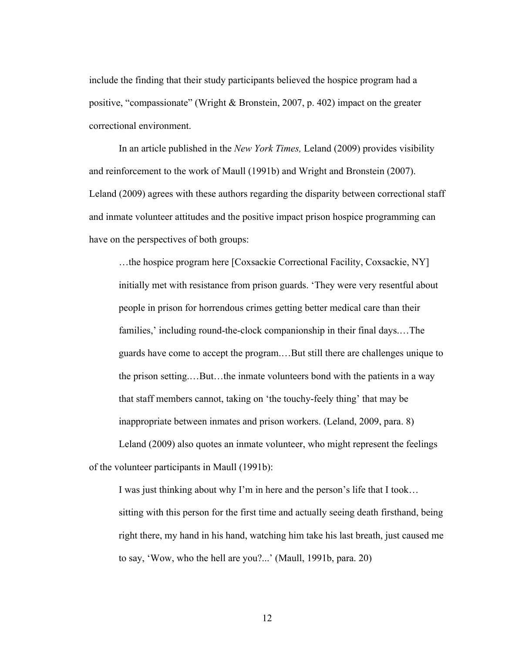include the finding that their study participants believed the hospice program had a positive, "compassionate" (Wright & Bronstein, 2007, p. 402) impact on the greater correctional environment.

In an article published in the *New York Times,* Leland (2009) provides visibility and reinforcement to the work of Maull (1991b) and Wright and Bronstein (2007). Leland (2009) agrees with these authors regarding the disparity between correctional staff and inmate volunteer attitudes and the positive impact prison hospice programming can have on the perspectives of both groups:

…the hospice program here [Coxsackie Correctional Facility, Coxsackie, NY] initially met with resistance from prison guards. 'They were very resentful about people in prison for horrendous crimes getting better medical care than their families,' including round-the-clock companionship in their final days.…The guards have come to accept the program.…But still there are challenges unique to the prison setting.…But…the inmate volunteers bond with the patients in a way that staff members cannot, taking on 'the touchy-feely thing' that may be inappropriate between inmates and prison workers. (Leland, 2009, para. 8) Leland (2009) also quotes an inmate volunteer, who might represent the feelings

of the volunteer participants in Maull (1991b):

I was just thinking about why I'm in here and the person's life that I took… sitting with this person for the first time and actually seeing death firsthand, being right there, my hand in his hand, watching him take his last breath, just caused me to say, 'Wow, who the hell are you?...' (Maull, 1991b, para. 20)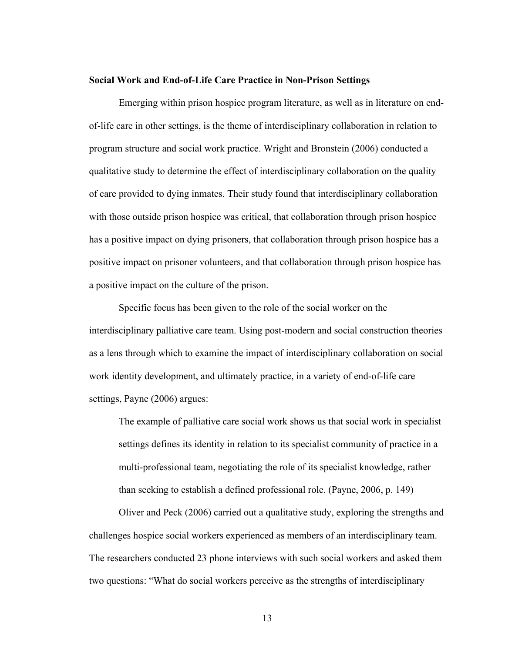#### **Social Work and End-of-Life Care Practice in Non-Prison Settings**

Emerging within prison hospice program literature, as well as in literature on endof-life care in other settings, is the theme of interdisciplinary collaboration in relation to program structure and social work practice. Wright and Bronstein (2006) conducted a qualitative study to determine the effect of interdisciplinary collaboration on the quality of care provided to dying inmates. Their study found that interdisciplinary collaboration with those outside prison hospice was critical, that collaboration through prison hospice has a positive impact on dying prisoners, that collaboration through prison hospice has a positive impact on prisoner volunteers, and that collaboration through prison hospice has a positive impact on the culture of the prison.

Specific focus has been given to the role of the social worker on the interdisciplinary palliative care team. Using post-modern and social construction theories as a lens through which to examine the impact of interdisciplinary collaboration on social work identity development, and ultimately practice, in a variety of end-of-life care settings, Payne (2006) argues:

The example of palliative care social work shows us that social work in specialist settings defines its identity in relation to its specialist community of practice in a multi-professional team, negotiating the role of its specialist knowledge, rather than seeking to establish a defined professional role. (Payne, 2006, p. 149)

Oliver and Peck (2006) carried out a qualitative study, exploring the strengths and challenges hospice social workers experienced as members of an interdisciplinary team. The researchers conducted 23 phone interviews with such social workers and asked them two questions: "What do social workers perceive as the strengths of interdisciplinary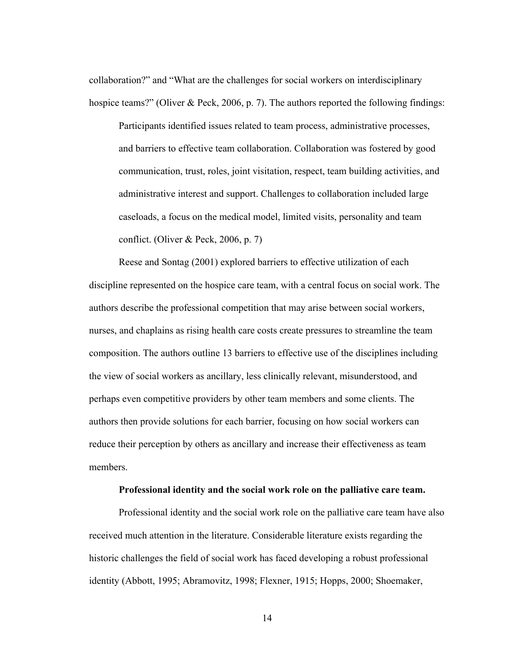collaboration?" and "What are the challenges for social workers on interdisciplinary hospice teams?" (Oliver & Peck, 2006, p. 7). The authors reported the following findings:

Participants identified issues related to team process, administrative processes, and barriers to effective team collaboration. Collaboration was fostered by good communication, trust, roles, joint visitation, respect, team building activities, and administrative interest and support. Challenges to collaboration included large caseloads, a focus on the medical model, limited visits, personality and team conflict. (Oliver  $& Peck, 2006, p. 7$ )

Reese and Sontag (2001) explored barriers to effective utilization of each discipline represented on the hospice care team, with a central focus on social work. The authors describe the professional competition that may arise between social workers, nurses, and chaplains as rising health care costs create pressures to streamline the team composition. The authors outline 13 barriers to effective use of the disciplines including the view of social workers as ancillary, less clinically relevant, misunderstood, and perhaps even competitive providers by other team members and some clients. The authors then provide solutions for each barrier, focusing on how social workers can reduce their perception by others as ancillary and increase their effectiveness as team members.

## **Professional identity and the social work role on the palliative care team.**

Professional identity and the social work role on the palliative care team have also received much attention in the literature. Considerable literature exists regarding the historic challenges the field of social work has faced developing a robust professional identity (Abbott, 1995; Abramovitz, 1998; Flexner, 1915; Hopps, 2000; Shoemaker,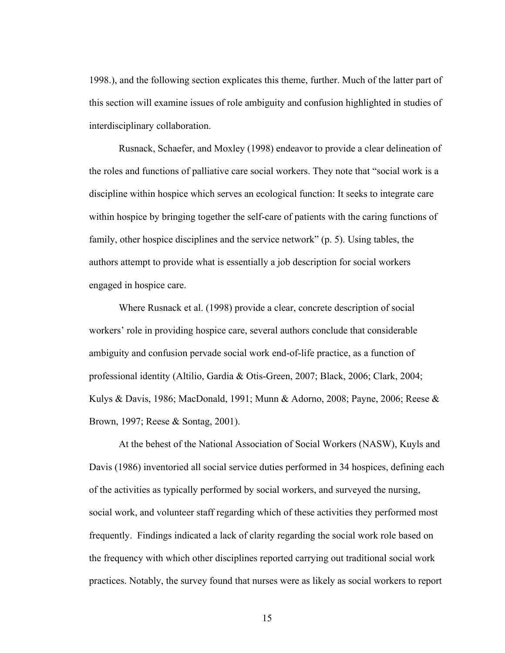1998.), and the following section explicates this theme, further. Much of the latter part of this section will examine issues of role ambiguity and confusion highlighted in studies of interdisciplinary collaboration.

Rusnack, Schaefer, and Moxley (1998) endeavor to provide a clear delineation of the roles and functions of palliative care social workers. They note that "social work is a discipline within hospice which serves an ecological function: It seeks to integrate care within hospice by bringing together the self-care of patients with the caring functions of family, other hospice disciplines and the service network" (p. 5). Using tables, the authors attempt to provide what is essentially a job description for social workers engaged in hospice care.

Where Rusnack et al. (1998) provide a clear, concrete description of social workers' role in providing hospice care, several authors conclude that considerable ambiguity and confusion pervade social work end-of-life practice, as a function of professional identity (Altilio, Gardia & Otis-Green, 2007; Black, 2006; Clark, 2004; Kulys & Davis, 1986; MacDonald, 1991; Munn & Adorno, 2008; Payne, 2006; Reese & Brown, 1997; Reese & Sontag, 2001).

At the behest of the National Association of Social Workers (NASW), Kuyls and Davis (1986) inventoried all social service duties performed in 34 hospices, defining each of the activities as typically performed by social workers, and surveyed the nursing, social work, and volunteer staff regarding which of these activities they performed most frequently. Findings indicated a lack of clarity regarding the social work role based on the frequency with which other disciplines reported carrying out traditional social work practices. Notably, the survey found that nurses were as likely as social workers to report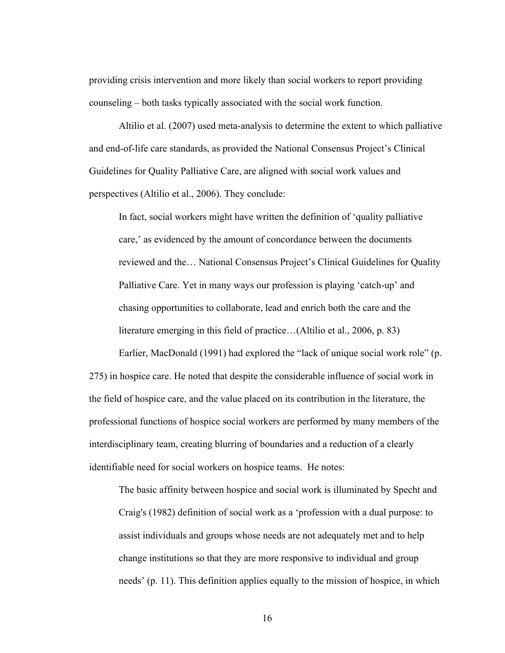providing crisis intervention and more likely than social workers to report providing counseling – both tasks typically associated with the social work function.

Altilio et al. (2007) used meta-analysis to determine the extent to which palliative and end-of-life care standards, as provided the National Consensus Project's Clinical Guidelines for Quality Palliative Care, are aligned with social work values and perspectives (Altilio et al., 2006). They conclude:

In fact, social workers might have written the definition of 'quality palliative care,' as evidenced by the amount of concordance between the documents reviewed and the… National Consensus Project's Clinical Guidelines for Quality Palliative Care. Yet in many ways our profession is playing 'catch-up' and chasing opportunities to collaborate, lead and enrich both the care and the literature emerging in this field of practice…(Altilio et al., 2006, p. 83)

Earlier, MacDonald (1991) had explored the "lack of unique social work role" (p. 275) in hospice care. He noted that despite the considerable influence of social work in the field of hospice care, and the value placed on its contribution in the literature, the professional functions of hospice social workers are performed by many members of the interdisciplinary team, creating blurring of boundaries and a reduction of a clearly identifiable need for social workers on hospice teams. He notes:

The basic affinity between hospice and social work is illuminated by Specht and Craig's (1982) definition of social work as a 'profession with a dual purpose: to assist individuals and groups whose needs are not adequately met and to help change institutions so that they are more responsive to individual and group needs' (p. 11). This definition applies equally to the mission of hospice, in which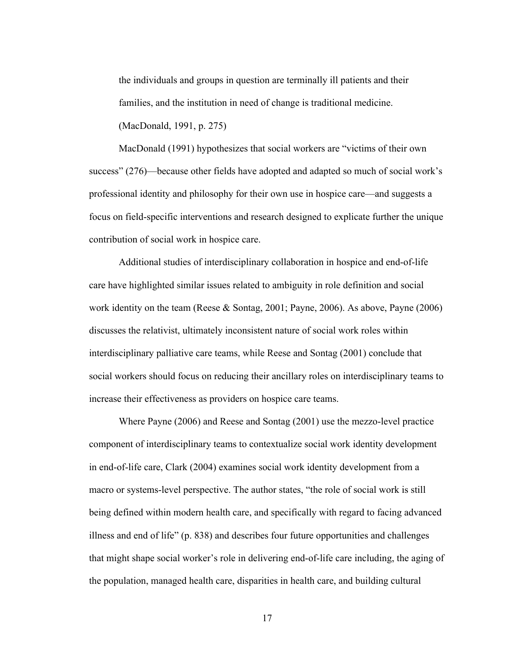the individuals and groups in question are terminally ill patients and their families, and the institution in need of change is traditional medicine. (MacDonald, 1991, p. 275)

MacDonald (1991) hypothesizes that social workers are "victims of their own success" (276)—because other fields have adopted and adapted so much of social work's professional identity and philosophy for their own use in hospice care—and suggests a focus on field-specific interventions and research designed to explicate further the unique contribution of social work in hospice care.

Additional studies of interdisciplinary collaboration in hospice and end-of-life care have highlighted similar issues related to ambiguity in role definition and social work identity on the team (Reese & Sontag, 2001; Payne, 2006). As above, Payne (2006) discusses the relativist, ultimately inconsistent nature of social work roles within interdisciplinary palliative care teams, while Reese and Sontag (2001) conclude that social workers should focus on reducing their ancillary roles on interdisciplinary teams to increase their effectiveness as providers on hospice care teams.

Where Payne (2006) and Reese and Sontag (2001) use the mezzo-level practice component of interdisciplinary teams to contextualize social work identity development in end-of-life care, Clark (2004) examines social work identity development from a macro or systems-level perspective. The author states, "the role of social work is still being defined within modern health care, and specifically with regard to facing advanced illness and end of life" (p. 838) and describes four future opportunities and challenges that might shape social worker's role in delivering end-of-life care including, the aging of the population, managed health care, disparities in health care, and building cultural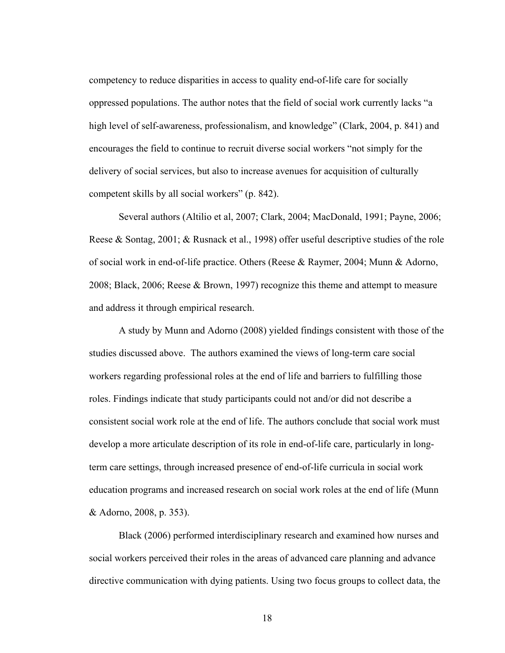competency to reduce disparities in access to quality end-of-life care for socially oppressed populations. The author notes that the field of social work currently lacks "a high level of self-awareness, professionalism, and knowledge" (Clark, 2004, p. 841) and encourages the field to continue to recruit diverse social workers "not simply for the delivery of social services, but also to increase avenues for acquisition of culturally competent skills by all social workers" (p. 842).

Several authors (Altilio et al, 2007; Clark, 2004; MacDonald, 1991; Payne, 2006; Reese & Sontag, 2001; & Rusnack et al., 1998) offer useful descriptive studies of the role of social work in end-of-life practice. Others (Reese & Raymer, 2004; Munn & Adorno, 2008; Black, 2006; Reese & Brown, 1997) recognize this theme and attempt to measure and address it through empirical research.

A study by Munn and Adorno (2008) yielded findings consistent with those of the studies discussed above. The authors examined the views of long-term care social workers regarding professional roles at the end of life and barriers to fulfilling those roles. Findings indicate that study participants could not and/or did not describe a consistent social work role at the end of life. The authors conclude that social work must develop a more articulate description of its role in end-of-life care, particularly in longterm care settings, through increased presence of end-of-life curricula in social work education programs and increased research on social work roles at the end of life (Munn & Adorno, 2008, p. 353).

Black (2006) performed interdisciplinary research and examined how nurses and social workers perceived their roles in the areas of advanced care planning and advance directive communication with dying patients. Using two focus groups to collect data, the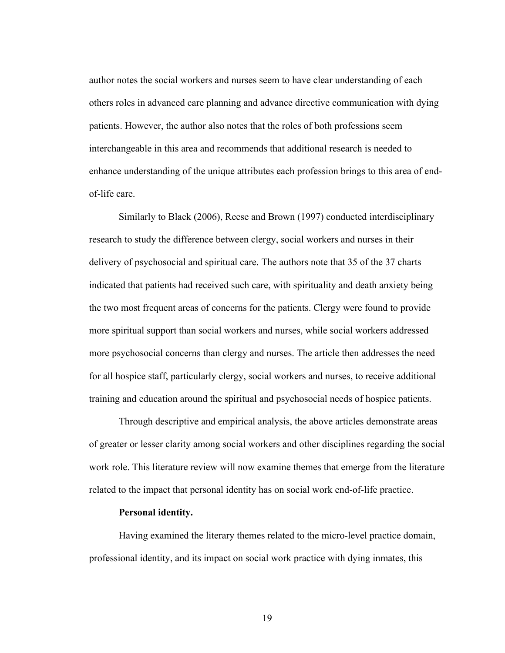author notes the social workers and nurses seem to have clear understanding of each others roles in advanced care planning and advance directive communication with dying patients. However, the author also notes that the roles of both professions seem interchangeable in this area and recommends that additional research is needed to enhance understanding of the unique attributes each profession brings to this area of endof-life care.

Similarly to Black (2006), Reese and Brown (1997) conducted interdisciplinary research to study the difference between clergy, social workers and nurses in their delivery of psychosocial and spiritual care. The authors note that 35 of the 37 charts indicated that patients had received such care, with spirituality and death anxiety being the two most frequent areas of concerns for the patients. Clergy were found to provide more spiritual support than social workers and nurses, while social workers addressed more psychosocial concerns than clergy and nurses. The article then addresses the need for all hospice staff, particularly clergy, social workers and nurses, to receive additional training and education around the spiritual and psychosocial needs of hospice patients.

Through descriptive and empirical analysis, the above articles demonstrate areas of greater or lesser clarity among social workers and other disciplines regarding the social work role. This literature review will now examine themes that emerge from the literature related to the impact that personal identity has on social work end-of-life practice.

## **Personal identity.**

Having examined the literary themes related to the micro-level practice domain, professional identity, and its impact on social work practice with dying inmates, this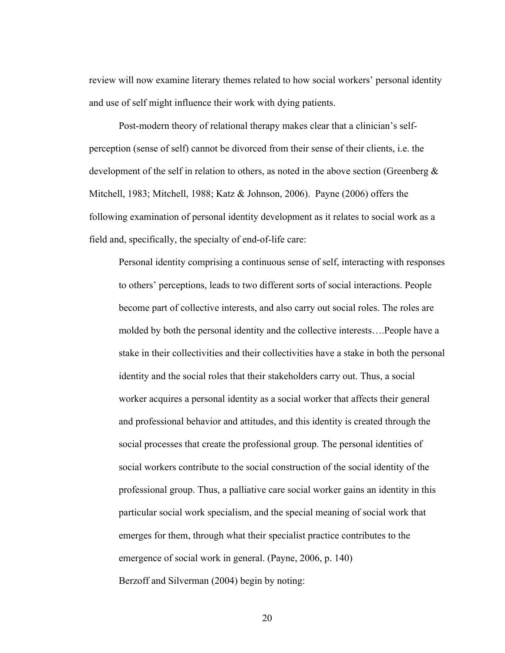review will now examine literary themes related to how social workers' personal identity and use of self might influence their work with dying patients.

Post-modern theory of relational therapy makes clear that a clinician's selfperception (sense of self) cannot be divorced from their sense of their clients, i.e. the development of the self in relation to others, as noted in the above section (Greenberg  $\&$ Mitchell, 1983; Mitchell, 1988; Katz & Johnson, 2006). Payne (2006) offers the following examination of personal identity development as it relates to social work as a field and, specifically, the specialty of end-of-life care:

Personal identity comprising a continuous sense of self, interacting with responses to others' perceptions, leads to two different sorts of social interactions. People become part of collective interests, and also carry out social roles. The roles are molded by both the personal identity and the collective interests….People have a stake in their collectivities and their collectivities have a stake in both the personal identity and the social roles that their stakeholders carry out. Thus, a social worker acquires a personal identity as a social worker that affects their general and professional behavior and attitudes, and this identity is created through the social processes that create the professional group. The personal identities of social workers contribute to the social construction of the social identity of the professional group. Thus, a palliative care social worker gains an identity in this particular social work specialism, and the special meaning of social work that emerges for them, through what their specialist practice contributes to the emergence of social work in general. (Payne, 2006, p. 140) Berzoff and Silverman (2004) begin by noting: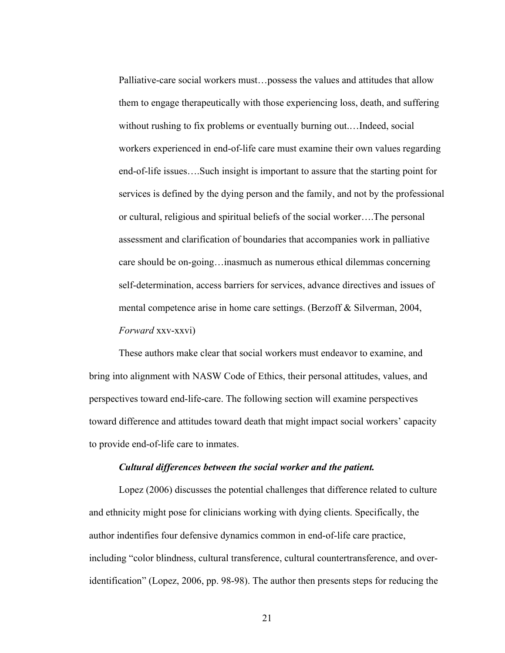Palliative-care social workers must…possess the values and attitudes that allow them to engage therapeutically with those experiencing loss, death, and suffering without rushing to fix problems or eventually burning out.…Indeed, social workers experienced in end-of-life care must examine their own values regarding end-of-life issues….Such insight is important to assure that the starting point for services is defined by the dying person and the family, and not by the professional or cultural, religious and spiritual beliefs of the social worker….The personal assessment and clarification of boundaries that accompanies work in palliative care should be on-going…inasmuch as numerous ethical dilemmas concerning self-determination, access barriers for services, advance directives and issues of mental competence arise in home care settings. (Berzoff & Silverman, 2004, *Forward* xxv-xxvi)

These authors make clear that social workers must endeavor to examine, and bring into alignment with NASW Code of Ethics, their personal attitudes, values, and perspectives toward end-life-care. The following section will examine perspectives toward difference and attitudes toward death that might impact social workers' capacity to provide end-of-life care to inmates.

#### *Cultural differences between the social worker and the patient.*

Lopez (2006) discusses the potential challenges that difference related to culture and ethnicity might pose for clinicians working with dying clients. Specifically, the author indentifies four defensive dynamics common in end-of-life care practice, including "color blindness, cultural transference, cultural countertransference, and overidentification" (Lopez, 2006, pp. 98-98). The author then presents steps for reducing the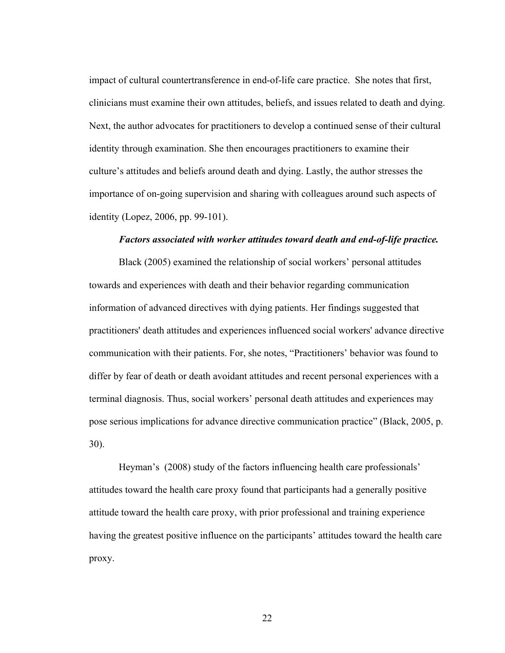impact of cultural countertransference in end-of-life care practice. She notes that first, clinicians must examine their own attitudes, beliefs, and issues related to death and dying. Next, the author advocates for practitioners to develop a continued sense of their cultural identity through examination. She then encourages practitioners to examine their culture's attitudes and beliefs around death and dying. Lastly, the author stresses the importance of on-going supervision and sharing with colleagues around such aspects of identity (Lopez, 2006, pp. 99-101).

#### *Factors associated with worker attitudes toward death and end-of-life practice.*

Black (2005) examined the relationship of social workers' personal attitudes towards and experiences with death and their behavior regarding communication information of advanced directives with dying patients. Her findings suggested that practitioners' death attitudes and experiences influenced social workers' advance directive communication with their patients. For, she notes, "Practitioners' behavior was found to differ by fear of death or death avoidant attitudes and recent personal experiences with a terminal diagnosis. Thus, social workers' personal death attitudes and experiences may pose serious implications for advance directive communication practice" (Black, 2005, p. 30).

Heyman's (2008) study of the factors influencing health care professionals' attitudes toward the health care proxy found that participants had a generally positive attitude toward the health care proxy, with prior professional and training experience having the greatest positive influence on the participants' attitudes toward the health care proxy.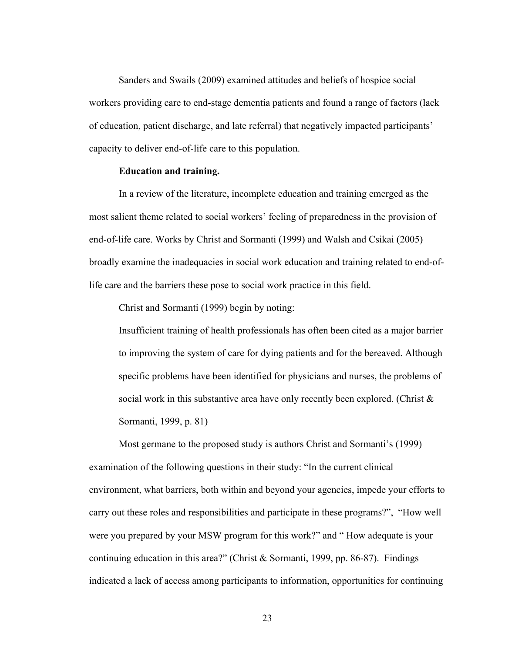Sanders and Swails (2009) examined attitudes and beliefs of hospice social workers providing care to end-stage dementia patients and found a range of factors (lack of education, patient discharge, and late referral) that negatively impacted participants' capacity to deliver end-of-life care to this population.

#### **Education and training.**

In a review of the literature, incomplete education and training emerged as the most salient theme related to social workers' feeling of preparedness in the provision of end-of-life care. Works by Christ and Sormanti (1999) and Walsh and Csikai (2005) broadly examine the inadequacies in social work education and training related to end-oflife care and the barriers these pose to social work practice in this field.

Christ and Sormanti (1999) begin by noting:

Insufficient training of health professionals has often been cited as a major barrier to improving the system of care for dying patients and for the bereaved. Although specific problems have been identified for physicians and nurses, the problems of social work in this substantive area have only recently been explored. (Christ & Sormanti, 1999, p. 81)

Most germane to the proposed study is authors Christ and Sormanti's (1999) examination of the following questions in their study: "In the current clinical environment, what barriers, both within and beyond your agencies, impede your efforts to carry out these roles and responsibilities and participate in these programs?", "How well were you prepared by your MSW program for this work?" and " How adequate is your continuing education in this area?" (Christ & Sormanti, 1999, pp. 86-87). Findings indicated a lack of access among participants to information, opportunities for continuing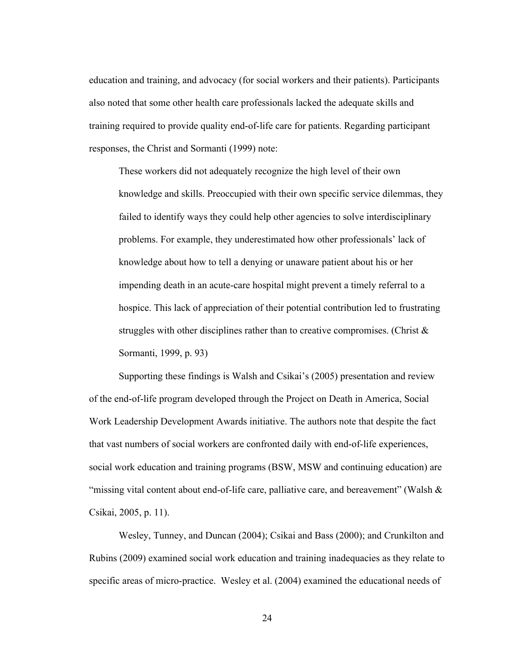education and training, and advocacy (for social workers and their patients). Participants also noted that some other health care professionals lacked the adequate skills and training required to provide quality end-of-life care for patients. Regarding participant responses, the Christ and Sormanti (1999) note:

These workers did not adequately recognize the high level of their own knowledge and skills. Preoccupied with their own specific service dilemmas, they failed to identify ways they could help other agencies to solve interdisciplinary problems. For example, they underestimated how other professionals' lack of knowledge about how to tell a denying or unaware patient about his or her impending death in an acute-care hospital might prevent a timely referral to a hospice. This lack of appreciation of their potential contribution led to frustrating struggles with other disciplines rather than to creative compromises. (Christ  $\&$ Sormanti, 1999, p. 93)

Supporting these findings is Walsh and Csikai's (2005) presentation and review of the end-of-life program developed through the Project on Death in America, Social Work Leadership Development Awards initiative. The authors note that despite the fact that vast numbers of social workers are confronted daily with end-of-life experiences, social work education and training programs (BSW, MSW and continuing education) are "missing vital content about end-of-life care, palliative care, and bereavement" (Walsh  $\&$ Csikai, 2005, p. 11).

Wesley, Tunney, and Duncan (2004); Csikai and Bass (2000); and Crunkilton and Rubins (2009) examined social work education and training inadequacies as they relate to specific areas of micro-practice. Wesley et al. (2004) examined the educational needs of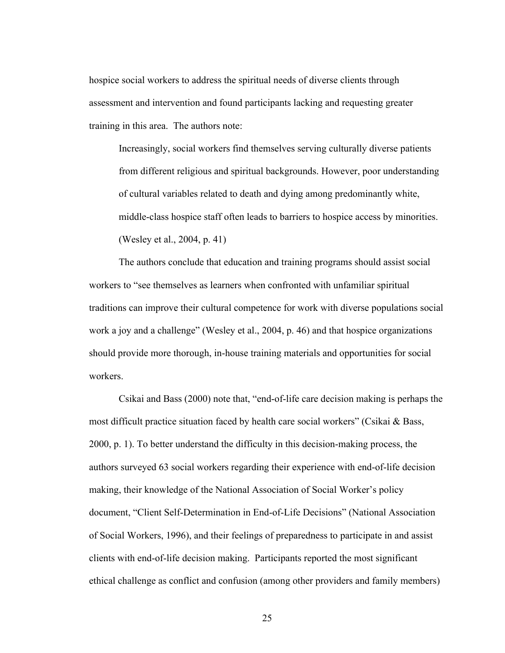hospice social workers to address the spiritual needs of diverse clients through assessment and intervention and found participants lacking and requesting greater training in this area. The authors note:

Increasingly, social workers find themselves serving culturally diverse patients from different religious and spiritual backgrounds. However, poor understanding of cultural variables related to death and dying among predominantly white, middle-class hospice staff often leads to barriers to hospice access by minorities. (Wesley et al., 2004, p. 41)

The authors conclude that education and training programs should assist social workers to "see themselves as learners when confronted with unfamiliar spiritual traditions can improve their cultural competence for work with diverse populations social work a joy and a challenge" (Wesley et al., 2004, p. 46) and that hospice organizations should provide more thorough, in-house training materials and opportunities for social workers.

Csikai and Bass (2000) note that, "end-of-life care decision making is perhaps the most difficult practice situation faced by health care social workers" (Csikai & Bass, 2000, p. 1). To better understand the difficulty in this decision-making process, the authors surveyed 63 social workers regarding their experience with end-of-life decision making, their knowledge of the National Association of Social Worker's policy document, "Client Self-Determination in End-of-Life Decisions" (National Association of Social Workers, 1996), and their feelings of preparedness to participate in and assist clients with end-of-life decision making. Participants reported the most significant ethical challenge as conflict and confusion (among other providers and family members)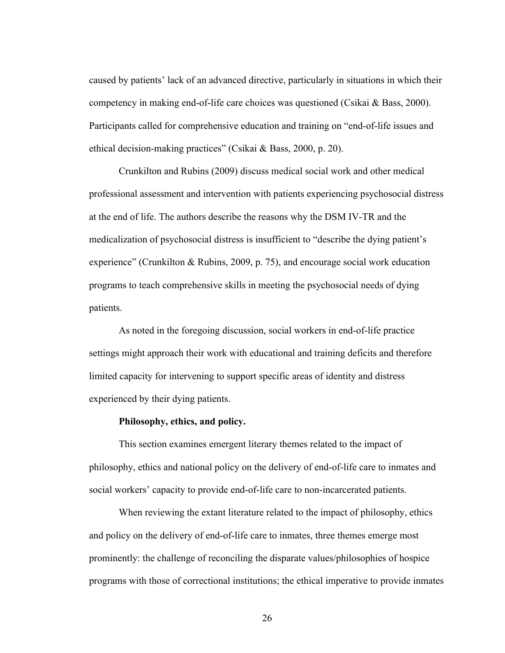caused by patients' lack of an advanced directive, particularly in situations in which their competency in making end-of-life care choices was questioned (Csikai & Bass, 2000). Participants called for comprehensive education and training on "end-of-life issues and ethical decision-making practices" (Csikai & Bass, 2000, p. 20).

Crunkilton and Rubins (2009) discuss medical social work and other medical professional assessment and intervention with patients experiencing psychosocial distress at the end of life. The authors describe the reasons why the DSM IV-TR and the medicalization of psychosocial distress is insufficient to "describe the dying patient's experience" (Crunkilton & Rubins, 2009, p. 75), and encourage social work education programs to teach comprehensive skills in meeting the psychosocial needs of dying patients.

As noted in the foregoing discussion, social workers in end-of-life practice settings might approach their work with educational and training deficits and therefore limited capacity for intervening to support specific areas of identity and distress experienced by their dying patients.

### **Philosophy, ethics, and policy.**

This section examines emergent literary themes related to the impact of philosophy, ethics and national policy on the delivery of end-of-life care to inmates and social workers' capacity to provide end-of-life care to non-incarcerated patients.

When reviewing the extant literature related to the impact of philosophy, ethics and policy on the delivery of end-of-life care to inmates, three themes emerge most prominently: the challenge of reconciling the disparate values/philosophies of hospice programs with those of correctional institutions; the ethical imperative to provide inmates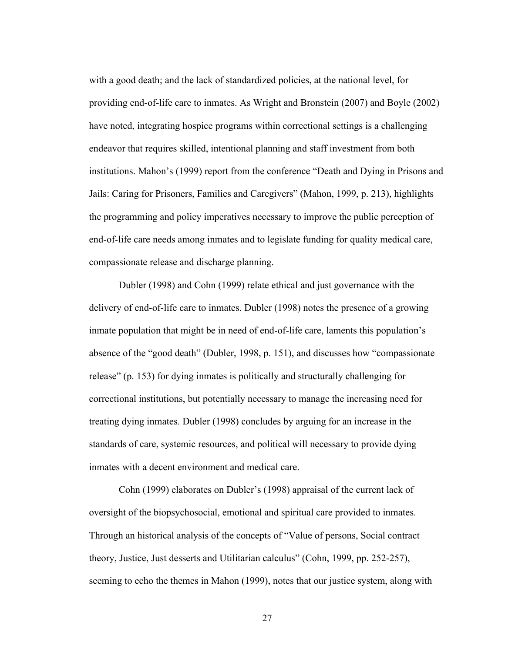with a good death; and the lack of standardized policies, at the national level, for providing end-of-life care to inmates. As Wright and Bronstein (2007) and Boyle (2002) have noted, integrating hospice programs within correctional settings is a challenging endeavor that requires skilled, intentional planning and staff investment from both institutions. Mahon's (1999) report from the conference "Death and Dying in Prisons and Jails: Caring for Prisoners, Families and Caregivers" (Mahon, 1999, p. 213), highlights the programming and policy imperatives necessary to improve the public perception of end-of-life care needs among inmates and to legislate funding for quality medical care, compassionate release and discharge planning.

Dubler (1998) and Cohn (1999) relate ethical and just governance with the delivery of end-of-life care to inmates. Dubler (1998) notes the presence of a growing inmate population that might be in need of end-of-life care, laments this population's absence of the "good death" (Dubler, 1998, p. 151), and discusses how "compassionate release" (p. 153) for dying inmates is politically and structurally challenging for correctional institutions, but potentially necessary to manage the increasing need for treating dying inmates. Dubler (1998) concludes by arguing for an increase in the standards of care, systemic resources, and political will necessary to provide dying inmates with a decent environment and medical care.

Cohn (1999) elaborates on Dubler's (1998) appraisal of the current lack of oversight of the biopsychosocial, emotional and spiritual care provided to inmates. Through an historical analysis of the concepts of "Value of persons, Social contract theory, Justice, Just desserts and Utilitarian calculus" (Cohn, 1999, pp. 252-257), seeming to echo the themes in Mahon (1999), notes that our justice system, along with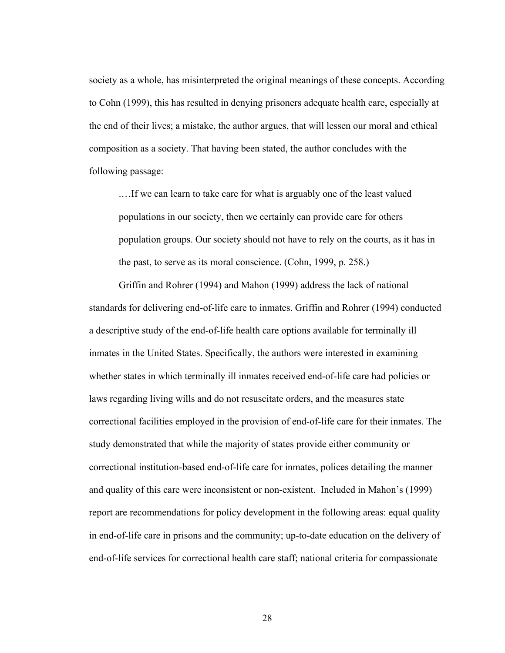society as a whole, has misinterpreted the original meanings of these concepts. According to Cohn (1999), this has resulted in denying prisoners adequate health care, especially at the end of their lives; a mistake, the author argues, that will lessen our moral and ethical composition as a society. That having been stated, the author concludes with the following passage:

.…If we can learn to take care for what is arguably one of the least valued populations in our society, then we certainly can provide care for others population groups. Our society should not have to rely on the courts, as it has in the past, to serve as its moral conscience. (Cohn, 1999, p. 258.)

Griffin and Rohrer (1994) and Mahon (1999) address the lack of national standards for delivering end-of-life care to inmates. Griffin and Rohrer (1994) conducted a descriptive study of the end-of-life health care options available for terminally ill inmates in the United States. Specifically, the authors were interested in examining whether states in which terminally ill inmates received end-of-life care had policies or laws regarding living wills and do not resuscitate orders, and the measures state correctional facilities employed in the provision of end-of-life care for their inmates. The study demonstrated that while the majority of states provide either community or correctional institution-based end-of-life care for inmates, polices detailing the manner and quality of this care were inconsistent or non-existent. Included in Mahon's (1999) report are recommendations for policy development in the following areas: equal quality in end-of-life care in prisons and the community; up-to-date education on the delivery of end-of-life services for correctional health care staff; national criteria for compassionate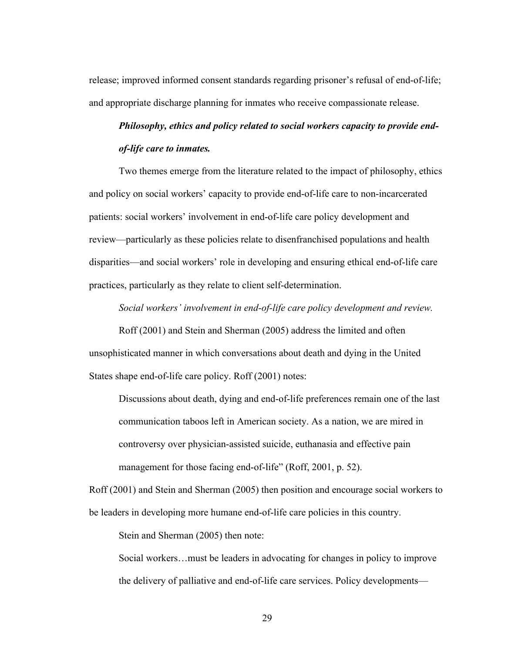release; improved informed consent standards regarding prisoner's refusal of end-of-life; and appropriate discharge planning for inmates who receive compassionate release.

## *Philosophy, ethics and policy related to social workers capacity to provide endof-life care to inmates.*

Two themes emerge from the literature related to the impact of philosophy, ethics and policy on social workers' capacity to provide end-of-life care to non-incarcerated patients: social workers' involvement in end-of-life care policy development and review—particularly as these policies relate to disenfranchised populations and health disparities—and social workers' role in developing and ensuring ethical end-of-life care practices, particularly as they relate to client self-determination.

*Social workers' involvement in end-of-life care policy development and review.*

Roff (2001) and Stein and Sherman (2005) address the limited and often unsophisticated manner in which conversations about death and dying in the United States shape end-of-life care policy. Roff (2001) notes:

Discussions about death, dying and end-of-life preferences remain one of the last communication taboos left in American society. As a nation, we are mired in controversy over physician-assisted suicide, euthanasia and effective pain management for those facing end-of-life" (Roff, 2001, p. 52).

Roff (2001) and Stein and Sherman (2005) then position and encourage social workers to be leaders in developing more humane end-of-life care policies in this country.

Stein and Sherman (2005) then note:

Social workers…must be leaders in advocating for changes in policy to improve the delivery of palliative and end-of-life care services. Policy developments—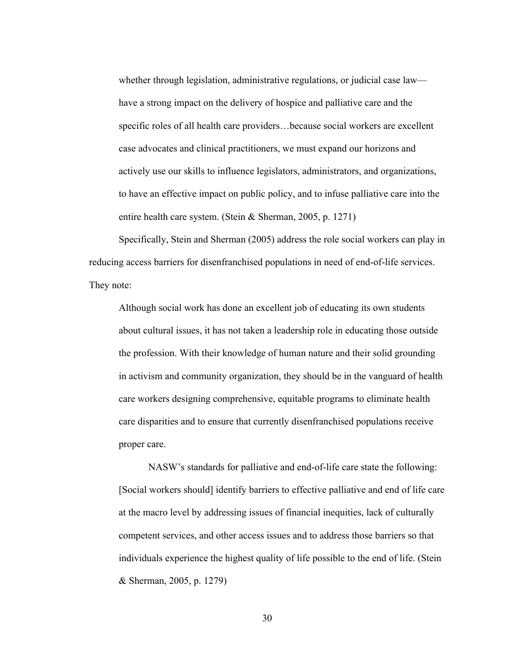whether through legislation, administrative regulations, or judicial case law have a strong impact on the delivery of hospice and palliative care and the specific roles of all health care providers…because social workers are excellent case advocates and clinical practitioners, we must expand our horizons and actively use our skills to influence legislators, administrators, and organizations, to have an effective impact on public policy, and to infuse palliative care into the entire health care system. (Stein & Sherman, 2005, p. 1271)

Specifically, Stein and Sherman (2005) address the role social workers can play in reducing access barriers for disenfranchised populations in need of end-of-life services. They note:

Although social work has done an excellent job of educating its own students about cultural issues, it has not taken a leadership role in educating those outside the profession. With their knowledge of human nature and their solid grounding in activism and community organization, they should be in the vanguard of health care workers designing comprehensive, equitable programs to eliminate health care disparities and to ensure that currently disenfranchised populations receive proper care.

NASW's standards for palliative and end-of-life care state the following: [Social workers should] identify barriers to effective palliative and end of life care at the macro level by addressing issues of financial inequities, lack of culturally competent services, and other access issues and to address those barriers so that individuals experience the highest quality of life possible to the end of life. (Stein & Sherman, 2005, p. 1279)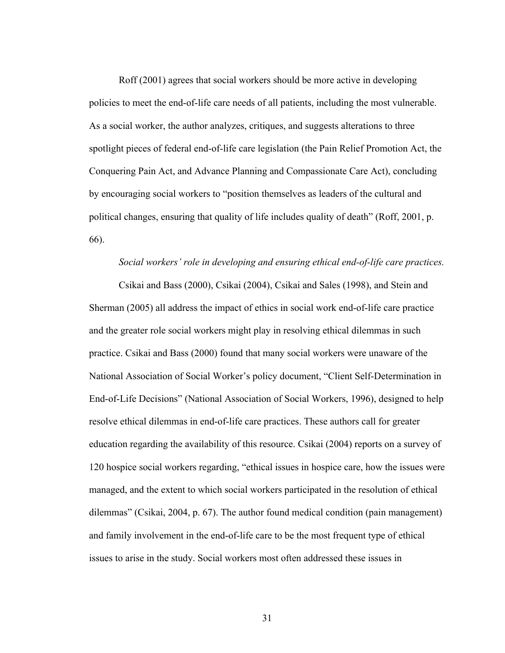Roff (2001) agrees that social workers should be more active in developing policies to meet the end-of-life care needs of all patients, including the most vulnerable. As a social worker, the author analyzes, critiques, and suggests alterations to three spotlight pieces of federal end-of-life care legislation (the Pain Relief Promotion Act, the Conquering Pain Act, and Advance Planning and Compassionate Care Act), concluding by encouraging social workers to "position themselves as leaders of the cultural and political changes, ensuring that quality of life includes quality of death" (Roff, 2001, p. 66).

## *Social workers' role in developing and ensuring ethical end-of-life care practices.*

Csikai and Bass (2000), Csikai (2004), Csikai and Sales (1998), and Stein and Sherman (2005) all address the impact of ethics in social work end-of-life care practice and the greater role social workers might play in resolving ethical dilemmas in such practice. Csikai and Bass (2000) found that many social workers were unaware of the National Association of Social Worker's policy document, "Client Self-Determination in End-of-Life Decisions" (National Association of Social Workers, 1996), designed to help resolve ethical dilemmas in end-of-life care practices. These authors call for greater education regarding the availability of this resource. Csikai (2004) reports on a survey of 120 hospice social workers regarding, "ethical issues in hospice care, how the issues were managed, and the extent to which social workers participated in the resolution of ethical dilemmas" (Csikai, 2004, p. 67). The author found medical condition (pain management) and family involvement in the end-of-life care to be the most frequent type of ethical issues to arise in the study. Social workers most often addressed these issues in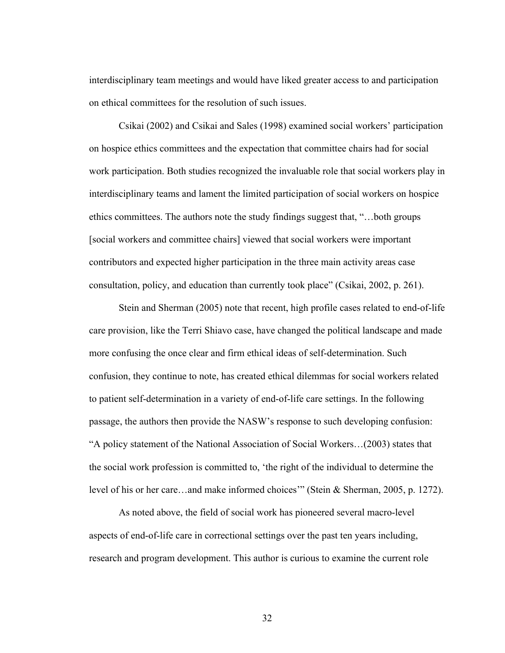interdisciplinary team meetings and would have liked greater access to and participation on ethical committees for the resolution of such issues.

Csikai (2002) and Csikai and Sales (1998) examined social workers' participation on hospice ethics committees and the expectation that committee chairs had for social work participation. Both studies recognized the invaluable role that social workers play in interdisciplinary teams and lament the limited participation of social workers on hospice ethics committees. The authors note the study findings suggest that, "…both groups [social workers and committee chairs] viewed that social workers were important contributors and expected higher participation in the three main activity areas case consultation, policy, and education than currently took place" (Csikai, 2002, p. 261).

Stein and Sherman (2005) note that recent, high profile cases related to end-of-life care provision, like the Terri Shiavo case, have changed the political landscape and made more confusing the once clear and firm ethical ideas of self-determination. Such confusion, they continue to note, has created ethical dilemmas for social workers related to patient self-determination in a variety of end-of-life care settings. In the following passage, the authors then provide the NASW's response to such developing confusion: "A policy statement of the National Association of Social Workers…(2003) states that the social work profession is committed to, 'the right of the individual to determine the level of his or her care…and make informed choices'" (Stein & Sherman, 2005, p. 1272).

As noted above, the field of social work has pioneered several macro-level aspects of end-of-life care in correctional settings over the past ten years including, research and program development. This author is curious to examine the current role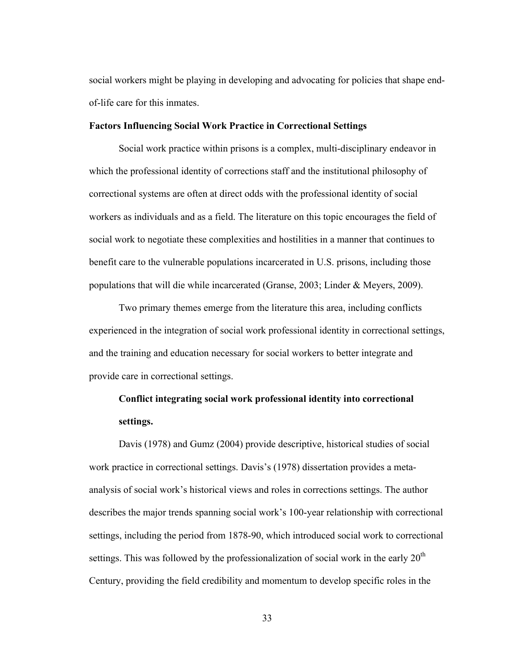social workers might be playing in developing and advocating for policies that shape endof-life care for this inmates.

#### **Factors Influencing Social Work Practice in Correctional Settings**

Social work practice within prisons is a complex, multi-disciplinary endeavor in which the professional identity of corrections staff and the institutional philosophy of correctional systems are often at direct odds with the professional identity of social workers as individuals and as a field. The literature on this topic encourages the field of social work to negotiate these complexities and hostilities in a manner that continues to benefit care to the vulnerable populations incarcerated in U.S. prisons, including those populations that will die while incarcerated (Granse, 2003; Linder & Meyers, 2009).

Two primary themes emerge from the literature this area, including conflicts experienced in the integration of social work professional identity in correctional settings, and the training and education necessary for social workers to better integrate and provide care in correctional settings.

# **Conflict integrating social work professional identity into correctional settings.**

Davis (1978) and Gumz (2004) provide descriptive, historical studies of social work practice in correctional settings. Davis's (1978) dissertation provides a metaanalysis of social work's historical views and roles in corrections settings. The author describes the major trends spanning social work's 100-year relationship with correctional settings, including the period from 1878-90, which introduced social work to correctional settings. This was followed by the professionalization of social work in the early  $20<sup>th</sup>$ Century, providing the field credibility and momentum to develop specific roles in the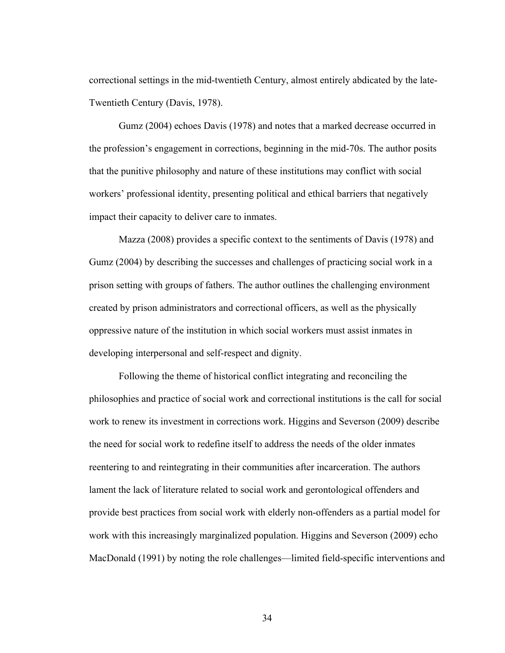correctional settings in the mid-twentieth Century, almost entirely abdicated by the late-Twentieth Century (Davis, 1978).

Gumz (2004) echoes Davis (1978) and notes that a marked decrease occurred in the profession's engagement in corrections, beginning in the mid-70s. The author posits that the punitive philosophy and nature of these institutions may conflict with social workers' professional identity, presenting political and ethical barriers that negatively impact their capacity to deliver care to inmates.

Mazza (2008) provides a specific context to the sentiments of Davis (1978) and Gumz (2004) by describing the successes and challenges of practicing social work in a prison setting with groups of fathers. The author outlines the challenging environment created by prison administrators and correctional officers, as well as the physically oppressive nature of the institution in which social workers must assist inmates in developing interpersonal and self-respect and dignity.

Following the theme of historical conflict integrating and reconciling the philosophies and practice of social work and correctional institutions is the call for social work to renew its investment in corrections work. Higgins and Severson (2009) describe the need for social work to redefine itself to address the needs of the older inmates reentering to and reintegrating in their communities after incarceration. The authors lament the lack of literature related to social work and gerontological offenders and provide best practices from social work with elderly non-offenders as a partial model for work with this increasingly marginalized population. Higgins and Severson (2009) echo MacDonald (1991) by noting the role challenges—limited field-specific interventions and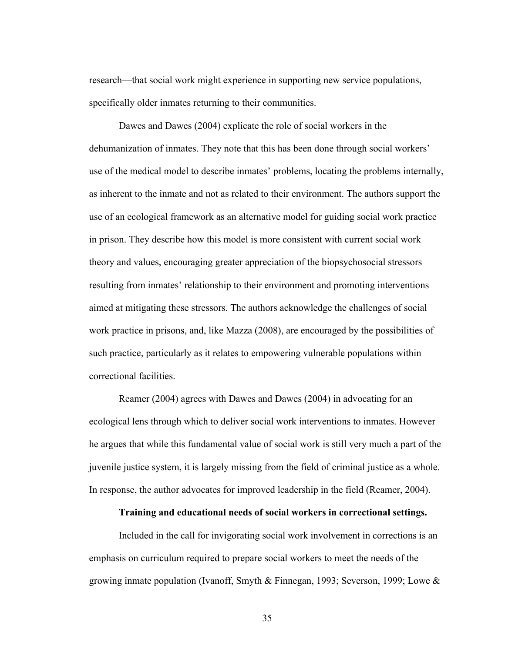research—that social work might experience in supporting new service populations, specifically older inmates returning to their communities.

Dawes and Dawes (2004) explicate the role of social workers in the dehumanization of inmates. They note that this has been done through social workers' use of the medical model to describe inmates' problems, locating the problems internally, as inherent to the inmate and not as related to their environment. The authors support the use of an ecological framework as an alternative model for guiding social work practice in prison. They describe how this model is more consistent with current social work theory and values, encouraging greater appreciation of the biopsychosocial stressors resulting from inmates' relationship to their environment and promoting interventions aimed at mitigating these stressors. The authors acknowledge the challenges of social work practice in prisons, and, like Mazza (2008), are encouraged by the possibilities of such practice, particularly as it relates to empowering vulnerable populations within correctional facilities.

Reamer (2004) agrees with Dawes and Dawes (2004) in advocating for an ecological lens through which to deliver social work interventions to inmates. However he argues that while this fundamental value of social work is still very much a part of the juvenile justice system, it is largely missing from the field of criminal justice as a whole. In response, the author advocates for improved leadership in the field (Reamer, 2004).

## **Training and educational needs of social workers in correctional settings.**

Included in the call for invigorating social work involvement in corrections is an emphasis on curriculum required to prepare social workers to meet the needs of the growing inmate population (Ivanoff, Smyth & Finnegan, 1993; Severson, 1999; Lowe &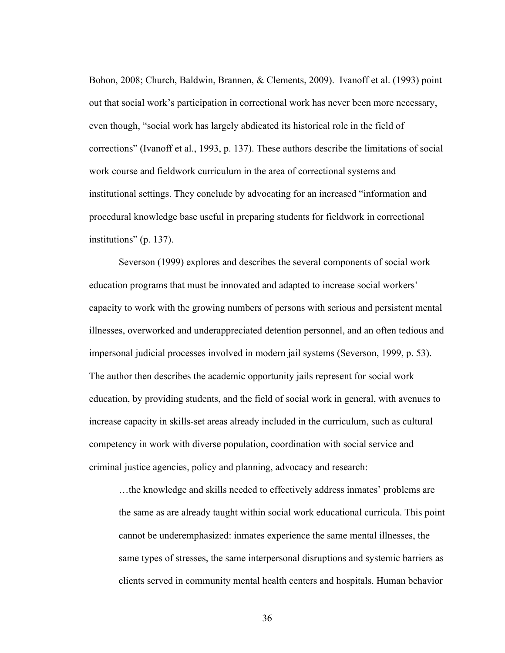Bohon, 2008; Church, Baldwin, Brannen, & Clements, 2009). Ivanoff et al. (1993) point out that social work's participation in correctional work has never been more necessary, even though, "social work has largely abdicated its historical role in the field of corrections" (Ivanoff et al., 1993, p. 137). These authors describe the limitations of social work course and fieldwork curriculum in the area of correctional systems and institutional settings. They conclude by advocating for an increased "information and procedural knowledge base useful in preparing students for fieldwork in correctional institutions" (p. 137).

Severson (1999) explores and describes the several components of social work education programs that must be innovated and adapted to increase social workers' capacity to work with the growing numbers of persons with serious and persistent mental illnesses, overworked and underappreciated detention personnel, and an often tedious and impersonal judicial processes involved in modern jail systems (Severson, 1999, p. 53). The author then describes the academic opportunity jails represent for social work education, by providing students, and the field of social work in general, with avenues to increase capacity in skills-set areas already included in the curriculum, such as cultural competency in work with diverse population, coordination with social service and criminal justice agencies, policy and planning, advocacy and research:

…the knowledge and skills needed to effectively address inmates' problems are the same as are already taught within social work educational curricula. This point cannot be underemphasized: inmates experience the same mental illnesses, the same types of stresses, the same interpersonal disruptions and systemic barriers as clients served in community mental health centers and hospitals. Human behavior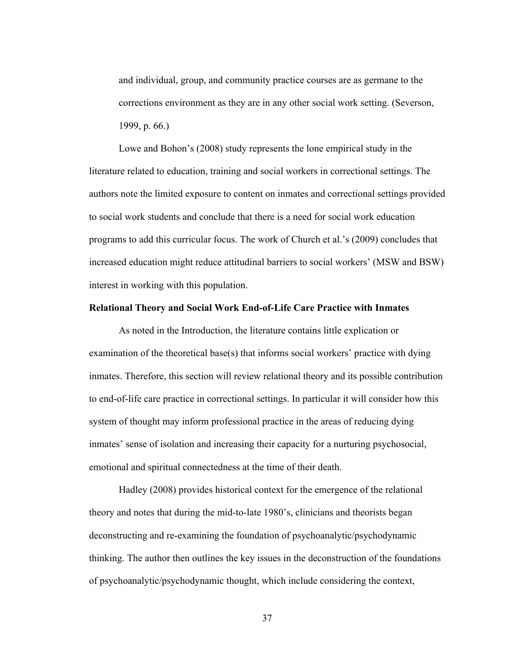and individual, group, and community practice courses are as germane to the corrections environment as they are in any other social work setting. (Severson, 1999, p. 66.)

Lowe and Bohon's (2008) study represents the lone empirical study in the literature related to education, training and social workers in correctional settings. The authors note the limited exposure to content on inmates and correctional settings provided to social work students and conclude that there is a need for social work education programs to add this curricular focus. The work of Church et al.'s (2009) concludes that increased education might reduce attitudinal barriers to social workers' (MSW and BSW) interest in working with this population.

### **Relational Theory and Social Work End-of-Life Care Practice with Inmates**

As noted in the Introduction, the literature contains little explication or examination of the theoretical base(s) that informs social workers' practice with dying inmates. Therefore, this section will review relational theory and its possible contribution to end-of-life care practice in correctional settings. In particular it will consider how this system of thought may inform professional practice in the areas of reducing dying inmates' sense of isolation and increasing their capacity for a nurturing psychosocial, emotional and spiritual connectedness at the time of their death.

Hadley (2008) provides historical context for the emergence of the relational theory and notes that during the mid-to-late 1980's, clinicians and theorists began deconstructing and re-examining the foundation of psychoanalytic/psychodynamic thinking. The author then outlines the key issues in the deconstruction of the foundations of psychoanalytic/psychodynamic thought, which include considering the context,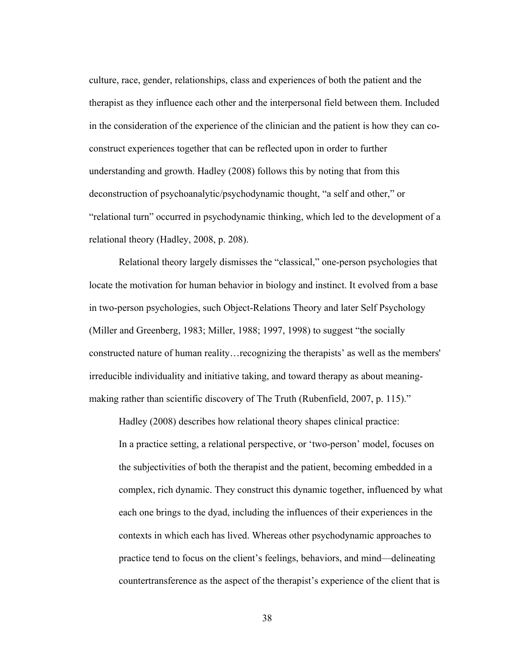culture, race, gender, relationships, class and experiences of both the patient and the therapist as they influence each other and the interpersonal field between them. Included in the consideration of the experience of the clinician and the patient is how they can coconstruct experiences together that can be reflected upon in order to further understanding and growth. Hadley (2008) follows this by noting that from this deconstruction of psychoanalytic/psychodynamic thought, "a self and other," or "relational turn" occurred in psychodynamic thinking, which led to the development of a relational theory (Hadley, 2008, p. 208).

Relational theory largely dismisses the "classical," one-person psychologies that locate the motivation for human behavior in biology and instinct. It evolved from a base in two-person psychologies, such Object-Relations Theory and later Self Psychology (Miller and Greenberg, 1983; Miller, 1988; 1997, 1998) to suggest "the socially constructed nature of human reality…recognizing the therapists' as well as the members' irreducible individuality and initiative taking, and toward therapy as about meaningmaking rather than scientific discovery of The Truth (Rubenfield, 2007, p. 115)."

Hadley (2008) describes how relational theory shapes clinical practice: In a practice setting, a relational perspective, or 'two-person' model, focuses on the subjectivities of both the therapist and the patient, becoming embedded in a complex, rich dynamic. They construct this dynamic together, influenced by what each one brings to the dyad, including the influences of their experiences in the contexts in which each has lived. Whereas other psychodynamic approaches to practice tend to focus on the client's feelings, behaviors, and mind—delineating countertransference as the aspect of the therapist's experience of the client that is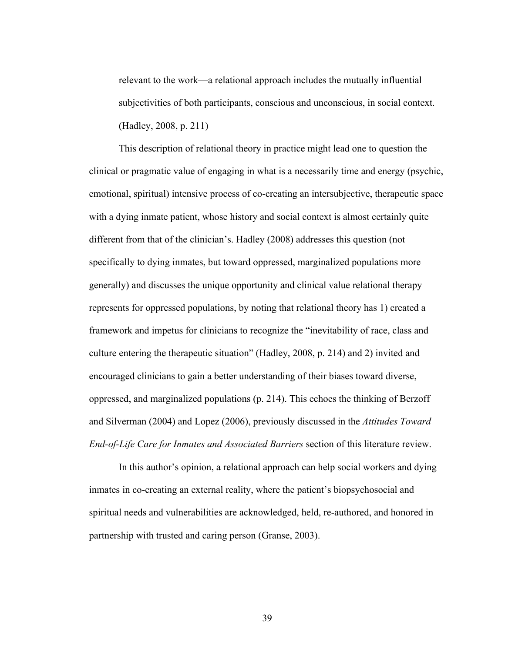relevant to the work—a relational approach includes the mutually influential subjectivities of both participants, conscious and unconscious, in social context. (Hadley, 2008, p. 211)

This description of relational theory in practice might lead one to question the clinical or pragmatic value of engaging in what is a necessarily time and energy (psychic, emotional, spiritual) intensive process of co-creating an intersubjective, therapeutic space with a dying inmate patient, whose history and social context is almost certainly quite different from that of the clinician's. Hadley (2008) addresses this question (not specifically to dying inmates, but toward oppressed, marginalized populations more generally) and discusses the unique opportunity and clinical value relational therapy represents for oppressed populations, by noting that relational theory has 1) created a framework and impetus for clinicians to recognize the "inevitability of race, class and culture entering the therapeutic situation" (Hadley, 2008, p. 214) and 2) invited and encouraged clinicians to gain a better understanding of their biases toward diverse, oppressed, and marginalized populations (p. 214). This echoes the thinking of Berzoff and Silverman (2004) and Lopez (2006), previously discussed in the *Attitudes Toward End-of-Life Care for Inmates and Associated Barriers* section of this literature review.

In this author's opinion, a relational approach can help social workers and dying inmates in co-creating an external reality, where the patient's biopsychosocial and spiritual needs and vulnerabilities are acknowledged, held, re-authored, and honored in partnership with trusted and caring person (Granse, 2003).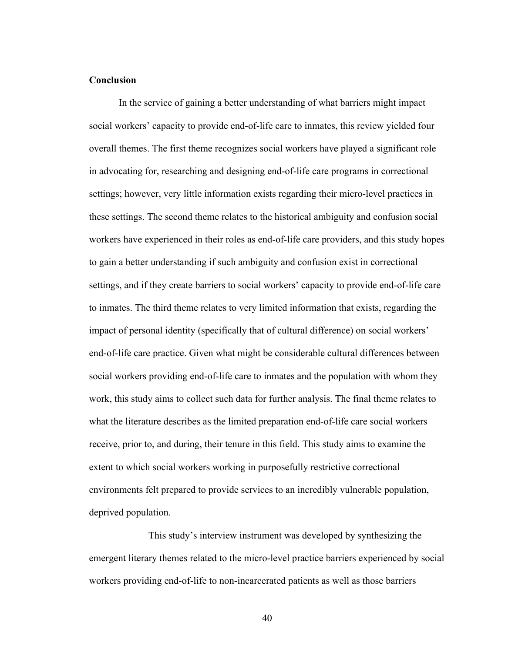## **Conclusion**

In the service of gaining a better understanding of what barriers might impact social workers' capacity to provide end-of-life care to inmates, this review yielded four overall themes. The first theme recognizes social workers have played a significant role in advocating for, researching and designing end-of-life care programs in correctional settings; however, very little information exists regarding their micro-level practices in these settings. The second theme relates to the historical ambiguity and confusion social workers have experienced in their roles as end-of-life care providers, and this study hopes to gain a better understanding if such ambiguity and confusion exist in correctional settings, and if they create barriers to social workers' capacity to provide end-of-life care to inmates. The third theme relates to very limited information that exists, regarding the impact of personal identity (specifically that of cultural difference) on social workers' end-of-life care practice. Given what might be considerable cultural differences between social workers providing end-of-life care to inmates and the population with whom they work, this study aims to collect such data for further analysis. The final theme relates to what the literature describes as the limited preparation end-of-life care social workers receive, prior to, and during, their tenure in this field. This study aims to examine the extent to which social workers working in purposefully restrictive correctional environments felt prepared to provide services to an incredibly vulnerable population, deprived population.

This study's interview instrument was developed by synthesizing the emergent literary themes related to the micro-level practice barriers experienced by social workers providing end-of-life to non-incarcerated patients as well as those barriers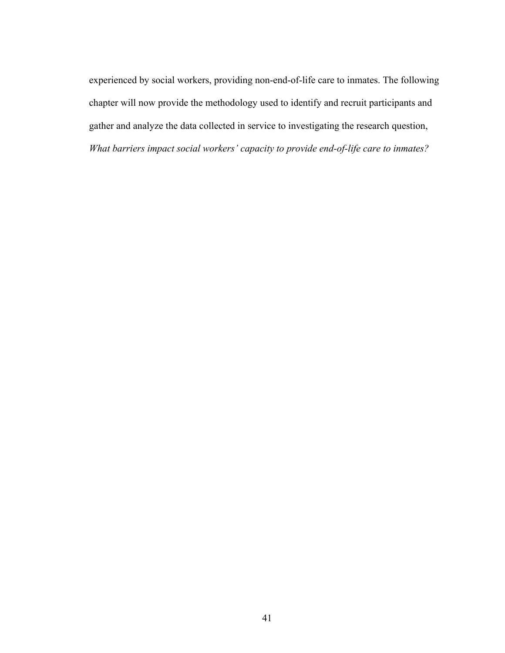experienced by social workers, providing non-end-of-life care to inmates. The following chapter will now provide the methodology used to identify and recruit participants and gather and analyze the data collected in service to investigating the research question, *What barriers impact social workers' capacity to provide end-of-life care to inmates?*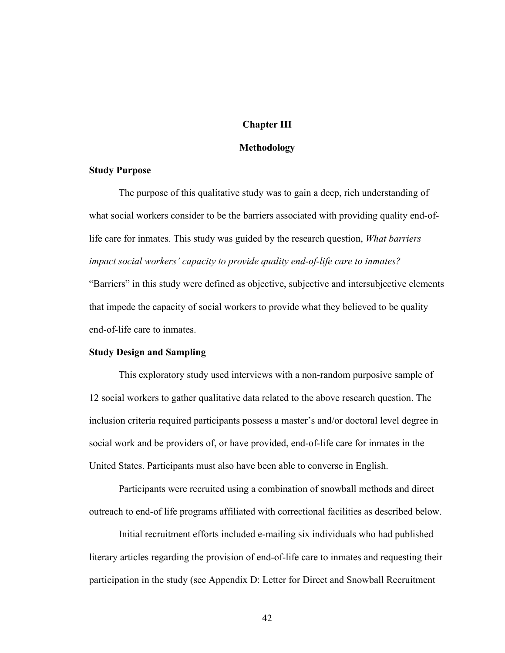## **Chapter III**

#### **Methodology**

## **Study Purpose**

The purpose of this qualitative study was to gain a deep, rich understanding of what social workers consider to be the barriers associated with providing quality end-oflife care for inmates. This study was guided by the research question, *What barriers impact social workers' capacity to provide quality end-of-life care to inmates?*  "Barriers" in this study were defined as objective, subjective and intersubjective elements that impede the capacity of social workers to provide what they believed to be quality end-of-life care to inmates.

#### **Study Design and Sampling**

This exploratory study used interviews with a non-random purposive sample of 12 social workers to gather qualitative data related to the above research question. The inclusion criteria required participants possess a master's and/or doctoral level degree in social work and be providers of, or have provided, end-of-life care for inmates in the United States. Participants must also have been able to converse in English.

Participants were recruited using a combination of snowball methods and direct outreach to end-of life programs affiliated with correctional facilities as described below.

Initial recruitment efforts included e-mailing six individuals who had published literary articles regarding the provision of end-of-life care to inmates and requesting their participation in the study (see Appendix D: Letter for Direct and Snowball Recruitment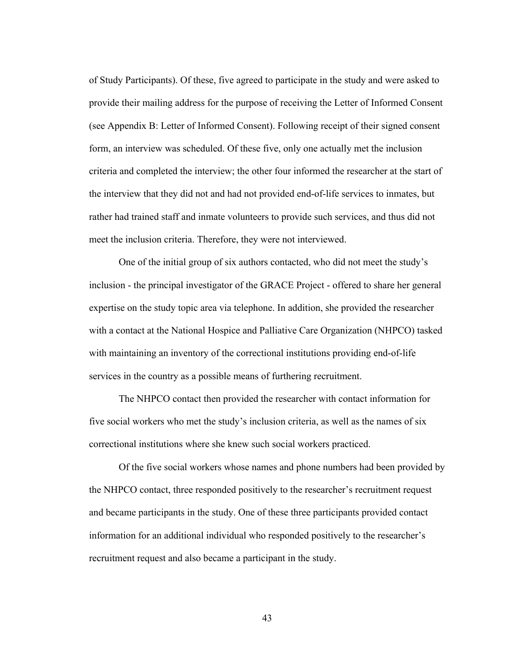of Study Participants). Of these, five agreed to participate in the study and were asked to provide their mailing address for the purpose of receiving the Letter of Informed Consent (see Appendix B: Letter of Informed Consent). Following receipt of their signed consent form, an interview was scheduled. Of these five, only one actually met the inclusion criteria and completed the interview; the other four informed the researcher at the start of the interview that they did not and had not provided end-of-life services to inmates, but rather had trained staff and inmate volunteers to provide such services, and thus did not meet the inclusion criteria. Therefore, they were not interviewed.

One of the initial group of six authors contacted, who did not meet the study's inclusion - the principal investigator of the GRACE Project - offered to share her general expertise on the study topic area via telephone. In addition, she provided the researcher with a contact at the National Hospice and Palliative Care Organization (NHPCO) tasked with maintaining an inventory of the correctional institutions providing end-of-life services in the country as a possible means of furthering recruitment.

The NHPCO contact then provided the researcher with contact information for five social workers who met the study's inclusion criteria, as well as the names of six correctional institutions where she knew such social workers practiced.

Of the five social workers whose names and phone numbers had been provided by the NHPCO contact, three responded positively to the researcher's recruitment request and became participants in the study. One of these three participants provided contact information for an additional individual who responded positively to the researcher's recruitment request and also became a participant in the study.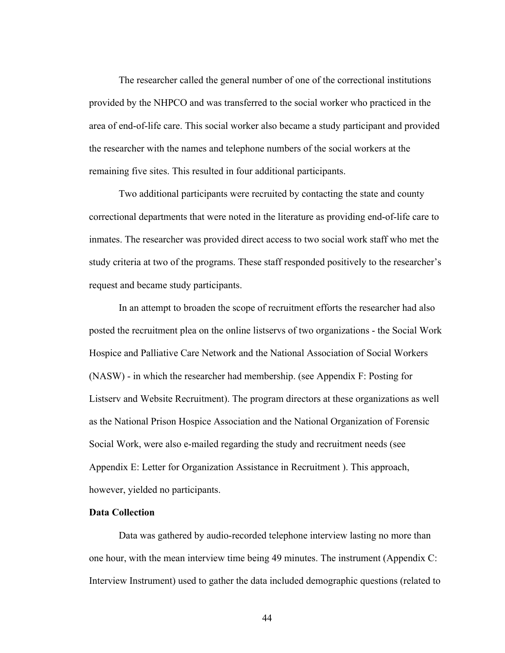The researcher called the general number of one of the correctional institutions provided by the NHPCO and was transferred to the social worker who practiced in the area of end-of-life care. This social worker also became a study participant and provided the researcher with the names and telephone numbers of the social workers at the remaining five sites. This resulted in four additional participants.

Two additional participants were recruited by contacting the state and county correctional departments that were noted in the literature as providing end-of-life care to inmates. The researcher was provided direct access to two social work staff who met the study criteria at two of the programs. These staff responded positively to the researcher's request and became study participants.

In an attempt to broaden the scope of recruitment efforts the researcher had also posted the recruitment plea on the online listservs of two organizations - the Social Work Hospice and Palliative Care Network and the National Association of Social Workers (NASW) - in which the researcher had membership. (see Appendix F: Posting for Listserv and Website Recruitment). The program directors at these organizations as well as the National Prison Hospice Association and the National Organization of Forensic Social Work, were also e-mailed regarding the study and recruitment needs (see Appendix E: Letter for Organization Assistance in Recruitment ). This approach, however, yielded no participants.

## **Data Collection**

Data was gathered by audio-recorded telephone interview lasting no more than one hour, with the mean interview time being 49 minutes. The instrument (Appendix C: Interview Instrument) used to gather the data included demographic questions (related to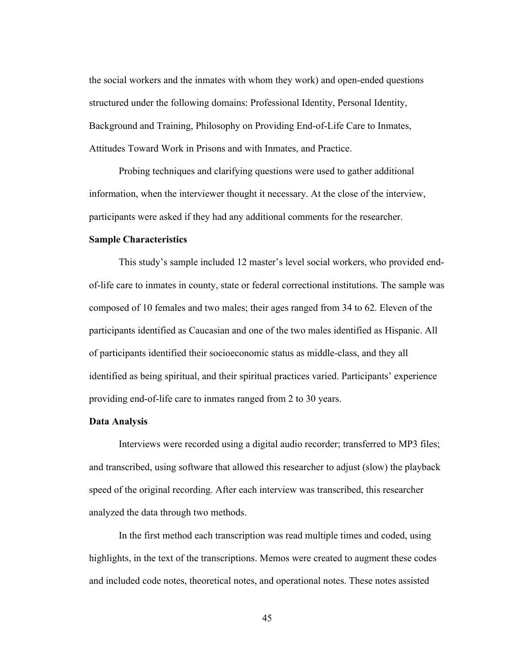the social workers and the inmates with whom they work) and open-ended questions structured under the following domains: Professional Identity, Personal Identity, Background and Training, Philosophy on Providing End-of-Life Care to Inmates, Attitudes Toward Work in Prisons and with Inmates, and Practice.

Probing techniques and clarifying questions were used to gather additional information, when the interviewer thought it necessary. At the close of the interview, participants were asked if they had any additional comments for the researcher.

#### **Sample Characteristics**

This study's sample included 12 master's level social workers, who provided endof-life care to inmates in county, state or federal correctional institutions. The sample was composed of 10 females and two males; their ages ranged from 34 to 62. Eleven of the participants identified as Caucasian and one of the two males identified as Hispanic. All of participants identified their socioeconomic status as middle-class, and they all identified as being spiritual, and their spiritual practices varied. Participants' experience providing end-of-life care to inmates ranged from 2 to 30 years.

#### **Data Analysis**

Interviews were recorded using a digital audio recorder; transferred to MP3 files; and transcribed, using software that allowed this researcher to adjust (slow) the playback speed of the original recording. After each interview was transcribed, this researcher analyzed the data through two methods.

In the first method each transcription was read multiple times and coded, using highlights, in the text of the transcriptions. Memos were created to augment these codes and included code notes, theoretical notes, and operational notes. These notes assisted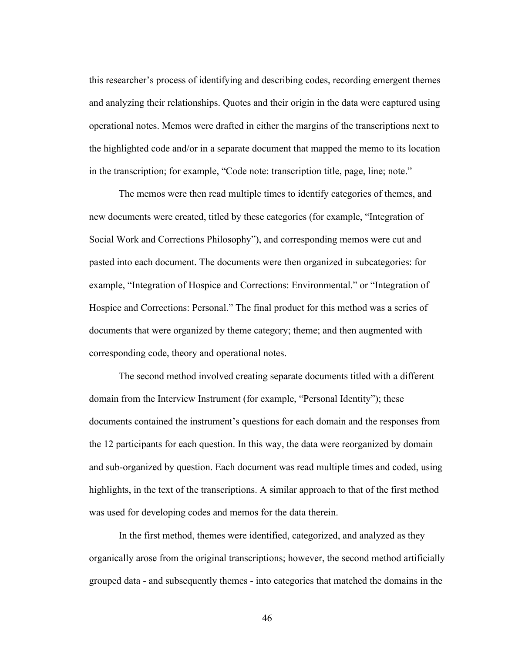this researcher's process of identifying and describing codes, recording emergent themes and analyzing their relationships. Quotes and their origin in the data were captured using operational notes. Memos were drafted in either the margins of the transcriptions next to the highlighted code and/or in a separate document that mapped the memo to its location in the transcription; for example, "Code note: transcription title, page, line; note."

The memos were then read multiple times to identify categories of themes, and new documents were created, titled by these categories (for example, "Integration of Social Work and Corrections Philosophy"), and corresponding memos were cut and pasted into each document. The documents were then organized in subcategories: for example, "Integration of Hospice and Corrections: Environmental." or "Integration of Hospice and Corrections: Personal." The final product for this method was a series of documents that were organized by theme category; theme; and then augmented with corresponding code, theory and operational notes.

The second method involved creating separate documents titled with a different domain from the Interview Instrument (for example, "Personal Identity"); these documents contained the instrument's questions for each domain and the responses from the 12 participants for each question. In this way, the data were reorganized by domain and sub-organized by question. Each document was read multiple times and coded, using highlights, in the text of the transcriptions. A similar approach to that of the first method was used for developing codes and memos for the data therein.

In the first method, themes were identified, categorized, and analyzed as they organically arose from the original transcriptions; however, the second method artificially grouped data - and subsequently themes - into categories that matched the domains in the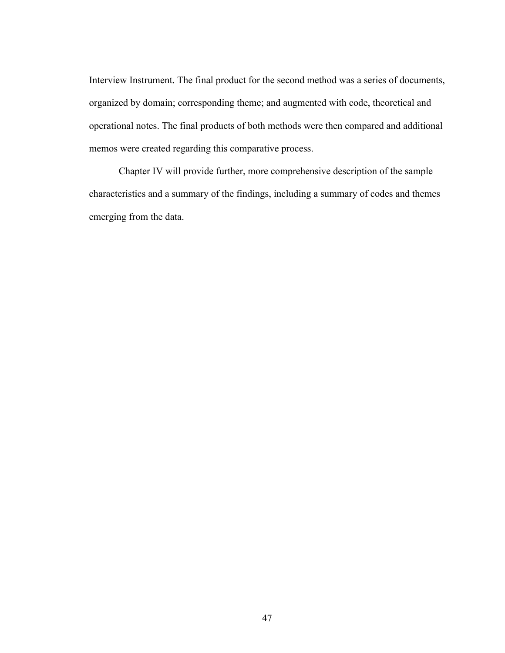Interview Instrument. The final product for the second method was a series of documents, organized by domain; corresponding theme; and augmented with code, theoretical and operational notes. The final products of both methods were then compared and additional memos were created regarding this comparative process.

Chapter IV will provide further, more comprehensive description of the sample characteristics and a summary of the findings, including a summary of codes and themes emerging from the data.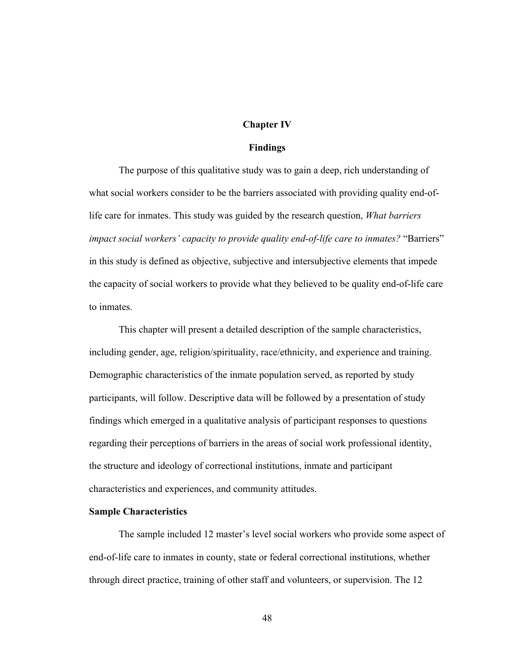## **Chapter IV**

### **Findings**

The purpose of this qualitative study was to gain a deep, rich understanding of what social workers consider to be the barriers associated with providing quality end-oflife care for inmates. This study was guided by the research question, *What barriers impact social workers' capacity to provide quality end-of-life care to inmates?* "Barriers" in this study is defined as objective, subjective and intersubjective elements that impede the capacity of social workers to provide what they believed to be quality end-of-life care to inmates.

This chapter will present a detailed description of the sample characteristics, including gender, age, religion/spirituality, race/ethnicity, and experience and training. Demographic characteristics of the inmate population served, as reported by study participants, will follow. Descriptive data will be followed by a presentation of study findings which emerged in a qualitative analysis of participant responses to questions regarding their perceptions of barriers in the areas of social work professional identity, the structure and ideology of correctional institutions, inmate and participant characteristics and experiences, and community attitudes.

#### **Sample Characteristics**

The sample included 12 master's level social workers who provide some aspect of end-of-life care to inmates in county, state or federal correctional institutions, whether through direct practice, training of other staff and volunteers, or supervision. The 12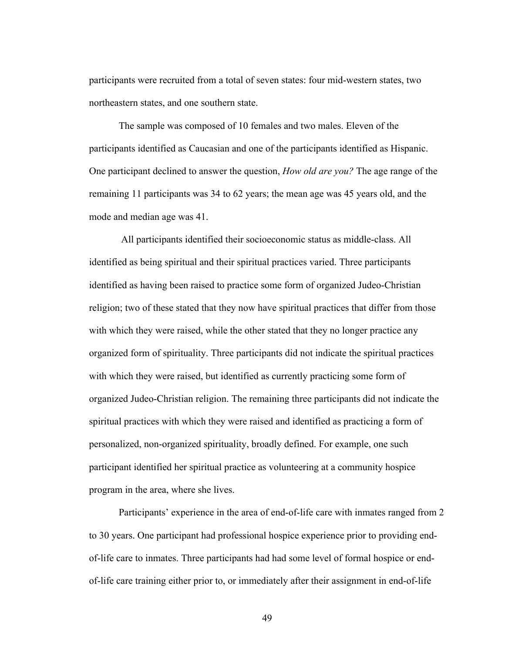participants were recruited from a total of seven states: four mid-western states, two northeastern states, and one southern state.

The sample was composed of 10 females and two males. Eleven of the participants identified as Caucasian and one of the participants identified as Hispanic. One participant declined to answer the question, *How old are you?* The age range of the remaining 11 participants was 34 to 62 years; the mean age was 45 years old, and the mode and median age was 41.

 All participants identified their socioeconomic status as middle-class. All identified as being spiritual and their spiritual practices varied. Three participants identified as having been raised to practice some form of organized Judeo-Christian religion; two of these stated that they now have spiritual practices that differ from those with which they were raised, while the other stated that they no longer practice any organized form of spirituality. Three participants did not indicate the spiritual practices with which they were raised, but identified as currently practicing some form of organized Judeo-Christian religion. The remaining three participants did not indicate the spiritual practices with which they were raised and identified as practicing a form of personalized, non-organized spirituality, broadly defined. For example, one such participant identified her spiritual practice as volunteering at a community hospice program in the area, where she lives.

Participants' experience in the area of end-of-life care with inmates ranged from 2 to 30 years. One participant had professional hospice experience prior to providing endof-life care to inmates. Three participants had had some level of formal hospice or endof-life care training either prior to, or immediately after their assignment in end-of-life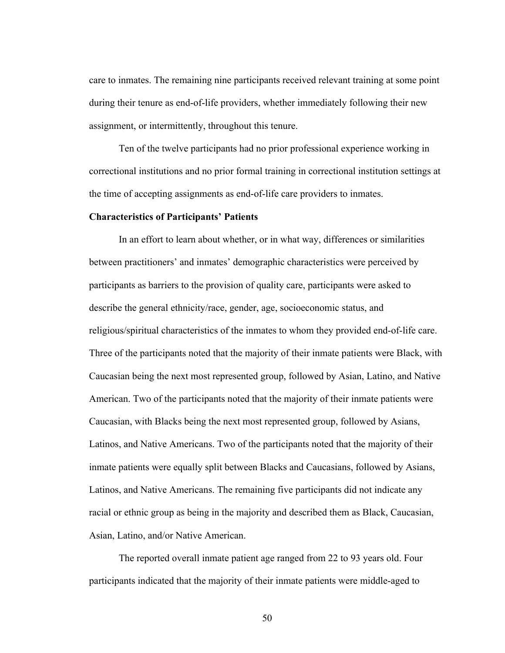care to inmates. The remaining nine participants received relevant training at some point during their tenure as end-of-life providers, whether immediately following their new assignment, or intermittently, throughout this tenure.

Ten of the twelve participants had no prior professional experience working in correctional institutions and no prior formal training in correctional institution settings at the time of accepting assignments as end-of-life care providers to inmates.

### **Characteristics of Participants' Patients**

In an effort to learn about whether, or in what way, differences or similarities between practitioners' and inmates' demographic characteristics were perceived by participants as barriers to the provision of quality care, participants were asked to describe the general ethnicity/race, gender, age, socioeconomic status, and religious/spiritual characteristics of the inmates to whom they provided end-of-life care. Three of the participants noted that the majority of their inmate patients were Black, with Caucasian being the next most represented group, followed by Asian, Latino, and Native American. Two of the participants noted that the majority of their inmate patients were Caucasian, with Blacks being the next most represented group, followed by Asians, Latinos, and Native Americans. Two of the participants noted that the majority of their inmate patients were equally split between Blacks and Caucasians, followed by Asians, Latinos, and Native Americans. The remaining five participants did not indicate any racial or ethnic group as being in the majority and described them as Black, Caucasian, Asian, Latino, and/or Native American.

The reported overall inmate patient age ranged from 22 to 93 years old. Four participants indicated that the majority of their inmate patients were middle-aged to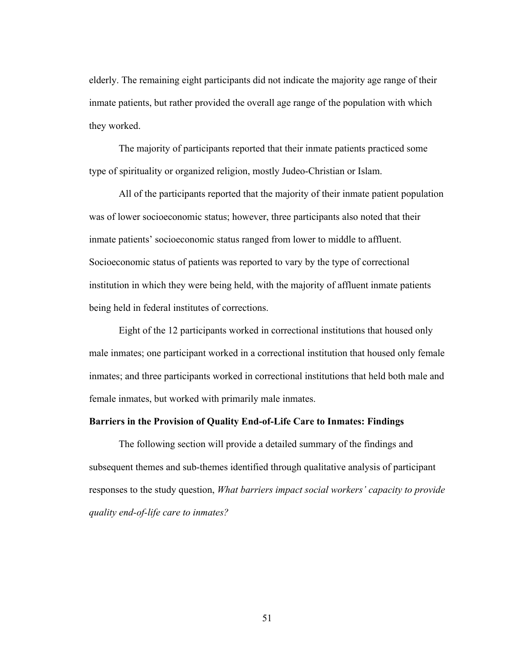elderly. The remaining eight participants did not indicate the majority age range of their inmate patients, but rather provided the overall age range of the population with which they worked.

The majority of participants reported that their inmate patients practiced some type of spirituality or organized religion, mostly Judeo-Christian or Islam.

All of the participants reported that the majority of their inmate patient population was of lower socioeconomic status; however, three participants also noted that their inmate patients' socioeconomic status ranged from lower to middle to affluent. Socioeconomic status of patients was reported to vary by the type of correctional institution in which they were being held, with the majority of affluent inmate patients being held in federal institutes of corrections.

Eight of the 12 participants worked in correctional institutions that housed only male inmates; one participant worked in a correctional institution that housed only female inmates; and three participants worked in correctional institutions that held both male and female inmates, but worked with primarily male inmates.

### **Barriers in the Provision of Quality End-of-Life Care to Inmates: Findings**

The following section will provide a detailed summary of the findings and subsequent themes and sub-themes identified through qualitative analysis of participant responses to the study question, *What barriers impact social workers' capacity to provide quality end-of-life care to inmates?*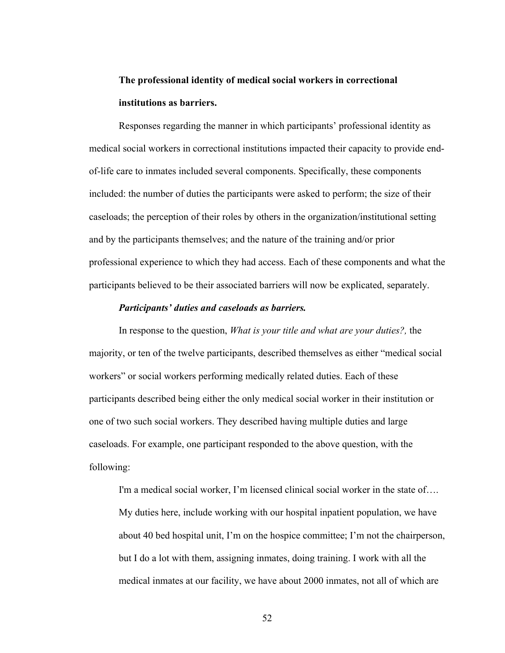# **The professional identity of medical social workers in correctional institutions as barriers.**

Responses regarding the manner in which participants' professional identity as medical social workers in correctional institutions impacted their capacity to provide endof-life care to inmates included several components. Specifically, these components included: the number of duties the participants were asked to perform; the size of their caseloads; the perception of their roles by others in the organization/institutional setting and by the participants themselves; and the nature of the training and/or prior professional experience to which they had access. Each of these components and what the participants believed to be their associated barriers will now be explicated, separately.

### *Participants' duties and caseloads as barriers.*

In response to the question, *What is your title and what are your duties?,* the majority, or ten of the twelve participants, described themselves as either "medical social workers" or social workers performing medically related duties. Each of these participants described being either the only medical social worker in their institution or one of two such social workers. They described having multiple duties and large caseloads. For example, one participant responded to the above question, with the following:

I'm a medical social worker, I'm licensed clinical social worker in the state of…. My duties here, include working with our hospital inpatient population, we have about 40 bed hospital unit, I'm on the hospice committee; I'm not the chairperson, but I do a lot with them, assigning inmates, doing training. I work with all the medical inmates at our facility, we have about 2000 inmates, not all of which are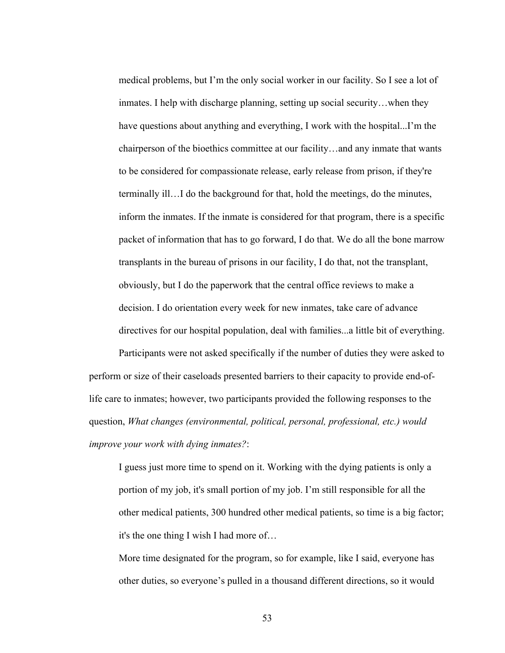medical problems, but I'm the only social worker in our facility. So I see a lot of inmates. I help with discharge planning, setting up social security…when they have questions about anything and everything, I work with the hospital...I'm the chairperson of the bioethics committee at our facility…and any inmate that wants to be considered for compassionate release, early release from prison, if they're terminally ill…I do the background for that, hold the meetings, do the minutes, inform the inmates. If the inmate is considered for that program, there is a specific packet of information that has to go forward, I do that. We do all the bone marrow transplants in the bureau of prisons in our facility, I do that, not the transplant, obviously, but I do the paperwork that the central office reviews to make a decision. I do orientation every week for new inmates, take care of advance directives for our hospital population, deal with families...a little bit of everything.

Participants were not asked specifically if the number of duties they were asked to perform or size of their caseloads presented barriers to their capacity to provide end-oflife care to inmates; however, two participants provided the following responses to the question, *What changes (environmental, political, personal, professional, etc.) would improve your work with dying inmates?*:

I guess just more time to spend on it. Working with the dying patients is only a portion of my job, it's small portion of my job. I'm still responsible for all the other medical patients, 300 hundred other medical patients, so time is a big factor; it's the one thing I wish I had more of…

More time designated for the program, so for example, like I said, everyone has other duties, so everyone's pulled in a thousand different directions, so it would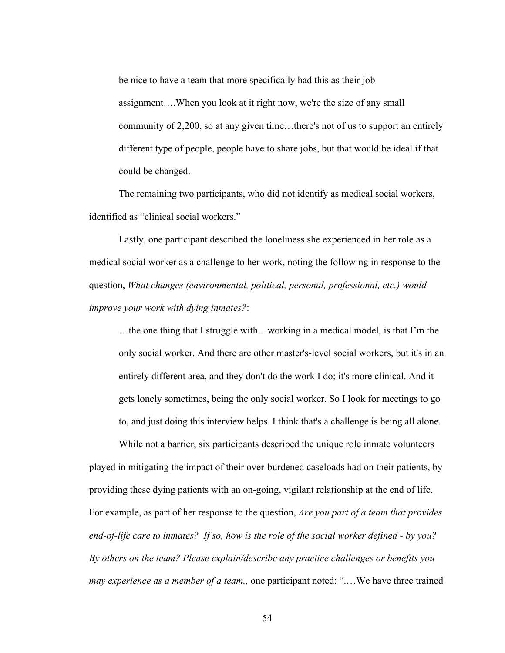be nice to have a team that more specifically had this as their job assignment….When you look at it right now, we're the size of any small community of 2,200, so at any given time…there's not of us to support an entirely different type of people, people have to share jobs, but that would be ideal if that could be changed.

The remaining two participants, who did not identify as medical social workers, identified as "clinical social workers."

Lastly, one participant described the loneliness she experienced in her role as a medical social worker as a challenge to her work, noting the following in response to the question, *What changes (environmental, political, personal, professional, etc.) would improve your work with dying inmates?*:

…the one thing that I struggle with…working in a medical model, is that I'm the only social worker. And there are other master's-level social workers, but it's in an entirely different area, and they don't do the work I do; it's more clinical. And it gets lonely sometimes, being the only social worker. So I look for meetings to go to, and just doing this interview helps. I think that's a challenge is being all alone.

While not a barrier, six participants described the unique role inmate volunteers played in mitigating the impact of their over-burdened caseloads had on their patients, by providing these dying patients with an on-going, vigilant relationship at the end of life. For example, as part of her response to the question, *Are you part of a team that provides end-of-life care to inmates? If so, how is the role of the social worker defined - by you? By others on the team? Please explain/describe any practice challenges or benefits you may experience as a member of a team.,* one participant noted: ".…We have three trained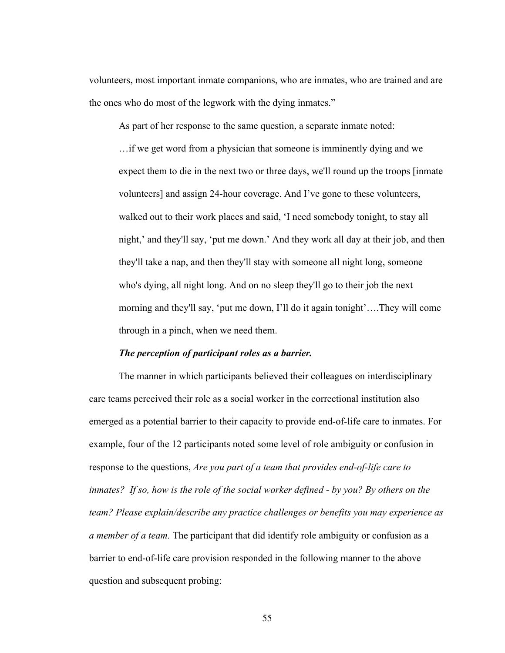volunteers, most important inmate companions, who are inmates, who are trained and are the ones who do most of the legwork with the dying inmates."

As part of her response to the same question, a separate inmate noted:

…if we get word from a physician that someone is imminently dying and we expect them to die in the next two or three days, we'll round up the troops [inmate volunteers] and assign 24-hour coverage. And I've gone to these volunteers, walked out to their work places and said, 'I need somebody tonight, to stay all night,' and they'll say, 'put me down.' And they work all day at their job, and then they'll take a nap, and then they'll stay with someone all night long, someone who's dying, all night long. And on no sleep they'll go to their job the next morning and they'll say, 'put me down, I'll do it again tonight'….They will come through in a pinch, when we need them.

#### *The perception of participant roles as a barrier.*

The manner in which participants believed their colleagues on interdisciplinary care teams perceived their role as a social worker in the correctional institution also emerged as a potential barrier to their capacity to provide end-of-life care to inmates. For example, four of the 12 participants noted some level of role ambiguity or confusion in response to the questions, *Are you part of a team that provides end-of-life care to inmates? If so, how is the role of the social worker defined - by you? By others on the team? Please explain/describe any practice challenges or benefits you may experience as a member of a team.* The participant that did identify role ambiguity or confusion as a barrier to end-of-life care provision responded in the following manner to the above question and subsequent probing: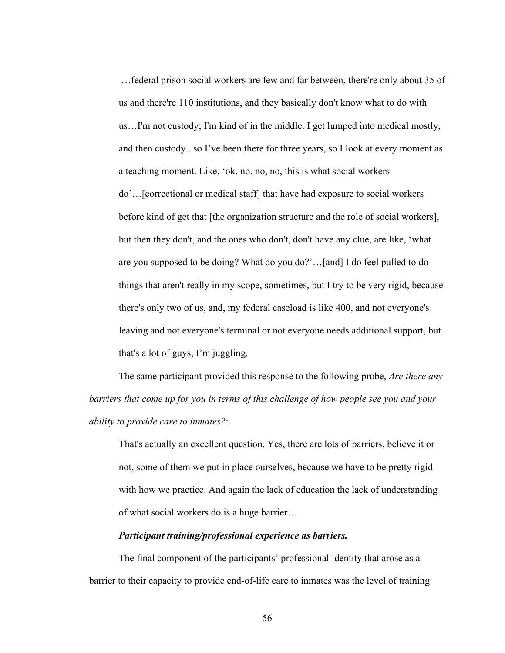…federal prison social workers are few and far between, there're only about 35 of us and there're 110 institutions, and they basically don't know what to do with us…I'm not custody; I'm kind of in the middle. I get lumped into medical mostly, and then custody...so I've been there for three years, so I look at every moment as a teaching moment. Like, 'ok, no, no, no, this is what social workers do'…[correctional or medical staff] that have had exposure to social workers before kind of get that [the organization structure and the role of social workers], but then they don't, and the ones who don't, don't have any clue, are like, 'what are you supposed to be doing? What do you do?'…[and] I do feel pulled to do things that aren't really in my scope, sometimes, but I try to be very rigid, because there's only two of us, and, my federal caseload is like 400, and not everyone's leaving and not everyone's terminal or not everyone needs additional support, but that's a lot of guys, I'm juggling.

The same participant provided this response to the following probe, *Are there any barriers that come up for you in terms of this challenge of how people see you and your ability to provide care to inmates?*:

That's actually an excellent question. Yes, there are lots of barriers, believe it or not, some of them we put in place ourselves, because we have to be pretty rigid with how we practice. And again the lack of education the lack of understanding of what social workers do is a huge barrier…

## *Participant training/professional experience as barriers.*

The final component of the participants' professional identity that arose as a barrier to their capacity to provide end-of-life care to inmates was the level of training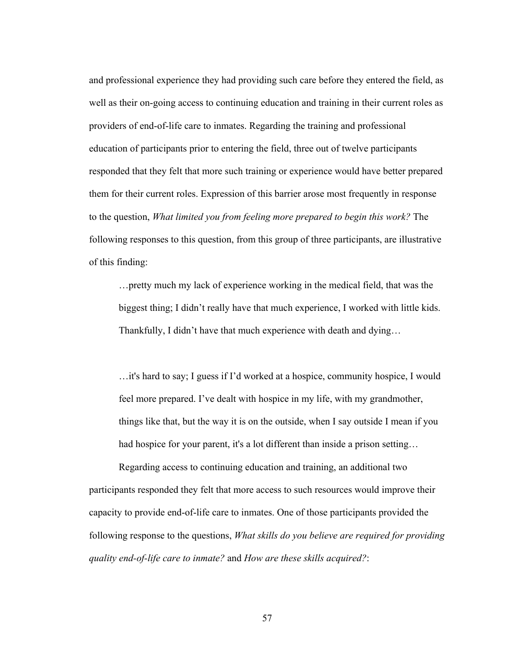and professional experience they had providing such care before they entered the field, as well as their on-going access to continuing education and training in their current roles as providers of end-of-life care to inmates. Regarding the training and professional education of participants prior to entering the field, three out of twelve participants responded that they felt that more such training or experience would have better prepared them for their current roles. Expression of this barrier arose most frequently in response to the question, *What limited you from feeling more prepared to begin this work?* The following responses to this question, from this group of three participants, are illustrative of this finding:

…pretty much my lack of experience working in the medical field, that was the biggest thing; I didn't really have that much experience, I worked with little kids. Thankfully, I didn't have that much experience with death and dying…

…it's hard to say; I guess if I'd worked at a hospice, community hospice, I would feel more prepared. I've dealt with hospice in my life, with my grandmother, things like that, but the way it is on the outside, when I say outside I mean if you had hospice for your parent, it's a lot different than inside a prison setting...

Regarding access to continuing education and training, an additional two participants responded they felt that more access to such resources would improve their capacity to provide end-of-life care to inmates. One of those participants provided the following response to the questions, *What skills do you believe are required for providing quality end-of-life care to inmate?* and *How are these skills acquired?*: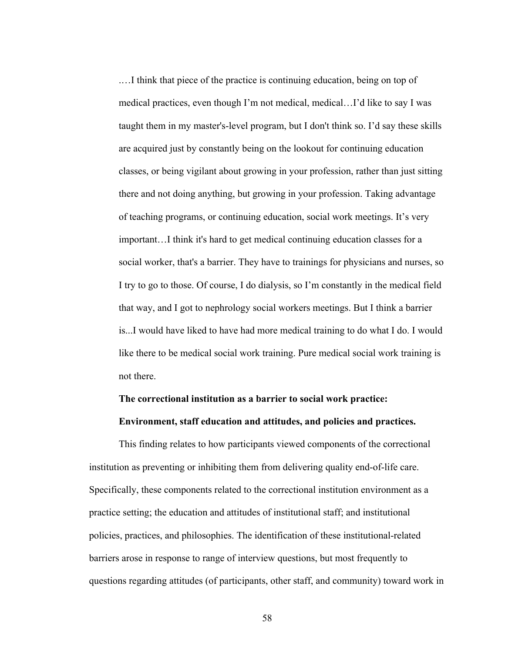.…I think that piece of the practice is continuing education, being on top of medical practices, even though I'm not medical, medical…I'd like to say I was taught them in my master's-level program, but I don't think so. I'd say these skills are acquired just by constantly being on the lookout for continuing education classes, or being vigilant about growing in your profession, rather than just sitting there and not doing anything, but growing in your profession. Taking advantage of teaching programs, or continuing education, social work meetings. It's very important…I think it's hard to get medical continuing education classes for a social worker, that's a barrier. They have to trainings for physicians and nurses, so I try to go to those. Of course, I do dialysis, so I'm constantly in the medical field that way, and I got to nephrology social workers meetings. But I think a barrier is...I would have liked to have had more medical training to do what I do. I would like there to be medical social work training. Pure medical social work training is not there.

# **The correctional institution as a barrier to social work practice: Environment, staff education and attitudes, and policies and practices.**

This finding relates to how participants viewed components of the correctional institution as preventing or inhibiting them from delivering quality end-of-life care. Specifically, these components related to the correctional institution environment as a practice setting; the education and attitudes of institutional staff; and institutional policies, practices, and philosophies. The identification of these institutional-related barriers arose in response to range of interview questions, but most frequently to questions regarding attitudes (of participants, other staff, and community) toward work in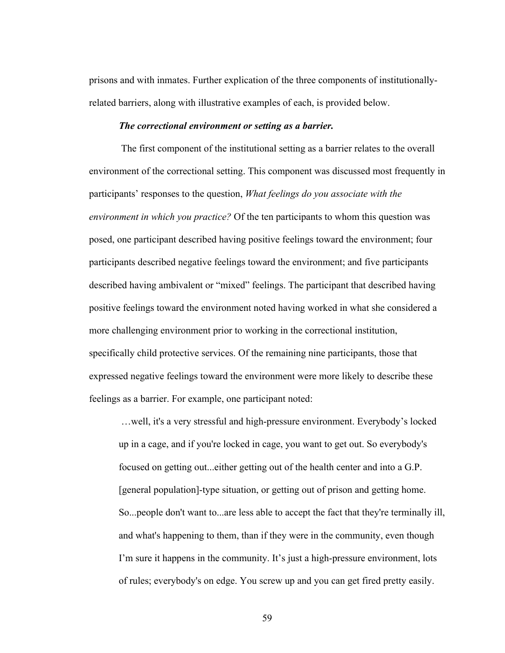prisons and with inmates. Further explication of the three components of institutionallyrelated barriers, along with illustrative examples of each, is provided below.

#### *The correctional environment or setting as a barrier.*

 The first component of the institutional setting as a barrier relates to the overall environment of the correctional setting. This component was discussed most frequently in participants' responses to the question, *What feelings do you associate with the environment in which you practice?* Of the ten participants to whom this question was posed, one participant described having positive feelings toward the environment; four participants described negative feelings toward the environment; and five participants described having ambivalent or "mixed" feelings. The participant that described having positive feelings toward the environment noted having worked in what she considered a more challenging environment prior to working in the correctional institution, specifically child protective services. Of the remaining nine participants, those that expressed negative feelings toward the environment were more likely to describe these feelings as a barrier. For example, one participant noted:

 …well, it's a very stressful and high-pressure environment. Everybody's locked up in a cage, and if you're locked in cage, you want to get out. So everybody's focused on getting out...either getting out of the health center and into a G.P. [general population]-type situation, or getting out of prison and getting home. So...people don't want to...are less able to accept the fact that they're terminally ill, and what's happening to them, than if they were in the community, even though I'm sure it happens in the community. It's just a high-pressure environment, lots of rules; everybody's on edge. You screw up and you can get fired pretty easily.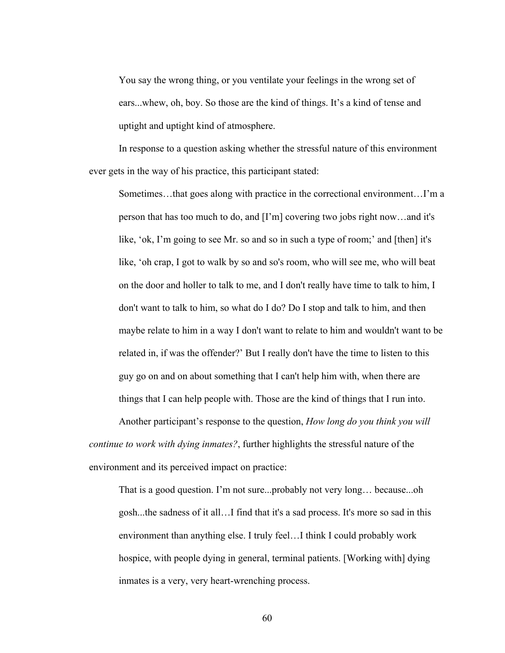You say the wrong thing, or you ventilate your feelings in the wrong set of ears...whew, oh, boy. So those are the kind of things. It's a kind of tense and uptight and uptight kind of atmosphere.

In response to a question asking whether the stressful nature of this environment ever gets in the way of his practice, this participant stated:

Sometimes…that goes along with practice in the correctional environment…I'm a person that has too much to do, and [I'm] covering two jobs right now…and it's like, 'ok, I'm going to see Mr. so and so in such a type of room;' and [then] it's like, 'oh crap, I got to walk by so and so's room, who will see me, who will beat on the door and holler to talk to me, and I don't really have time to talk to him, I don't want to talk to him, so what do I do? Do I stop and talk to him, and then maybe relate to him in a way I don't want to relate to him and wouldn't want to be related in, if was the offender?' But I really don't have the time to listen to this guy go on and on about something that I can't help him with, when there are things that I can help people with. Those are the kind of things that I run into.

Another participant's response to the question, *How long do you think you will continue to work with dying inmates?*, further highlights the stressful nature of the environment and its perceived impact on practice:

That is a good question. I'm not sure...probably not very long… because...oh gosh...the sadness of it all…I find that it's a sad process. It's more so sad in this environment than anything else. I truly feel…I think I could probably work hospice, with people dying in general, terminal patients. [Working with] dying inmates is a very, very heart-wrenching process.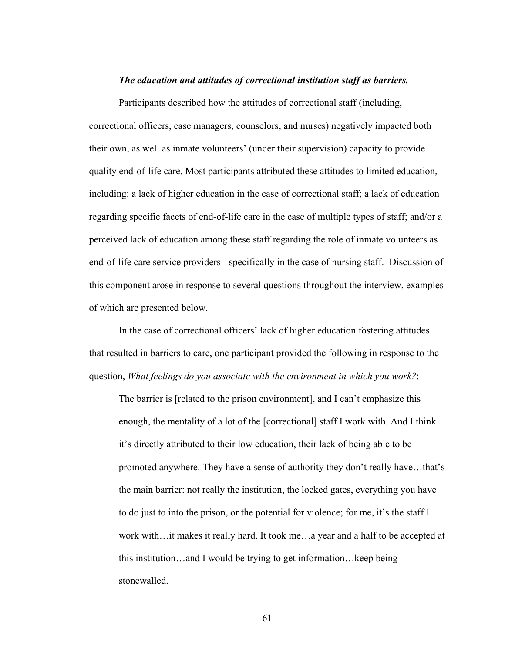#### *The education and attitudes of correctional institution staff as barriers.*

Participants described how the attitudes of correctional staff (including, correctional officers, case managers, counselors, and nurses) negatively impacted both their own, as well as inmate volunteers' (under their supervision) capacity to provide quality end-of-life care. Most participants attributed these attitudes to limited education, including: a lack of higher education in the case of correctional staff; a lack of education regarding specific facets of end-of-life care in the case of multiple types of staff; and/or a perceived lack of education among these staff regarding the role of inmate volunteers as end-of-life care service providers - specifically in the case of nursing staff. Discussion of this component arose in response to several questions throughout the interview, examples of which are presented below.

In the case of correctional officers' lack of higher education fostering attitudes that resulted in barriers to care, one participant provided the following in response to the question, *What feelings do you associate with the environment in which you work?*:

The barrier is [related to the prison environment], and I can't emphasize this enough, the mentality of a lot of the [correctional] staff I work with. And I think it's directly attributed to their low education, their lack of being able to be promoted anywhere. They have a sense of authority they don't really have…that's the main barrier: not really the institution, the locked gates, everything you have to do just to into the prison, or the potential for violence; for me, it's the staff I work with…it makes it really hard. It took me…a year and a half to be accepted at this institution…and I would be trying to get information…keep being stonewalled.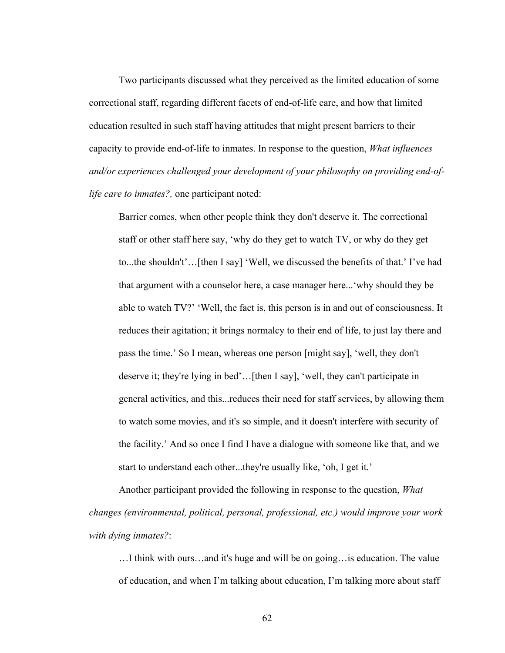Two participants discussed what they perceived as the limited education of some correctional staff, regarding different facets of end-of-life care, and how that limited education resulted in such staff having attitudes that might present barriers to their capacity to provide end-of-life to inmates. In response to the question, *What influences and/or experiences challenged your development of your philosophy on providing end-oflife care to inmates?,* one participant noted:

Barrier comes, when other people think they don't deserve it. The correctional staff or other staff here say, 'why do they get to watch TV, or why do they get to...the shouldn't'…[then I say] 'Well, we discussed the benefits of that.' I've had that argument with a counselor here, a case manager here...'why should they be able to watch TV?' 'Well, the fact is, this person is in and out of consciousness. It reduces their agitation; it brings normalcy to their end of life, to just lay there and pass the time.' So I mean, whereas one person [might say], 'well, they don't deserve it; they're lying in bed'…[then I say], 'well, they can't participate in general activities, and this...reduces their need for staff services, by allowing them to watch some movies, and it's so simple, and it doesn't interfere with security of the facility.' And so once I find I have a dialogue with someone like that, and we start to understand each other...they're usually like, 'oh, I get it.'

Another participant provided the following in response to the question, *What changes (environmental, political, personal, professional, etc.) would improve your work with dying inmates?*:

…I think with ours…and it's huge and will be on going…is education. The value of education, and when I'm talking about education, I'm talking more about staff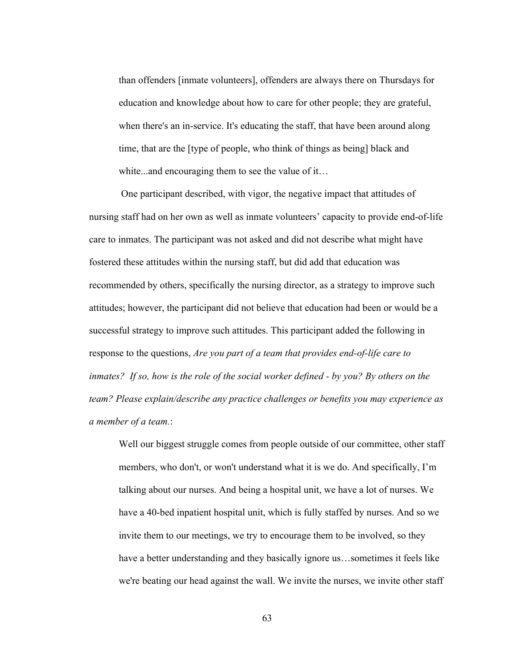than offenders [inmate volunteers], offenders are always there on Thursdays for education and knowledge about how to care for other people; they are grateful, when there's an in-service. It's educating the staff, that have been around along time, that are the [type of people, who think of things as being] black and white...and encouraging them to see the value of it...

One participant described, with vigor, the negative impact that attitudes of nursing staff had on her own as well as inmate volunteers' capacity to provide end-of-life care to inmates. The participant was not asked and did not describe what might have fostered these attitudes within the nursing staff, but did add that education was recommended by others, specifically the nursing director, as a strategy to improve such attitudes; however, the participant did not believe that education had been or would be a successful strategy to improve such attitudes. This participant added the following in response to the questions, *Are you part of a team that provides end-of-life care to inmates? If so, how is the role of the social worker defined - by you? By others on the team? Please explain/describe any practice challenges or benefits you may experience as a member of a team.*:

Well our biggest struggle comes from people outside of our committee, other staff members, who don't, or won't understand what it is we do. And specifically, I'm talking about our nurses. And being a hospital unit, we have a lot of nurses. We have a 40-bed inpatient hospital unit, which is fully staffed by nurses. And so we invite them to our meetings, we try to encourage them to be involved, so they have a better understanding and they basically ignore us…sometimes it feels like we're beating our head against the wall. We invite the nurses, we invite other staff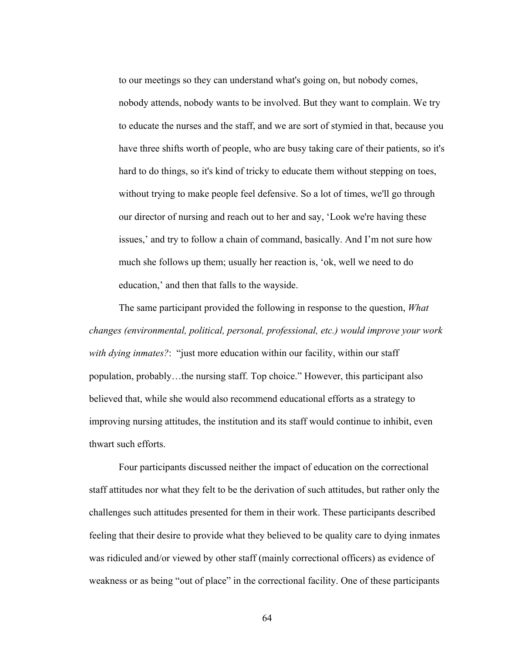to our meetings so they can understand what's going on, but nobody comes, nobody attends, nobody wants to be involved. But they want to complain. We try to educate the nurses and the staff, and we are sort of stymied in that, because you have three shifts worth of people, who are busy taking care of their patients, so it's hard to do things, so it's kind of tricky to educate them without stepping on toes, without trying to make people feel defensive. So a lot of times, we'll go through our director of nursing and reach out to her and say, 'Look we're having these issues,' and try to follow a chain of command, basically. And I'm not sure how much she follows up them; usually her reaction is, 'ok, well we need to do education,' and then that falls to the wayside.

The same participant provided the following in response to the question, *What changes (environmental, political, personal, professional, etc.) would improve your work with dying inmates?*: "just more education within our facility, within our staff population, probably…the nursing staff. Top choice." However, this participant also believed that, while she would also recommend educational efforts as a strategy to improving nursing attitudes, the institution and its staff would continue to inhibit, even thwart such efforts.

Four participants discussed neither the impact of education on the correctional staff attitudes nor what they felt to be the derivation of such attitudes, but rather only the challenges such attitudes presented for them in their work. These participants described feeling that their desire to provide what they believed to be quality care to dying inmates was ridiculed and/or viewed by other staff (mainly correctional officers) as evidence of weakness or as being "out of place" in the correctional facility. One of these participants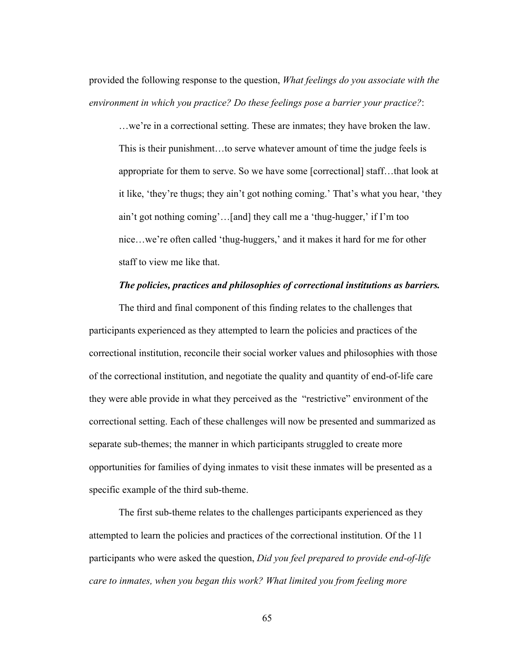provided the following response to the question, *What feelings do you associate with the environment in which you practice? Do these feelings pose a barrier your practice?*:

…we're in a correctional setting. These are inmates; they have broken the law. This is their punishment…to serve whatever amount of time the judge feels is appropriate for them to serve. So we have some [correctional] staff…that look at it like, 'they're thugs; they ain't got nothing coming.' That's what you hear, 'they ain't got nothing coming'…[and] they call me a 'thug-hugger,' if I'm too nice…we're often called 'thug-huggers,' and it makes it hard for me for other staff to view me like that.

### *The policies, practices and philosophies of correctional institutions as barriers.*

The third and final component of this finding relates to the challenges that participants experienced as they attempted to learn the policies and practices of the correctional institution, reconcile their social worker values and philosophies with those of the correctional institution, and negotiate the quality and quantity of end-of-life care they were able provide in what they perceived as the "restrictive" environment of the correctional setting. Each of these challenges will now be presented and summarized as separate sub-themes; the manner in which participants struggled to create more opportunities for families of dying inmates to visit these inmates will be presented as a specific example of the third sub-theme.

The first sub-theme relates to the challenges participants experienced as they attempted to learn the policies and practices of the correctional institution. Of the 11 participants who were asked the question, *Did you feel prepared to provide end-of-life care to inmates, when you began this work? What limited you from feeling more*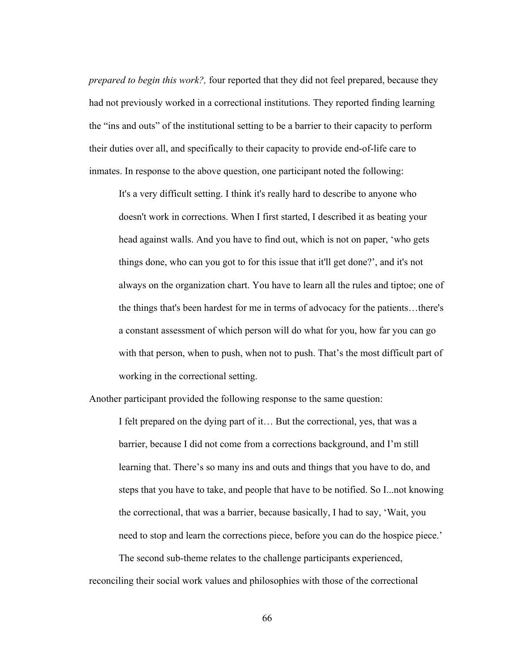*prepared to begin this work?,* four reported that they did not feel prepared, because they had not previously worked in a correctional institutions. They reported finding learning the "ins and outs" of the institutional setting to be a barrier to their capacity to perform their duties over all, and specifically to their capacity to provide end-of-life care to inmates. In response to the above question, one participant noted the following:

It's a very difficult setting. I think it's really hard to describe to anyone who doesn't work in corrections. When I first started, I described it as beating your head against walls. And you have to find out, which is not on paper, 'who gets things done, who can you got to for this issue that it'll get done?', and it's not always on the organization chart. You have to learn all the rules and tiptoe; one of the things that's been hardest for me in terms of advocacy for the patients…there's a constant assessment of which person will do what for you, how far you can go with that person, when to push, when not to push. That's the most difficult part of working in the correctional setting.

Another participant provided the following response to the same question:

I felt prepared on the dying part of it… But the correctional, yes, that was a barrier, because I did not come from a corrections background, and I'm still learning that. There's so many ins and outs and things that you have to do, and steps that you have to take, and people that have to be notified. So I...not knowing the correctional, that was a barrier, because basically, I had to say, 'Wait, you need to stop and learn the corrections piece, before you can do the hospice piece.'

The second sub-theme relates to the challenge participants experienced, reconciling their social work values and philosophies with those of the correctional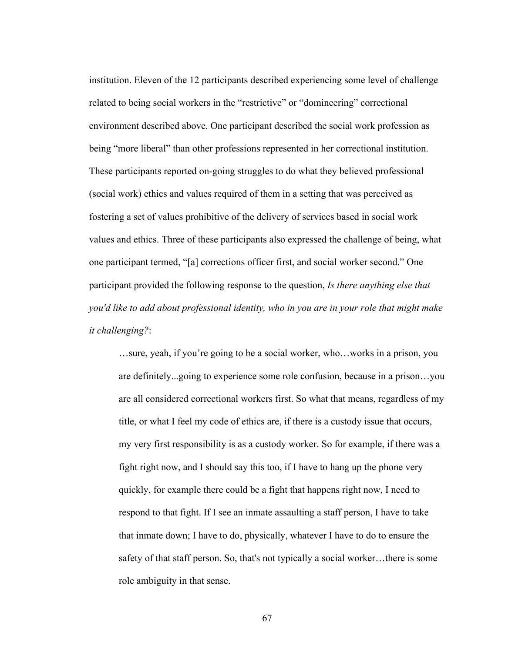institution. Eleven of the 12 participants described experiencing some level of challenge related to being social workers in the "restrictive" or "domineering" correctional environment described above. One participant described the social work profession as being "more liberal" than other professions represented in her correctional institution. These participants reported on-going struggles to do what they believed professional (social work) ethics and values required of them in a setting that was perceived as fostering a set of values prohibitive of the delivery of services based in social work values and ethics. Three of these participants also expressed the challenge of being, what one participant termed, "[a] corrections officer first, and social worker second." One participant provided the following response to the question, *Is there anything else that you'd like to add about professional identity, who in you are in your role that might make it challenging?*:

…sure, yeah, if you're going to be a social worker, who…works in a prison, you are definitely...going to experience some role confusion, because in a prison…you are all considered correctional workers first. So what that means, regardless of my title, or what I feel my code of ethics are, if there is a custody issue that occurs, my very first responsibility is as a custody worker. So for example, if there was a fight right now, and I should say this too, if I have to hang up the phone very quickly, for example there could be a fight that happens right now, I need to respond to that fight. If I see an inmate assaulting a staff person, I have to take that inmate down; I have to do, physically, whatever I have to do to ensure the safety of that staff person. So, that's not typically a social worker…there is some role ambiguity in that sense.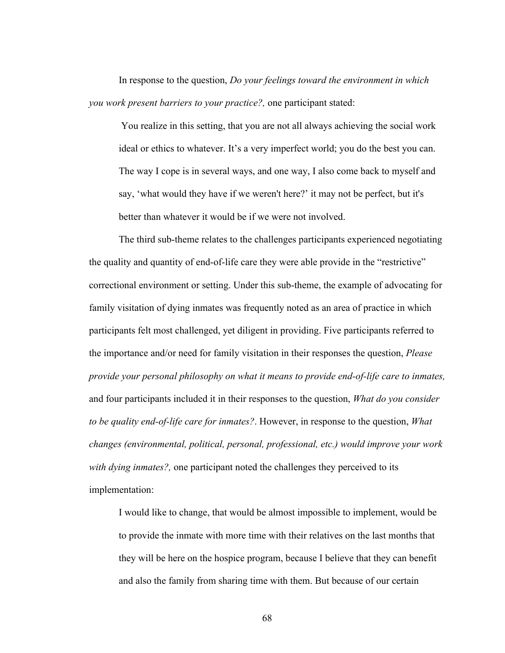In response to the question, *Do your feelings toward the environment in which you work present barriers to your practice?,* one participant stated:

You realize in this setting, that you are not all always achieving the social work ideal or ethics to whatever. It's a very imperfect world; you do the best you can. The way I cope is in several ways, and one way, I also come back to myself and say, 'what would they have if we weren't here?' it may not be perfect, but it's better than whatever it would be if we were not involved.

The third sub-theme relates to the challenges participants experienced negotiating the quality and quantity of end-of-life care they were able provide in the "restrictive" correctional environment or setting. Under this sub-theme, the example of advocating for family visitation of dying inmates was frequently noted as an area of practice in which participants felt most challenged, yet diligent in providing. Five participants referred to the importance and/or need for family visitation in their responses the question, *Please provide your personal philosophy on what it means to provide end-of-life care to inmates,* and four participants included it in their responses to the question, *What do you consider to be quality end-of-life care for inmates?*. However, in response to the question, *What changes (environmental, political, personal, professional, etc.) would improve your work with dying inmates?,* one participant noted the challenges they perceived to its implementation:

I would like to change, that would be almost impossible to implement, would be to provide the inmate with more time with their relatives on the last months that they will be here on the hospice program, because I believe that they can benefit and also the family from sharing time with them. But because of our certain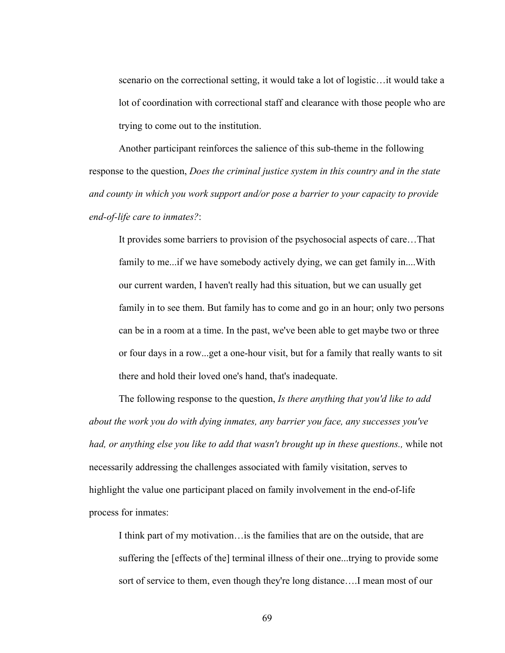scenario on the correctional setting, it would take a lot of logistic…it would take a lot of coordination with correctional staff and clearance with those people who are trying to come out to the institution.

Another participant reinforces the salience of this sub-theme in the following response to the question, *Does the criminal justice system in this country and in the state and county in which you work support and/or pose a barrier to your capacity to provide end-of-life care to inmates?*:

It provides some barriers to provision of the psychosocial aspects of care…That family to me...if we have somebody actively dying, we can get family in....With our current warden, I haven't really had this situation, but we can usually get family in to see them. But family has to come and go in an hour; only two persons can be in a room at a time. In the past, we've been able to get maybe two or three or four days in a row...get a one-hour visit, but for a family that really wants to sit there and hold their loved one's hand, that's inadequate.

The following response to the question, *Is there anything that you'd like to add about the work you do with dying inmates, any barrier you face, any successes you've had, or anything else you like to add that wasn't brought up in these questions.,* while not necessarily addressing the challenges associated with family visitation, serves to highlight the value one participant placed on family involvement in the end-of-life process for inmates:

I think part of my motivation…is the families that are on the outside, that are suffering the [effects of the] terminal illness of their one...trying to provide some sort of service to them, even though they're long distance….I mean most of our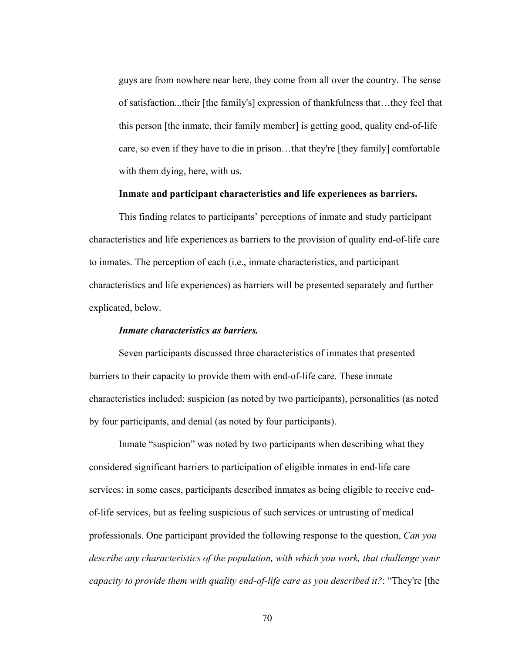guys are from nowhere near here, they come from all over the country. The sense of satisfaction...their [the family's] expression of thankfulness that…they feel that this person [the inmate, their family member] is getting good, quality end-of-life care, so even if they have to die in prison…that they're [they family] comfortable with them dying, here, with us.

## **Inmate and participant characteristics and life experiences as barriers.**

This finding relates to participants' perceptions of inmate and study participant characteristics and life experiences as barriers to the provision of quality end-of-life care to inmates. The perception of each (i.e., inmate characteristics, and participant characteristics and life experiences) as barriers will be presented separately and further explicated, below.

## *Inmate characteristics as barriers.*

Seven participants discussed three characteristics of inmates that presented barriers to their capacity to provide them with end-of-life care. These inmate characteristics included: suspicion (as noted by two participants), personalities (as noted by four participants, and denial (as noted by four participants).

Inmate "suspicion" was noted by two participants when describing what they considered significant barriers to participation of eligible inmates in end-life care services: in some cases, participants described inmates as being eligible to receive endof-life services, but as feeling suspicious of such services or untrusting of medical professionals. One participant provided the following response to the question, *Can you describe any characteristics of the population, with which you work, that challenge your capacity to provide them with quality end-of-life care as you described it?*: "They're [the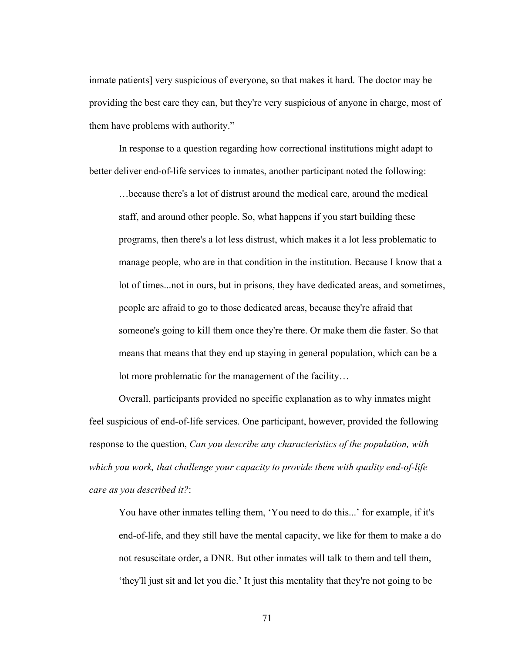inmate patients] very suspicious of everyone, so that makes it hard. The doctor may be providing the best care they can, but they're very suspicious of anyone in charge, most of them have problems with authority."

In response to a question regarding how correctional institutions might adapt to better deliver end-of-life services to inmates, another participant noted the following:

…because there's a lot of distrust around the medical care, around the medical staff, and around other people. So, what happens if you start building these programs, then there's a lot less distrust, which makes it a lot less problematic to manage people, who are in that condition in the institution. Because I know that a lot of times...not in ours, but in prisons, they have dedicated areas, and sometimes, people are afraid to go to those dedicated areas, because they're afraid that someone's going to kill them once they're there. Or make them die faster. So that means that means that they end up staying in general population, which can be a lot more problematic for the management of the facility…

Overall, participants provided no specific explanation as to why inmates might feel suspicious of end-of-life services. One participant, however, provided the following response to the question, *Can you describe any characteristics of the population, with which you work, that challenge your capacity to provide them with quality end-of-life care as you described it?*:

You have other inmates telling them, 'You need to do this...' for example, if it's end-of-life, and they still have the mental capacity, we like for them to make a do not resuscitate order, a DNR. But other inmates will talk to them and tell them, 'they'll just sit and let you die.' It just this mentality that they're not going to be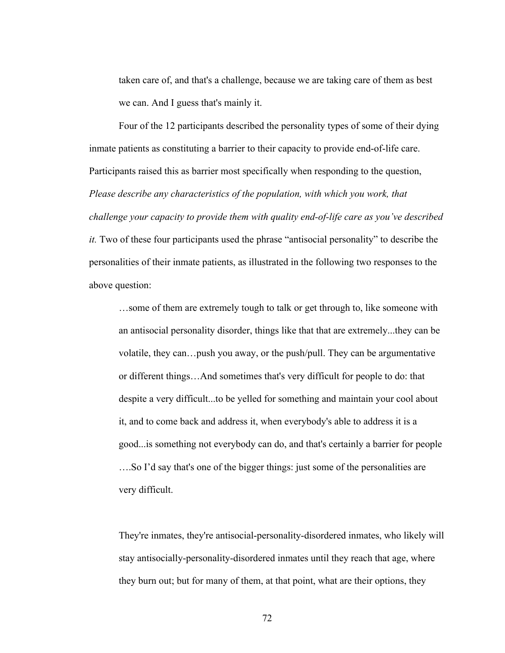taken care of, and that's a challenge, because we are taking care of them as best we can. And I guess that's mainly it.

Four of the 12 participants described the personality types of some of their dying inmate patients as constituting a barrier to their capacity to provide end-of-life care. Participants raised this as barrier most specifically when responding to the question, *Please describe any characteristics of the population, with which you work, that challenge your capacity to provide them with quality end-of-life care as you've described it.* Two of these four participants used the phrase "antisocial personality" to describe the personalities of their inmate patients, as illustrated in the following two responses to the above question:

…some of them are extremely tough to talk or get through to, like someone with an antisocial personality disorder, things like that that are extremely...they can be volatile, they can…push you away, or the push/pull. They can be argumentative or different things…And sometimes that's very difficult for people to do: that despite a very difficult...to be yelled for something and maintain your cool about it, and to come back and address it, when everybody's able to address it is a good...is something not everybody can do, and that's certainly a barrier for people ….So I'd say that's one of the bigger things: just some of the personalities are very difficult.

They're inmates, they're antisocial-personality-disordered inmates, who likely will stay antisocially-personality-disordered inmates until they reach that age, where they burn out; but for many of them, at that point, what are their options, they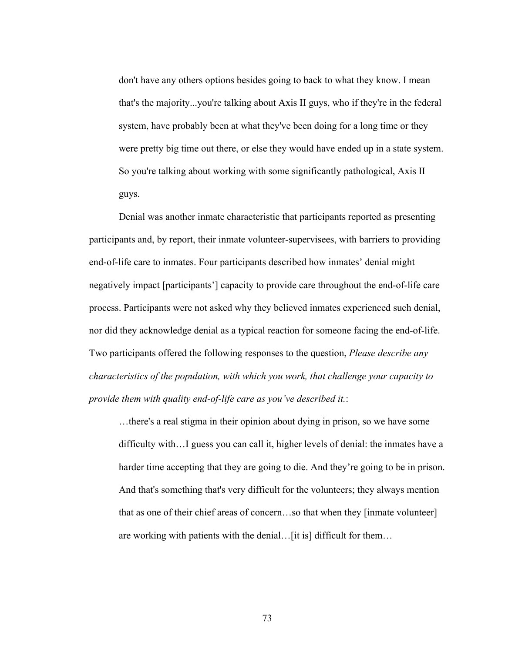don't have any others options besides going to back to what they know. I mean that's the majority...you're talking about Axis II guys, who if they're in the federal system, have probably been at what they've been doing for a long time or they were pretty big time out there, or else they would have ended up in a state system. So you're talking about working with some significantly pathological, Axis II guys.

Denial was another inmate characteristic that participants reported as presenting participants and, by report, their inmate volunteer-supervisees, with barriers to providing end-of-life care to inmates. Four participants described how inmates' denial might negatively impact [participants'] capacity to provide care throughout the end-of-life care process. Participants were not asked why they believed inmates experienced such denial, nor did they acknowledge denial as a typical reaction for someone facing the end-of-life. Two participants offered the following responses to the question, *Please describe any characteristics of the population, with which you work, that challenge your capacity to provide them with quality end-of-life care as you've described it.*:

…there's a real stigma in their opinion about dying in prison, so we have some difficulty with…I guess you can call it, higher levels of denial: the inmates have a harder time accepting that they are going to die. And they're going to be in prison. And that's something that's very difficult for the volunteers; they always mention that as one of their chief areas of concern…so that when they [inmate volunteer] are working with patients with the denial…[it is] difficult for them…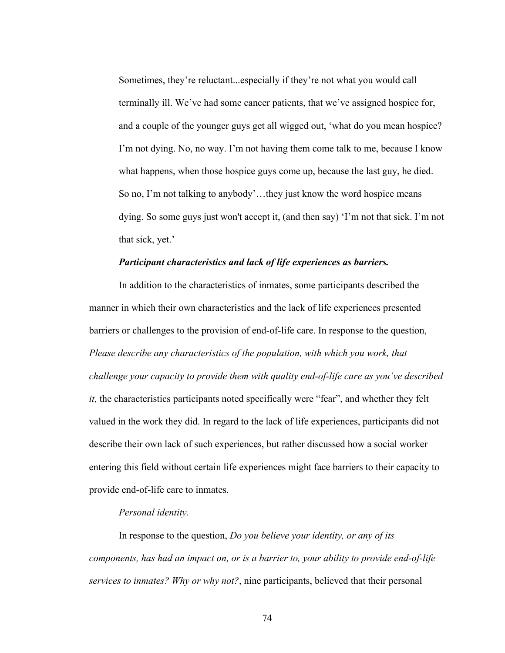Sometimes, they're reluctant...especially if they're not what you would call terminally ill. We've had some cancer patients, that we've assigned hospice for, and a couple of the younger guys get all wigged out, 'what do you mean hospice? I'm not dying. No, no way. I'm not having them come talk to me, because I know what happens, when those hospice guys come up, because the last guy, he died. So no, I'm not talking to anybody'…they just know the word hospice means dying. So some guys just won't accept it, (and then say) 'I'm not that sick. I'm not that sick, yet.'

#### *Participant characteristics and lack of life experiences as barriers.*

In addition to the characteristics of inmates, some participants described the manner in which their own characteristics and the lack of life experiences presented barriers or challenges to the provision of end-of-life care. In response to the question, *Please describe any characteristics of the population, with which you work, that challenge your capacity to provide them with quality end-of-life care as you've described it,* the characteristics participants noted specifically were "fear", and whether they felt valued in the work they did. In regard to the lack of life experiences, participants did not describe their own lack of such experiences, but rather discussed how a social worker entering this field without certain life experiences might face barriers to their capacity to provide end-of-life care to inmates.

# *Personal identity.*

In response to the question, *Do you believe your identity, or any of its components, has had an impact on, or is a barrier to, your ability to provide end-of-life services to inmates? Why or why not?*, nine participants, believed that their personal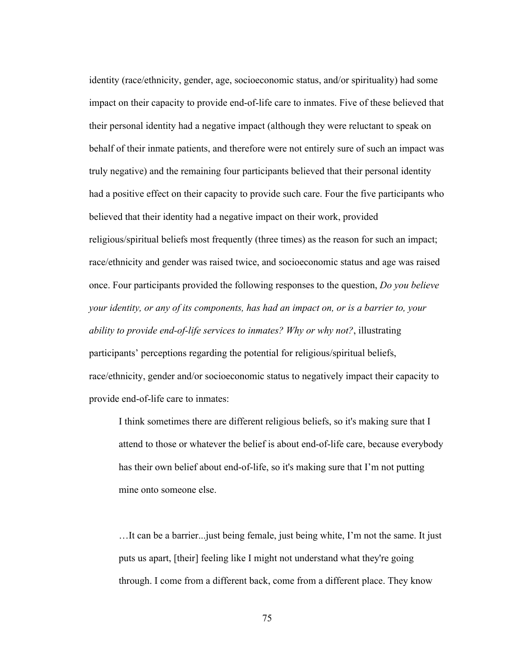identity (race/ethnicity, gender, age, socioeconomic status, and/or spirituality) had some impact on their capacity to provide end-of-life care to inmates. Five of these believed that their personal identity had a negative impact (although they were reluctant to speak on behalf of their inmate patients, and therefore were not entirely sure of such an impact was truly negative) and the remaining four participants believed that their personal identity had a positive effect on their capacity to provide such care. Four the five participants who believed that their identity had a negative impact on their work, provided religious/spiritual beliefs most frequently (three times) as the reason for such an impact; race/ethnicity and gender was raised twice, and socioeconomic status and age was raised once. Four participants provided the following responses to the question, *Do you believe your identity, or any of its components, has had an impact on, or is a barrier to, your ability to provide end-of-life services to inmates? Why or why not?*, illustrating participants' perceptions regarding the potential for religious/spiritual beliefs, race/ethnicity, gender and/or socioeconomic status to negatively impact their capacity to provide end-of-life care to inmates:

I think sometimes there are different religious beliefs, so it's making sure that I attend to those or whatever the belief is about end-of-life care, because everybody has their own belief about end-of-life, so it's making sure that I'm not putting mine onto someone else.

…It can be a barrier...just being female, just being white, I'm not the same. It just puts us apart, [their] feeling like I might not understand what they're going through. I come from a different back, come from a different place. They know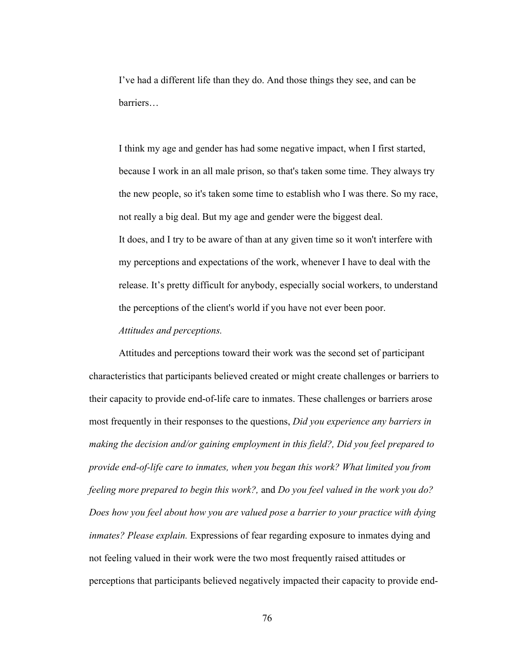I've had a different life than they do. And those things they see, and can be barriers…

I think my age and gender has had some negative impact, when I first started, because I work in an all male prison, so that's taken some time. They always try the new people, so it's taken some time to establish who I was there. So my race, not really a big deal. But my age and gender were the biggest deal. It does, and I try to be aware of than at any given time so it won't interfere with my perceptions and expectations of the work, whenever I have to deal with the release. It's pretty difficult for anybody, especially social workers, to understand the perceptions of the client's world if you have not ever been poor.

# *Attitudes and perceptions.*

Attitudes and perceptions toward their work was the second set of participant characteristics that participants believed created or might create challenges or barriers to their capacity to provide end-of-life care to inmates. These challenges or barriers arose most frequently in their responses to the questions, *Did you experience any barriers in making the decision and/or gaining employment in this field?, Did you feel prepared to provide end-of-life care to inmates, when you began this work? What limited you from feeling more prepared to begin this work?,* and *Do you feel valued in the work you do? Does how you feel about how you are valued pose a barrier to your practice with dying inmates? Please explain.* Expressions of fear regarding exposure to inmates dying and not feeling valued in their work were the two most frequently raised attitudes or perceptions that participants believed negatively impacted their capacity to provide end-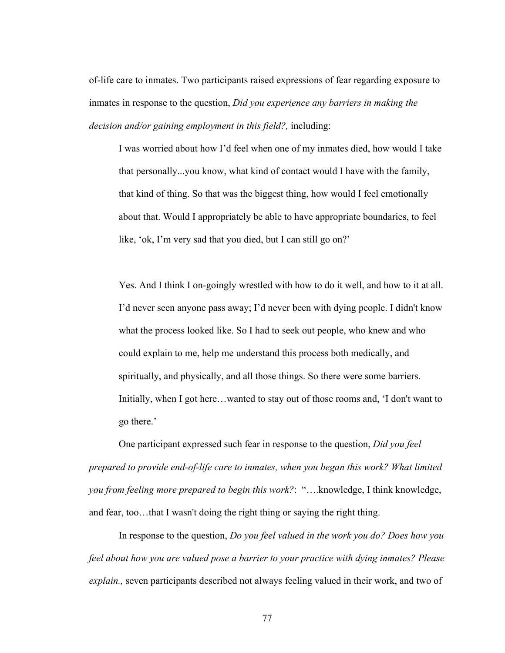of-life care to inmates. Two participants raised expressions of fear regarding exposure to inmates in response to the question, *Did you experience any barriers in making the decision and/or gaining employment in this field?,* including:

I was worried about how I'd feel when one of my inmates died, how would I take that personally...you know, what kind of contact would I have with the family, that kind of thing. So that was the biggest thing, how would I feel emotionally about that. Would I appropriately be able to have appropriate boundaries, to feel like, 'ok, I'm very sad that you died, but I can still go on?'

Yes. And I think I on-goingly wrestled with how to do it well, and how to it at all. I'd never seen anyone pass away; I'd never been with dying people. I didn't know what the process looked like. So I had to seek out people, who knew and who could explain to me, help me understand this process both medically, and spiritually, and physically, and all those things. So there were some barriers. Initially, when I got here…wanted to stay out of those rooms and, 'I don't want to go there.'

One participant expressed such fear in response to the question, *Did you feel prepared to provide end-of-life care to inmates, when you began this work? What limited you from feeling more prepared to begin this work?*: "….knowledge, I think knowledge, and fear, too…that I wasn't doing the right thing or saying the right thing.

In response to the question, *Do you feel valued in the work you do? Does how you feel about how you are valued pose a barrier to your practice with dying inmates? Please explain.,* seven participants described not always feeling valued in their work, and two of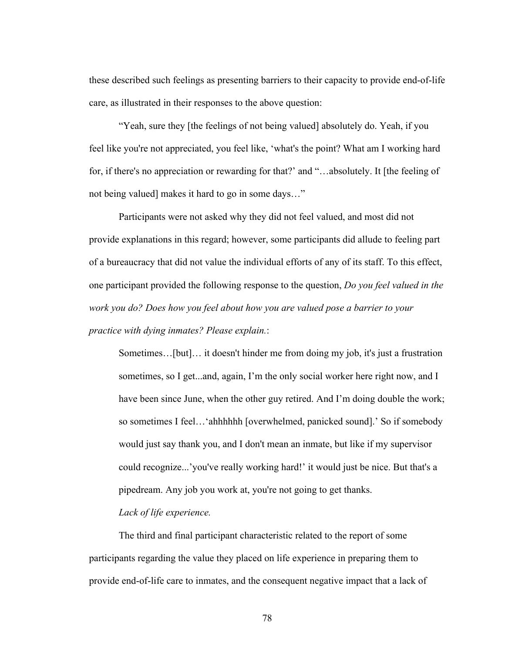these described such feelings as presenting barriers to their capacity to provide end-of-life care, as illustrated in their responses to the above question:

"Yeah, sure they [the feelings of not being valued] absolutely do. Yeah, if you feel like you're not appreciated, you feel like, 'what's the point? What am I working hard for, if there's no appreciation or rewarding for that?' and "...absolutely. It [the feeling of not being valued] makes it hard to go in some days…"

Participants were not asked why they did not feel valued, and most did not provide explanations in this regard; however, some participants did allude to feeling part of a bureaucracy that did not value the individual efforts of any of its staff. To this effect, one participant provided the following response to the question, *Do you feel valued in the work you do? Does how you feel about how you are valued pose a barrier to your practice with dying inmates? Please explain.*:

Sometimes…[but]… it doesn't hinder me from doing my job, it's just a frustration sometimes, so I get...and, again, I'm the only social worker here right now, and I have been since June, when the other guy retired. And I'm doing double the work; so sometimes I feel…'ahhhhhh [overwhelmed, panicked sound].' So if somebody would just say thank you, and I don't mean an inmate, but like if my supervisor could recognize...'you've really working hard!' it would just be nice. But that's a pipedream. Any job you work at, you're not going to get thanks.

# *Lack of life experience.*

The third and final participant characteristic related to the report of some participants regarding the value they placed on life experience in preparing them to provide end-of-life care to inmates, and the consequent negative impact that a lack of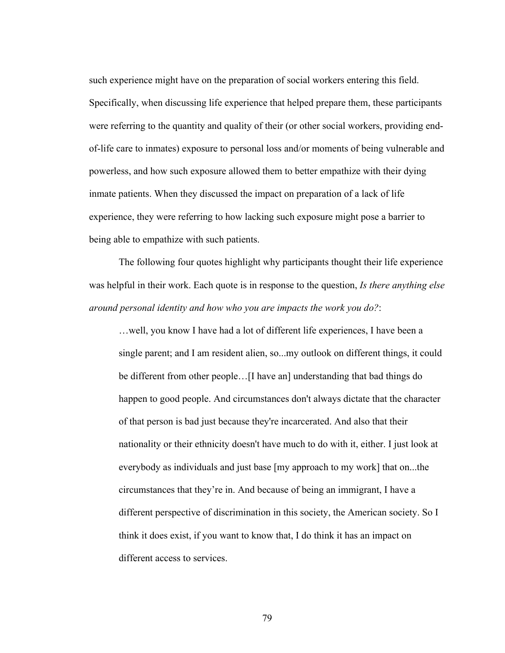such experience might have on the preparation of social workers entering this field. Specifically, when discussing life experience that helped prepare them, these participants were referring to the quantity and quality of their (or other social workers, providing endof-life care to inmates) exposure to personal loss and/or moments of being vulnerable and powerless, and how such exposure allowed them to better empathize with their dying inmate patients. When they discussed the impact on preparation of a lack of life experience, they were referring to how lacking such exposure might pose a barrier to being able to empathize with such patients.

The following four quotes highlight why participants thought their life experience was helpful in their work. Each quote is in response to the question, *Is there anything else around personal identity and how who you are impacts the work you do?*:

…well, you know I have had a lot of different life experiences, I have been a single parent; and I am resident alien, so...my outlook on different things, it could be different from other people…[I have an] understanding that bad things do happen to good people. And circumstances don't always dictate that the character of that person is bad just because they're incarcerated. And also that their nationality or their ethnicity doesn't have much to do with it, either. I just look at everybody as individuals and just base [my approach to my work] that on...the circumstances that they're in. And because of being an immigrant, I have a different perspective of discrimination in this society, the American society. So I think it does exist, if you want to know that, I do think it has an impact on different access to services.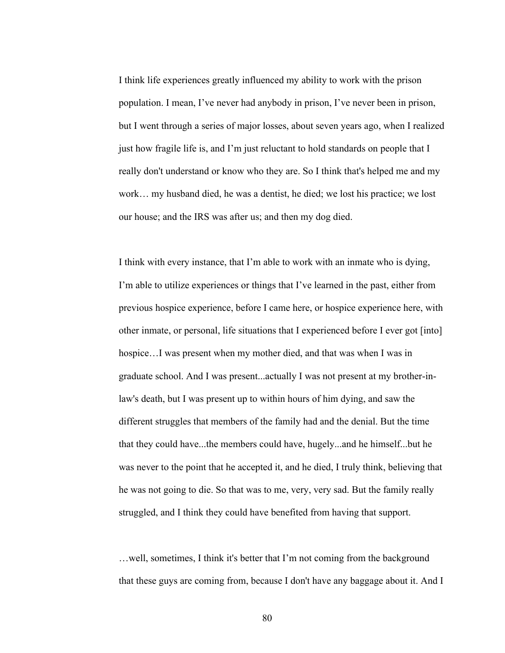I think life experiences greatly influenced my ability to work with the prison population. I mean, I've never had anybody in prison, I've never been in prison, but I went through a series of major losses, about seven years ago, when I realized just how fragile life is, and I'm just reluctant to hold standards on people that I really don't understand or know who they are. So I think that's helped me and my work… my husband died, he was a dentist, he died; we lost his practice; we lost our house; and the IRS was after us; and then my dog died.

I think with every instance, that I'm able to work with an inmate who is dying, I'm able to utilize experiences or things that I've learned in the past, either from previous hospice experience, before I came here, or hospice experience here, with other inmate, or personal, life situations that I experienced before I ever got [into] hospice…I was present when my mother died, and that was when I was in graduate school. And I was present...actually I was not present at my brother-inlaw's death, but I was present up to within hours of him dying, and saw the different struggles that members of the family had and the denial. But the time that they could have...the members could have, hugely...and he himself...but he was never to the point that he accepted it, and he died, I truly think, believing that he was not going to die. So that was to me, very, very sad. But the family really struggled, and I think they could have benefited from having that support.

…well, sometimes, I think it's better that I'm not coming from the background that these guys are coming from, because I don't have any baggage about it. And I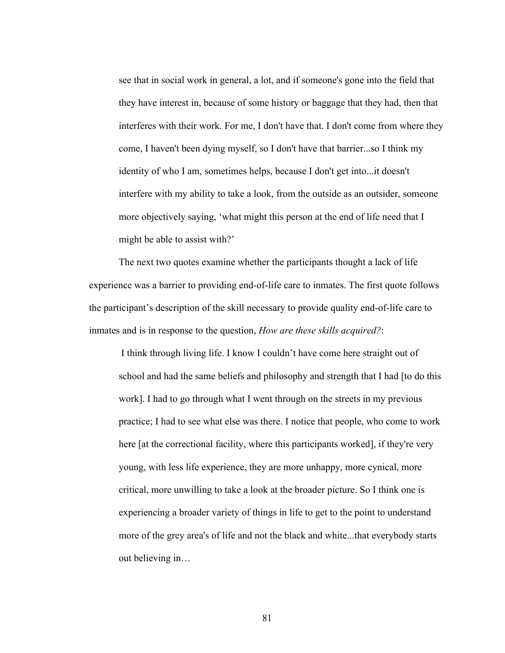see that in social work in general, a lot, and if someone's gone into the field that they have interest in, because of some history or baggage that they had, then that interferes with their work. For me, I don't have that. I don't come from where they come, I haven't been dying myself, so I don't have that barrier...so I think my identity of who I am, sometimes helps, because I don't get into...it doesn't interfere with my ability to take a look, from the outside as an outsider, someone more objectively saying, 'what might this person at the end of life need that I might be able to assist with?'

The next two quotes examine whether the participants thought a lack of life experience was a barrier to providing end-of-life care to inmates. The first quote follows the participant's description of the skill necessary to provide quality end-of-life care to inmates and is in response to the question, *How are these skills acquired?*:

 I think through living life. I know I couldn't have come here straight out of school and had the same beliefs and philosophy and strength that I had [to do this work]. I had to go through what I went through on the streets in my previous practice; I had to see what else was there. I notice that people, who come to work here [at the correctional facility, where this participants worked], if they're very young, with less life experience, they are more unhappy, more cynical, more critical, more unwilling to take a look at the broader picture. So I think one is experiencing a broader variety of things in life to get to the point to understand more of the grey area's of life and not the black and white...that everybody starts out believing in…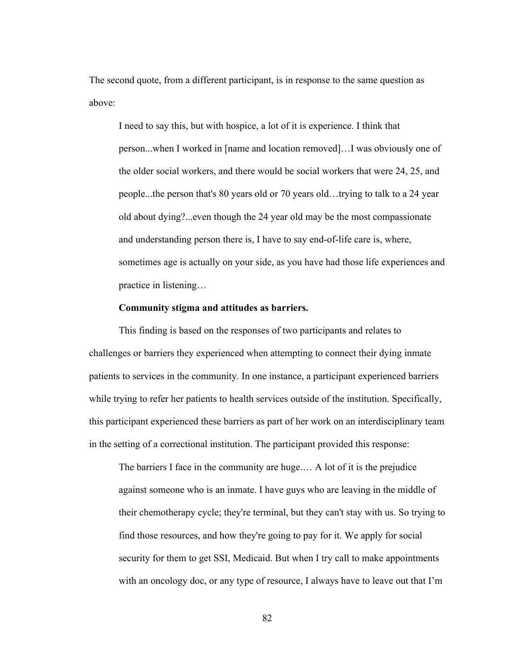The second quote, from a different participant, is in response to the same question as above:

I need to say this, but with hospice, a lot of it is experience. I think that person...when I worked in [name and location removed]…I was obviously one of the older social workers, and there would be social workers that were 24, 25, and people...the person that's 80 years old or 70 years old…trying to talk to a 24 year old about dying?...even though the 24 year old may be the most compassionate and understanding person there is, I have to say end-of-life care is, where, sometimes age is actually on your side, as you have had those life experiences and practice in listening…

## **Community stigma and attitudes as barriers.**

This finding is based on the responses of two participants and relates to challenges or barriers they experienced when attempting to connect their dying inmate patients to services in the community. In one instance, a participant experienced barriers while trying to refer her patients to health services outside of the institution. Specifically, this participant experienced these barriers as part of her work on an interdisciplinary team in the setting of a correctional institution. The participant provided this response:

The barriers I face in the community are huge.… A lot of it is the prejudice against someone who is an inmate. I have guys who are leaving in the middle of their chemotherapy cycle; they're terminal, but they can't stay with us. So trying to find those resources, and how they're going to pay for it. We apply for social security for them to get SSI, Medicaid. But when I try call to make appointments with an oncology doc, or any type of resource, I always have to leave out that I'm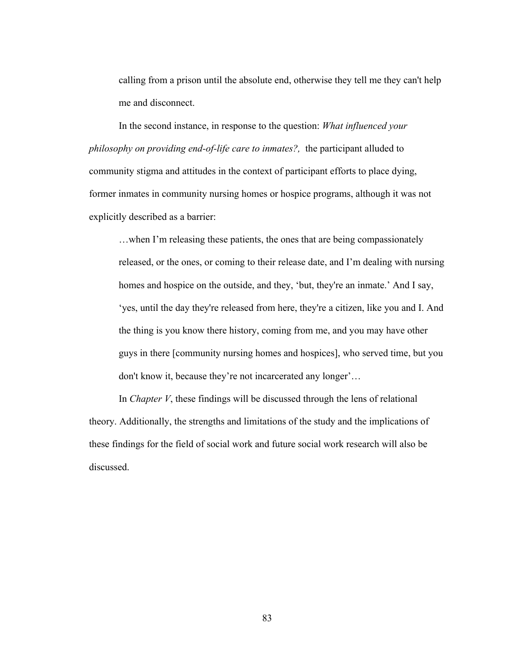calling from a prison until the absolute end, otherwise they tell me they can't help me and disconnect.

In the second instance, in response to the question: *What influenced your philosophy on providing end-of-life care to inmates?,* the participant alluded to community stigma and attitudes in the context of participant efforts to place dying, former inmates in community nursing homes or hospice programs, although it was not explicitly described as a barrier:

…when I'm releasing these patients, the ones that are being compassionately released, or the ones, or coming to their release date, and I'm dealing with nursing homes and hospice on the outside, and they, 'but, they're an inmate.' And I say, 'yes, until the day they're released from here, they're a citizen, like you and I. And the thing is you know there history, coming from me, and you may have other guys in there [community nursing homes and hospices], who served time, but you don't know it, because they're not incarcerated any longer'…

In *Chapter V*, these findings will be discussed through the lens of relational theory. Additionally, the strengths and limitations of the study and the implications of these findings for the field of social work and future social work research will also be discussed.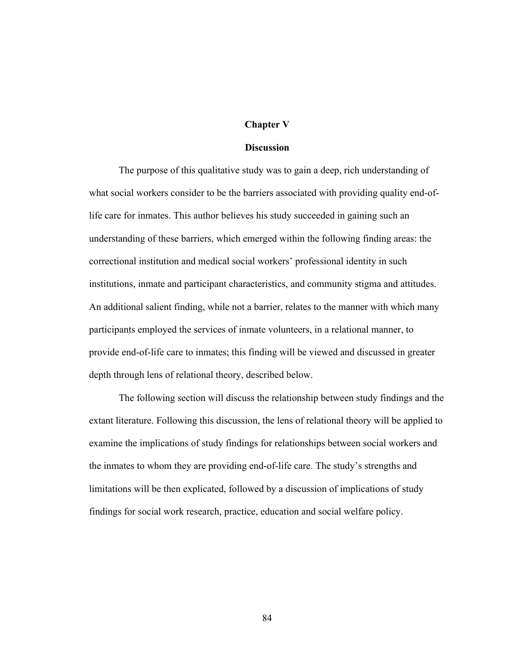## **Chapter V**

## **Discussion**

The purpose of this qualitative study was to gain a deep, rich understanding of what social workers consider to be the barriers associated with providing quality end-oflife care for inmates. This author believes his study succeeded in gaining such an understanding of these barriers, which emerged within the following finding areas: the correctional institution and medical social workers' professional identity in such institutions, inmate and participant characteristics, and community stigma and attitudes. An additional salient finding, while not a barrier, relates to the manner with which many participants employed the services of inmate volunteers, in a relational manner, to provide end-of-life care to inmates; this finding will be viewed and discussed in greater depth through lens of relational theory, described below.

The following section will discuss the relationship between study findings and the extant literature. Following this discussion, the lens of relational theory will be applied to examine the implications of study findings for relationships between social workers and the inmates to whom they are providing end-of-life care. The study's strengths and limitations will be then explicated, followed by a discussion of implications of study findings for social work research, practice, education and social welfare policy.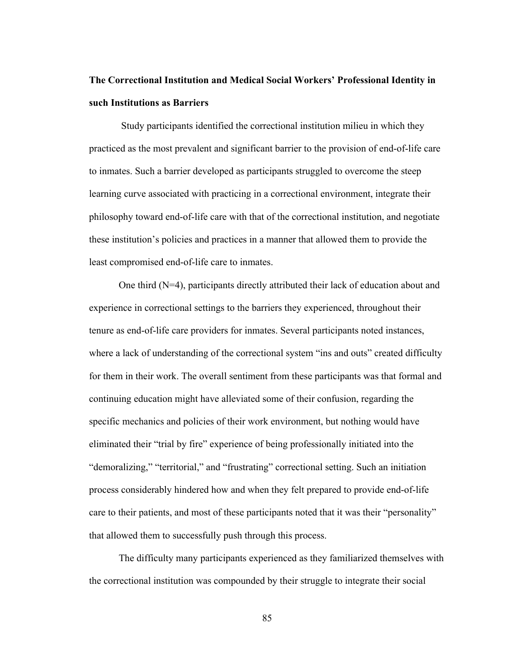# **The Correctional Institution and Medical Social Workers' Professional Identity in such Institutions as Barriers**

 Study participants identified the correctional institution milieu in which they practiced as the most prevalent and significant barrier to the provision of end-of-life care to inmates. Such a barrier developed as participants struggled to overcome the steep learning curve associated with practicing in a correctional environment, integrate their philosophy toward end-of-life care with that of the correctional institution, and negotiate these institution's policies and practices in a manner that allowed them to provide the least compromised end-of-life care to inmates.

One third (N=4), participants directly attributed their lack of education about and experience in correctional settings to the barriers they experienced, throughout their tenure as end-of-life care providers for inmates. Several participants noted instances, where a lack of understanding of the correctional system "ins and outs" created difficulty for them in their work. The overall sentiment from these participants was that formal and continuing education might have alleviated some of their confusion, regarding the specific mechanics and policies of their work environment, but nothing would have eliminated their "trial by fire" experience of being professionally initiated into the "demoralizing," "territorial," and "frustrating" correctional setting. Such an initiation process considerably hindered how and when they felt prepared to provide end-of-life care to their patients, and most of these participants noted that it was their "personality" that allowed them to successfully push through this process.

The difficulty many participants experienced as they familiarized themselves with the correctional institution was compounded by their struggle to integrate their social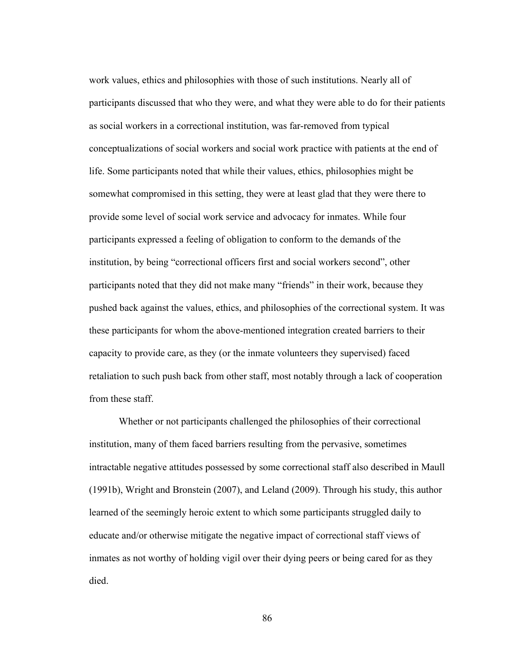work values, ethics and philosophies with those of such institutions. Nearly all of participants discussed that who they were, and what they were able to do for their patients as social workers in a correctional institution, was far-removed from typical conceptualizations of social workers and social work practice with patients at the end of life. Some participants noted that while their values, ethics, philosophies might be somewhat compromised in this setting, they were at least glad that they were there to provide some level of social work service and advocacy for inmates. While four participants expressed a feeling of obligation to conform to the demands of the institution, by being "correctional officers first and social workers second", other participants noted that they did not make many "friends" in their work, because they pushed back against the values, ethics, and philosophies of the correctional system. It was these participants for whom the above-mentioned integration created barriers to their capacity to provide care, as they (or the inmate volunteers they supervised) faced retaliation to such push back from other staff, most notably through a lack of cooperation from these staff.

Whether or not participants challenged the philosophies of their correctional institution, many of them faced barriers resulting from the pervasive, sometimes intractable negative attitudes possessed by some correctional staff also described in Maull (1991b), Wright and Bronstein (2007), and Leland (2009). Through his study, this author learned of the seemingly heroic extent to which some participants struggled daily to educate and/or otherwise mitigate the negative impact of correctional staff views of inmates as not worthy of holding vigil over their dying peers or being cared for as they died.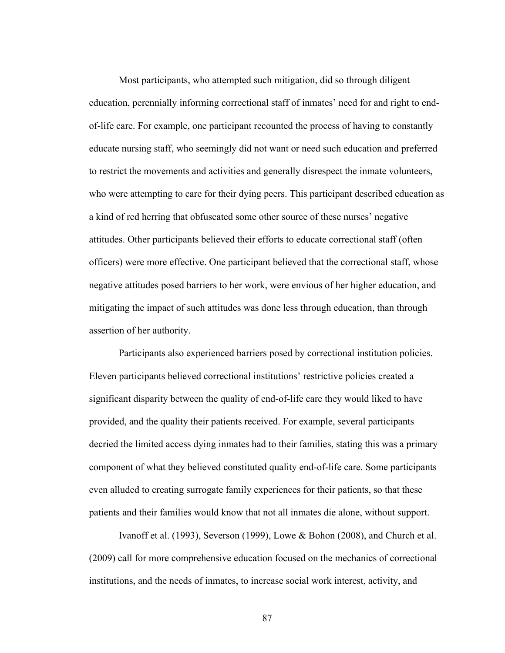Most participants, who attempted such mitigation, did so through diligent education, perennially informing correctional staff of inmates' need for and right to endof-life care. For example, one participant recounted the process of having to constantly educate nursing staff, who seemingly did not want or need such education and preferred to restrict the movements and activities and generally disrespect the inmate volunteers, who were attempting to care for their dying peers. This participant described education as a kind of red herring that obfuscated some other source of these nurses' negative attitudes. Other participants believed their efforts to educate correctional staff (often officers) were more effective. One participant believed that the correctional staff, whose negative attitudes posed barriers to her work, were envious of her higher education, and mitigating the impact of such attitudes was done less through education, than through assertion of her authority.

Participants also experienced barriers posed by correctional institution policies. Eleven participants believed correctional institutions' restrictive policies created a significant disparity between the quality of end-of-life care they would liked to have provided, and the quality their patients received. For example, several participants decried the limited access dying inmates had to their families, stating this was a primary component of what they believed constituted quality end-of-life care. Some participants even alluded to creating surrogate family experiences for their patients, so that these patients and their families would know that not all inmates die alone, without support.

Ivanoff et al. (1993), Severson (1999), Lowe & Bohon (2008), and Church et al. (2009) call for more comprehensive education focused on the mechanics of correctional institutions, and the needs of inmates, to increase social work interest, activity, and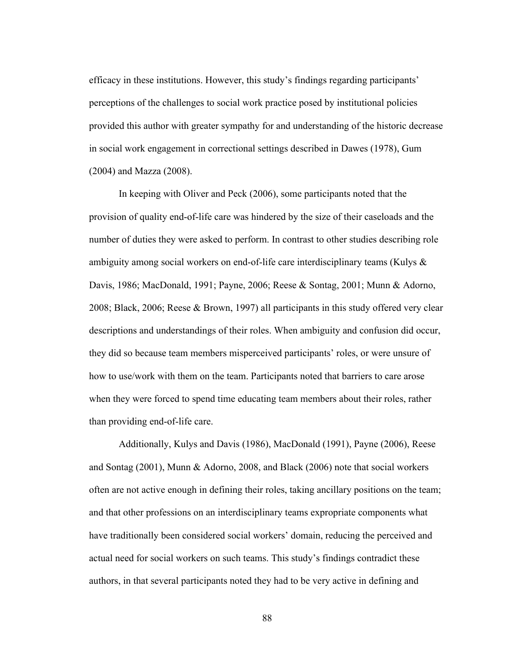efficacy in these institutions. However, this study's findings regarding participants' perceptions of the challenges to social work practice posed by institutional policies provided this author with greater sympathy for and understanding of the historic decrease in social work engagement in correctional settings described in Dawes (1978), Gum (2004) and Mazza (2008).

In keeping with Oliver and Peck (2006), some participants noted that the provision of quality end-of-life care was hindered by the size of their caseloads and the number of duties they were asked to perform. In contrast to other studies describing role ambiguity among social workers on end-of-life care interdisciplinary teams (Kulys  $\&$ Davis, 1986; MacDonald, 1991; Payne, 2006; Reese & Sontag, 2001; Munn & Adorno, 2008; Black, 2006; Reese & Brown, 1997) all participants in this study offered very clear descriptions and understandings of their roles. When ambiguity and confusion did occur, they did so because team members misperceived participants' roles, or were unsure of how to use/work with them on the team. Participants noted that barriers to care arose when they were forced to spend time educating team members about their roles, rather than providing end-of-life care.

Additionally, Kulys and Davis (1986), MacDonald (1991), Payne (2006), Reese and Sontag (2001), Munn & Adorno, 2008, and Black (2006) note that social workers often are not active enough in defining their roles, taking ancillary positions on the team; and that other professions on an interdisciplinary teams expropriate components what have traditionally been considered social workers' domain, reducing the perceived and actual need for social workers on such teams. This study's findings contradict these authors, in that several participants noted they had to be very active in defining and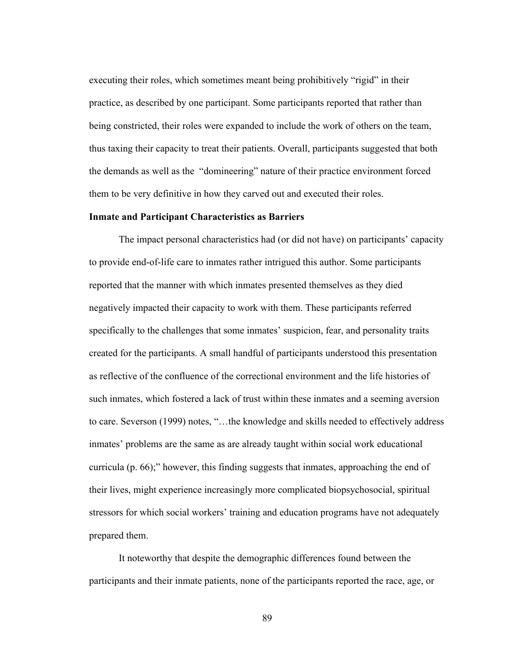executing their roles, which sometimes meant being prohibitively "rigid" in their practice, as described by one participant. Some participants reported that rather than being constricted, their roles were expanded to include the work of others on the team, thus taxing their capacity to treat their patients. Overall, participants suggested that both the demands as well as the "domineering" nature of their practice environment forced them to be very definitive in how they carved out and executed their roles.

### **Inmate and Participant Characteristics as Barriers**

The impact personal characteristics had (or did not have) on participants' capacity to provide end-of-life care to inmates rather intrigued this author. Some participants reported that the manner with which inmates presented themselves as they died negatively impacted their capacity to work with them. These participants referred specifically to the challenges that some inmates' suspicion, fear, and personality traits created for the participants. A small handful of participants understood this presentation as reflective of the confluence of the correctional environment and the life histories of such inmates, which fostered a lack of trust within these inmates and a seeming aversion to care. Severson (1999) notes, "…the knowledge and skills needed to effectively address inmates' problems are the same as are already taught within social work educational curricula (p. 66);" however, this finding suggests that inmates, approaching the end of their lives, might experience increasingly more complicated biopsychosocial, spiritual stressors for which social workers' training and education programs have not adequately prepared them.

It noteworthy that despite the demographic differences found between the participants and their inmate patients, none of the participants reported the race, age, or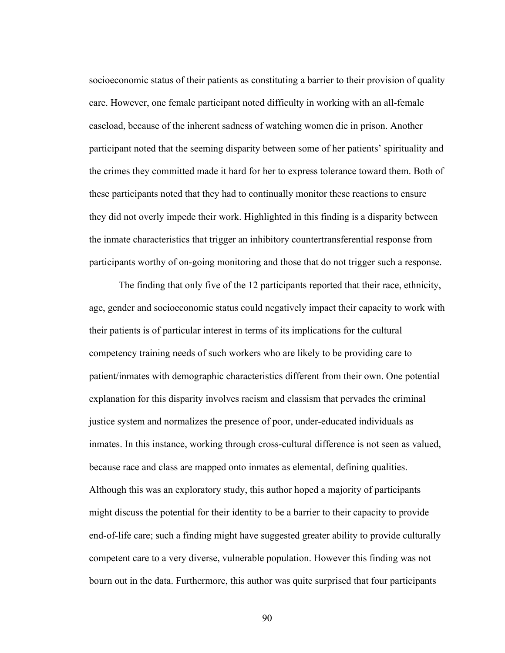socioeconomic status of their patients as constituting a barrier to their provision of quality care. However, one female participant noted difficulty in working with an all-female caseload, because of the inherent sadness of watching women die in prison. Another participant noted that the seeming disparity between some of her patients' spirituality and the crimes they committed made it hard for her to express tolerance toward them. Both of these participants noted that they had to continually monitor these reactions to ensure they did not overly impede their work. Highlighted in this finding is a disparity between the inmate characteristics that trigger an inhibitory countertransferential response from participants worthy of on-going monitoring and those that do not trigger such a response.

The finding that only five of the 12 participants reported that their race, ethnicity, age, gender and socioeconomic status could negatively impact their capacity to work with their patients is of particular interest in terms of its implications for the cultural competency training needs of such workers who are likely to be providing care to patient/inmates with demographic characteristics different from their own. One potential explanation for this disparity involves racism and classism that pervades the criminal justice system and normalizes the presence of poor, under-educated individuals as inmates. In this instance, working through cross-cultural difference is not seen as valued, because race and class are mapped onto inmates as elemental, defining qualities. Although this was an exploratory study, this author hoped a majority of participants might discuss the potential for their identity to be a barrier to their capacity to provide end-of-life care; such a finding might have suggested greater ability to provide culturally competent care to a very diverse, vulnerable population. However this finding was not bourn out in the data. Furthermore, this author was quite surprised that four participants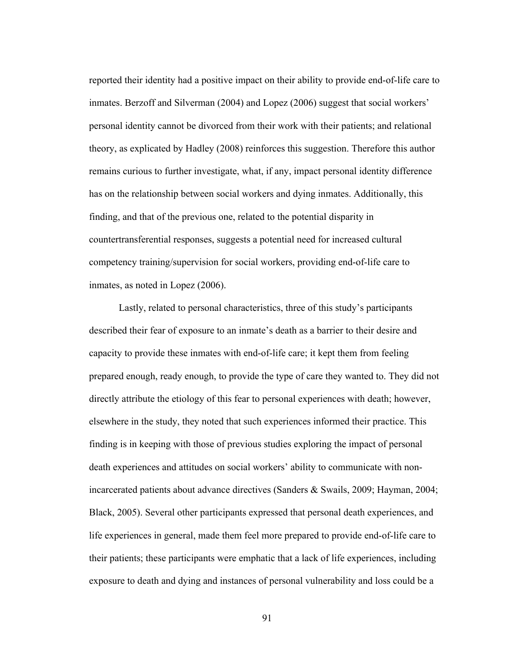reported their identity had a positive impact on their ability to provide end-of-life care to inmates. Berzoff and Silverman (2004) and Lopez (2006) suggest that social workers' personal identity cannot be divorced from their work with their patients; and relational theory, as explicated by Hadley (2008) reinforces this suggestion. Therefore this author remains curious to further investigate, what, if any, impact personal identity difference has on the relationship between social workers and dying inmates. Additionally, this finding, and that of the previous one, related to the potential disparity in countertransferential responses, suggests a potential need for increased cultural competency training/supervision for social workers, providing end-of-life care to inmates, as noted in Lopez (2006).

Lastly, related to personal characteristics, three of this study's participants described their fear of exposure to an inmate's death as a barrier to their desire and capacity to provide these inmates with end-of-life care; it kept them from feeling prepared enough, ready enough, to provide the type of care they wanted to. They did not directly attribute the etiology of this fear to personal experiences with death; however, elsewhere in the study, they noted that such experiences informed their practice. This finding is in keeping with those of previous studies exploring the impact of personal death experiences and attitudes on social workers' ability to communicate with nonincarcerated patients about advance directives (Sanders & Swails, 2009; Hayman, 2004; Black, 2005). Several other participants expressed that personal death experiences, and life experiences in general, made them feel more prepared to provide end-of-life care to their patients; these participants were emphatic that a lack of life experiences, including exposure to death and dying and instances of personal vulnerability and loss could be a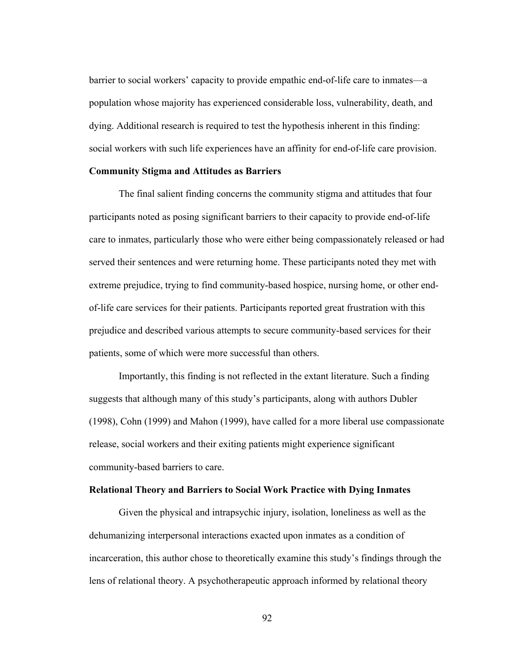barrier to social workers' capacity to provide empathic end-of-life care to inmates—a population whose majority has experienced considerable loss, vulnerability, death, and dying. Additional research is required to test the hypothesis inherent in this finding: social workers with such life experiences have an affinity for end-of-life care provision.

#### **Community Stigma and Attitudes as Barriers**

The final salient finding concerns the community stigma and attitudes that four participants noted as posing significant barriers to their capacity to provide end-of-life care to inmates, particularly those who were either being compassionately released or had served their sentences and were returning home. These participants noted they met with extreme prejudice, trying to find community-based hospice, nursing home, or other endof-life care services for their patients. Participants reported great frustration with this prejudice and described various attempts to secure community-based services for their patients, some of which were more successful than others.

Importantly, this finding is not reflected in the extant literature. Such a finding suggests that although many of this study's participants, along with authors Dubler (1998), Cohn (1999) and Mahon (1999), have called for a more liberal use compassionate release, social workers and their exiting patients might experience significant community-based barriers to care.

## **Relational Theory and Barriers to Social Work Practice with Dying Inmates**

Given the physical and intrapsychic injury, isolation, loneliness as well as the dehumanizing interpersonal interactions exacted upon inmates as a condition of incarceration, this author chose to theoretically examine this study's findings through the lens of relational theory. A psychotherapeutic approach informed by relational theory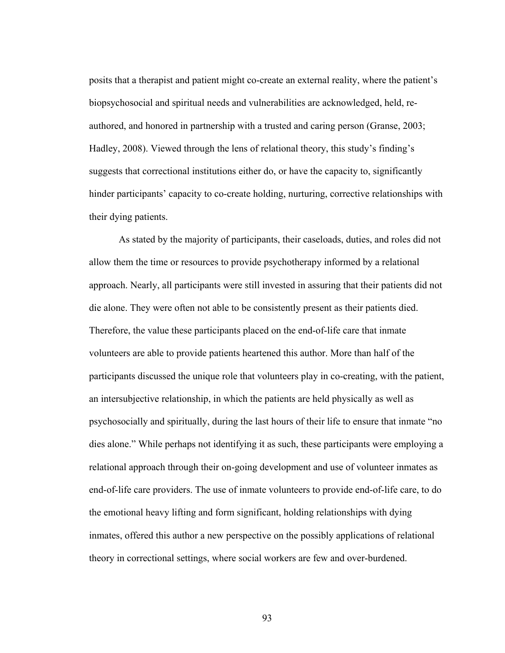posits that a therapist and patient might co-create an external reality, where the patient's biopsychosocial and spiritual needs and vulnerabilities are acknowledged, held, reauthored, and honored in partnership with a trusted and caring person (Granse, 2003; Hadley, 2008). Viewed through the lens of relational theory, this study's finding's suggests that correctional institutions either do, or have the capacity to, significantly hinder participants' capacity to co-create holding, nurturing, corrective relationships with their dying patients.

As stated by the majority of participants, their caseloads, duties, and roles did not allow them the time or resources to provide psychotherapy informed by a relational approach. Nearly, all participants were still invested in assuring that their patients did not die alone. They were often not able to be consistently present as their patients died. Therefore, the value these participants placed on the end-of-life care that inmate volunteers are able to provide patients heartened this author. More than half of the participants discussed the unique role that volunteers play in co-creating, with the patient, an intersubjective relationship, in which the patients are held physically as well as psychosocially and spiritually, during the last hours of their life to ensure that inmate "no dies alone." While perhaps not identifying it as such, these participants were employing a relational approach through their on-going development and use of volunteer inmates as end-of-life care providers. The use of inmate volunteers to provide end-of-life care, to do the emotional heavy lifting and form significant, holding relationships with dying inmates, offered this author a new perspective on the possibly applications of relational theory in correctional settings, where social workers are few and over-burdened.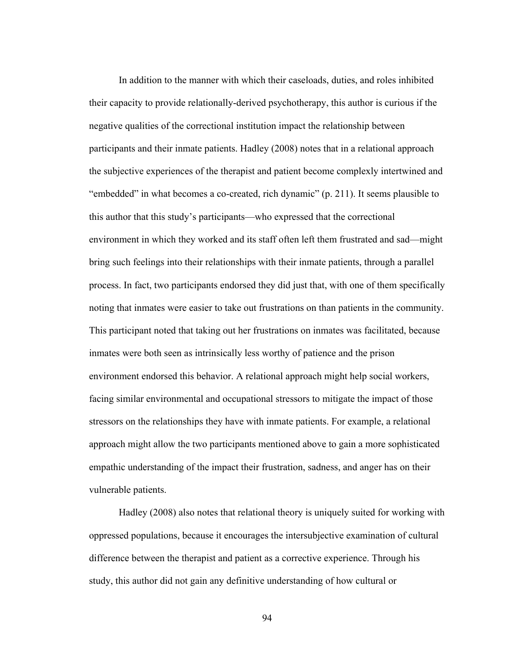In addition to the manner with which their caseloads, duties, and roles inhibited their capacity to provide relationally-derived psychotherapy, this author is curious if the negative qualities of the correctional institution impact the relationship between participants and their inmate patients. Hadley (2008) notes that in a relational approach the subjective experiences of the therapist and patient become complexly intertwined and "embedded" in what becomes a co-created, rich dynamic" (p. 211). It seems plausible to this author that this study's participants—who expressed that the correctional environment in which they worked and its staff often left them frustrated and sad—might bring such feelings into their relationships with their inmate patients, through a parallel process. In fact, two participants endorsed they did just that, with one of them specifically noting that inmates were easier to take out frustrations on than patients in the community. This participant noted that taking out her frustrations on inmates was facilitated, because inmates were both seen as intrinsically less worthy of patience and the prison environment endorsed this behavior. A relational approach might help social workers, facing similar environmental and occupational stressors to mitigate the impact of those stressors on the relationships they have with inmate patients. For example, a relational approach might allow the two participants mentioned above to gain a more sophisticated empathic understanding of the impact their frustration, sadness, and anger has on their vulnerable patients.

Hadley (2008) also notes that relational theory is uniquely suited for working with oppressed populations, because it encourages the intersubjective examination of cultural difference between the therapist and patient as a corrective experience. Through his study, this author did not gain any definitive understanding of how cultural or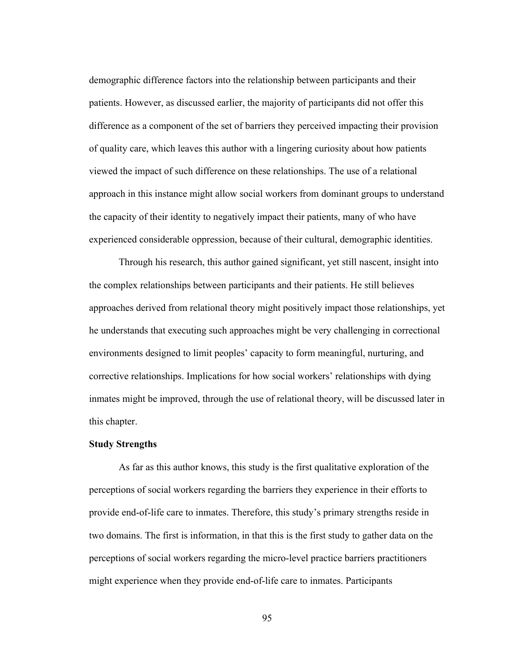demographic difference factors into the relationship between participants and their patients. However, as discussed earlier, the majority of participants did not offer this difference as a component of the set of barriers they perceived impacting their provision of quality care, which leaves this author with a lingering curiosity about how patients viewed the impact of such difference on these relationships. The use of a relational approach in this instance might allow social workers from dominant groups to understand the capacity of their identity to negatively impact their patients, many of who have experienced considerable oppression, because of their cultural, demographic identities.

Through his research, this author gained significant, yet still nascent, insight into the complex relationships between participants and their patients. He still believes approaches derived from relational theory might positively impact those relationships, yet he understands that executing such approaches might be very challenging in correctional environments designed to limit peoples' capacity to form meaningful, nurturing, and corrective relationships. Implications for how social workers' relationships with dying inmates might be improved, through the use of relational theory, will be discussed later in this chapter.

## **Study Strengths**

As far as this author knows, this study is the first qualitative exploration of the perceptions of social workers regarding the barriers they experience in their efforts to provide end-of-life care to inmates. Therefore, this study's primary strengths reside in two domains. The first is information, in that this is the first study to gather data on the perceptions of social workers regarding the micro-level practice barriers practitioners might experience when they provide end-of-life care to inmates. Participants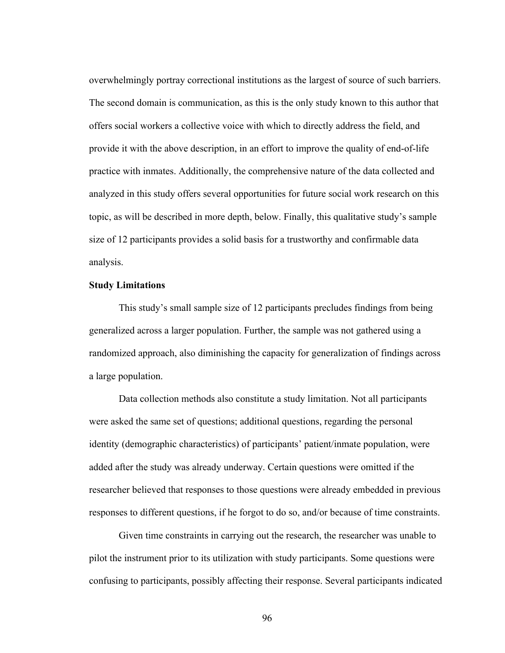overwhelmingly portray correctional institutions as the largest of source of such barriers. The second domain is communication, as this is the only study known to this author that offers social workers a collective voice with which to directly address the field, and provide it with the above description, in an effort to improve the quality of end-of-life practice with inmates. Additionally, the comprehensive nature of the data collected and analyzed in this study offers several opportunities for future social work research on this topic, as will be described in more depth, below. Finally, this qualitative study's sample size of 12 participants provides a solid basis for a trustworthy and confirmable data analysis.

# **Study Limitations**

This study's small sample size of 12 participants precludes findings from being generalized across a larger population. Further, the sample was not gathered using a randomized approach, also diminishing the capacity for generalization of findings across a large population.

Data collection methods also constitute a study limitation. Not all participants were asked the same set of questions; additional questions, regarding the personal identity (demographic characteristics) of participants' patient/inmate population, were added after the study was already underway. Certain questions were omitted if the researcher believed that responses to those questions were already embedded in previous responses to different questions, if he forgot to do so, and/or because of time constraints.

Given time constraints in carrying out the research, the researcher was unable to pilot the instrument prior to its utilization with study participants. Some questions were confusing to participants, possibly affecting their response. Several participants indicated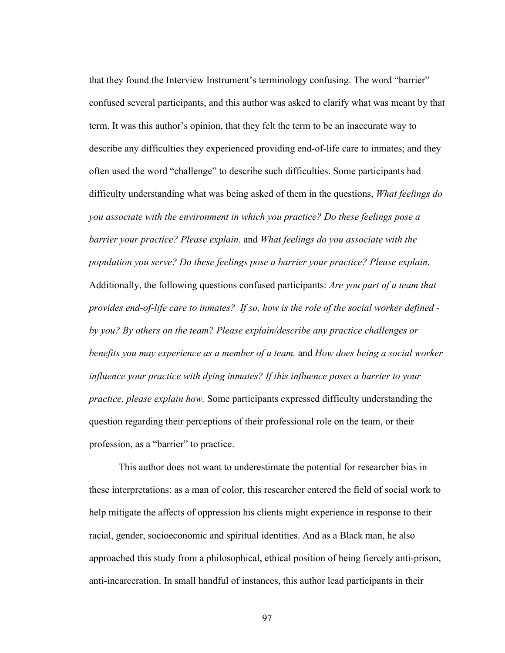that they found the Interview Instrument's terminology confusing. The word "barrier" confused several participants, and this author was asked to clarify what was meant by that term. It was this author's opinion, that they felt the term to be an inaccurate way to describe any difficulties they experienced providing end-of-life care to inmates; and they often used the word "challenge" to describe such difficulties. Some participants had difficulty understanding what was being asked of them in the questions, *What feelings do you associate with the environment in which you practice? Do these feelings pose a barrier your practice? Please explain.* and *What feelings do you associate with the population you serve? Do these feelings pose a barrier your practice? Please explain.* Additionally, the following questions confused participants: *Are you part of a team that provides end-of-life care to inmates? If so, how is the role of the social worker defined by you? By others on the team? Please explain/describe any practice challenges or benefits you may experience as a member of a team.* and *How does being a social worker influence your practice with dying inmates? If this influence poses a barrier to your practice, please explain how.* Some participants expressed difficulty understanding the question regarding their perceptions of their professional role on the team, or their profession, as a "barrier" to practice.

This author does not want to underestimate the potential for researcher bias in these interpretations: as a man of color, this researcher entered the field of social work to help mitigate the affects of oppression his clients might experience in response to their racial, gender, socioeconomic and spiritual identities. And as a Black man, he also approached this study from a philosophical, ethical position of being fiercely anti-prison, anti-incarceration. In small handful of instances, this author lead participants in their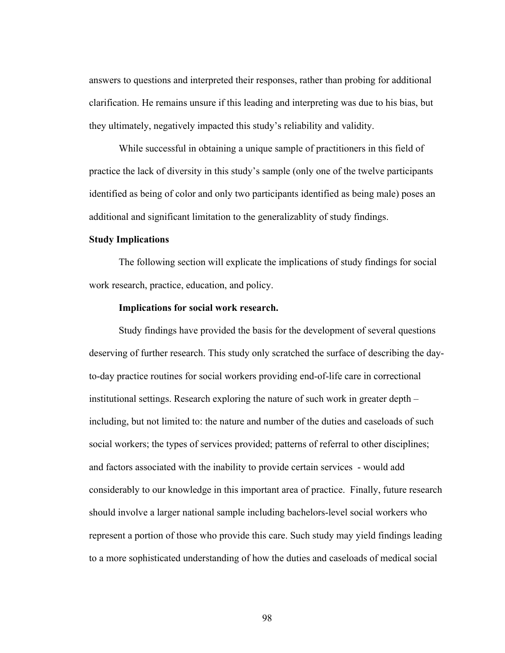answers to questions and interpreted their responses, rather than probing for additional clarification. He remains unsure if this leading and interpreting was due to his bias, but they ultimately, negatively impacted this study's reliability and validity.

While successful in obtaining a unique sample of practitioners in this field of practice the lack of diversity in this study's sample (only one of the twelve participants identified as being of color and only two participants identified as being male) poses an additional and significant limitation to the generalizablity of study findings.

#### **Study Implications**

The following section will explicate the implications of study findings for social work research, practice, education, and policy.

## **Implications for social work research.**

Study findings have provided the basis for the development of several questions deserving of further research. This study only scratched the surface of describing the dayto-day practice routines for social workers providing end-of-life care in correctional institutional settings. Research exploring the nature of such work in greater depth – including, but not limited to: the nature and number of the duties and caseloads of such social workers; the types of services provided; patterns of referral to other disciplines; and factors associated with the inability to provide certain services - would add considerably to our knowledge in this important area of practice. Finally, future research should involve a larger national sample including bachelors-level social workers who represent a portion of those who provide this care. Such study may yield findings leading to a more sophisticated understanding of how the duties and caseloads of medical social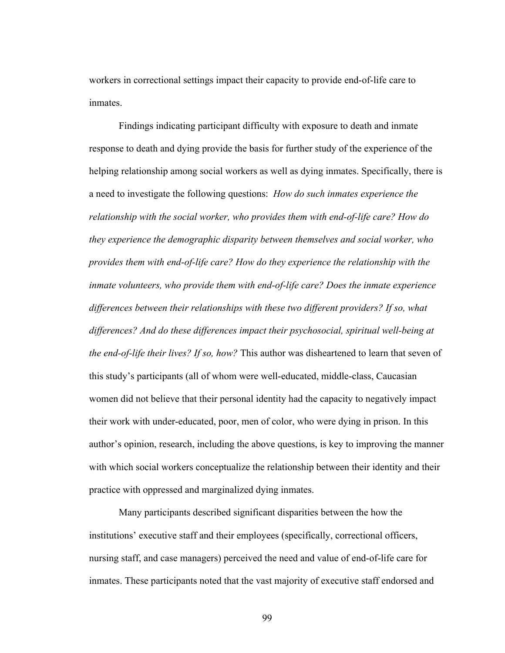workers in correctional settings impact their capacity to provide end-of-life care to inmates.

Findings indicating participant difficulty with exposure to death and inmate response to death and dying provide the basis for further study of the experience of the helping relationship among social workers as well as dying inmates. Specifically, there is a need to investigate the following questions: *How do such inmates experience the relationship with the social worker, who provides them with end-of-life care? How do they experience the demographic disparity between themselves and social worker, who provides them with end-of-life care? How do they experience the relationship with the inmate volunteers, who provide them with end-of-life care? Does the inmate experience differences between their relationships with these two different providers? If so, what differences? And do these differences impact their psychosocial, spiritual well-being at the end-of-life their lives? If so, how?* This author was disheartened to learn that seven of this study's participants (all of whom were well-educated, middle-class, Caucasian women did not believe that their personal identity had the capacity to negatively impact their work with under-educated, poor, men of color, who were dying in prison. In this author's opinion, research, including the above questions, is key to improving the manner with which social workers conceptualize the relationship between their identity and their practice with oppressed and marginalized dying inmates.

Many participants described significant disparities between the how the institutions' executive staff and their employees (specifically, correctional officers, nursing staff, and case managers) perceived the need and value of end-of-life care for inmates. These participants noted that the vast majority of executive staff endorsed and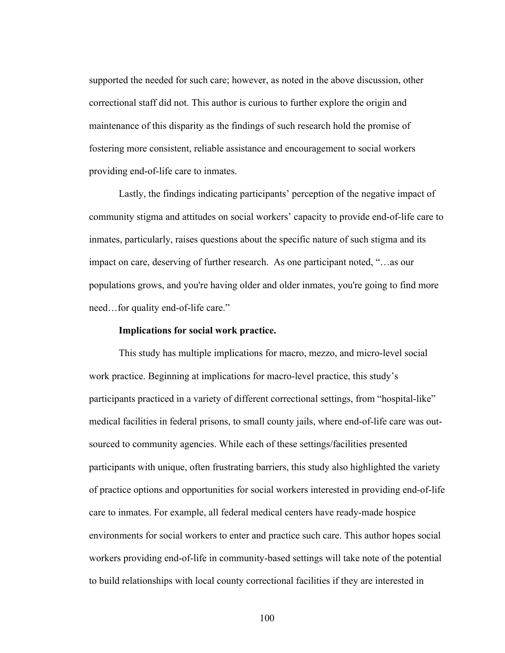supported the needed for such care; however, as noted in the above discussion, other correctional staff did not. This author is curious to further explore the origin and maintenance of this disparity as the findings of such research hold the promise of fostering more consistent, reliable assistance and encouragement to social workers providing end-of-life care to inmates.

Lastly, the findings indicating participants' perception of the negative impact of community stigma and attitudes on social workers' capacity to provide end-of-life care to inmates, particularly, raises questions about the specific nature of such stigma and its impact on care, deserving of further research. As one participant noted, "…as our populations grows, and you're having older and older inmates, you're going to find more need…for quality end-of-life care."

## **Implications for social work practice.**

This study has multiple implications for macro, mezzo, and micro-level social work practice. Beginning at implications for macro-level practice, this study's participants practiced in a variety of different correctional settings, from "hospital-like" medical facilities in federal prisons, to small county jails, where end-of-life care was outsourced to community agencies. While each of these settings/facilities presented participants with unique, often frustrating barriers, this study also highlighted the variety of practice options and opportunities for social workers interested in providing end-of-life care to inmates. For example, all federal medical centers have ready-made hospice environments for social workers to enter and practice such care. This author hopes social workers providing end-of-life in community-based settings will take note of the potential to build relationships with local county correctional facilities if they are interested in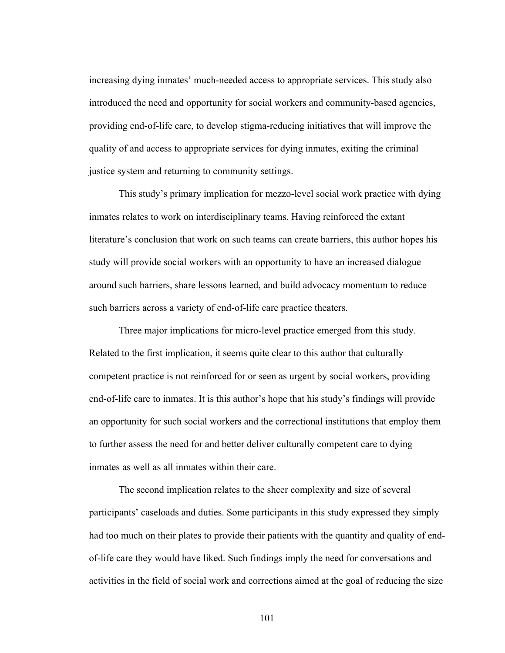increasing dying inmates' much-needed access to appropriate services. This study also introduced the need and opportunity for social workers and community-based agencies, providing end-of-life care, to develop stigma-reducing initiatives that will improve the quality of and access to appropriate services for dying inmates, exiting the criminal justice system and returning to community settings.

This study's primary implication for mezzo-level social work practice with dying inmates relates to work on interdisciplinary teams. Having reinforced the extant literature's conclusion that work on such teams can create barriers, this author hopes his study will provide social workers with an opportunity to have an increased dialogue around such barriers, share lessons learned, and build advocacy momentum to reduce such barriers across a variety of end-of-life care practice theaters.

Three major implications for micro-level practice emerged from this study. Related to the first implication, it seems quite clear to this author that culturally competent practice is not reinforced for or seen as urgent by social workers, providing end-of-life care to inmates. It is this author's hope that his study's findings will provide an opportunity for such social workers and the correctional institutions that employ them to further assess the need for and better deliver culturally competent care to dying inmates as well as all inmates within their care.

The second implication relates to the sheer complexity and size of several participants' caseloads and duties. Some participants in this study expressed they simply had too much on their plates to provide their patients with the quantity and quality of endof-life care they would have liked. Such findings imply the need for conversations and activities in the field of social work and corrections aimed at the goal of reducing the size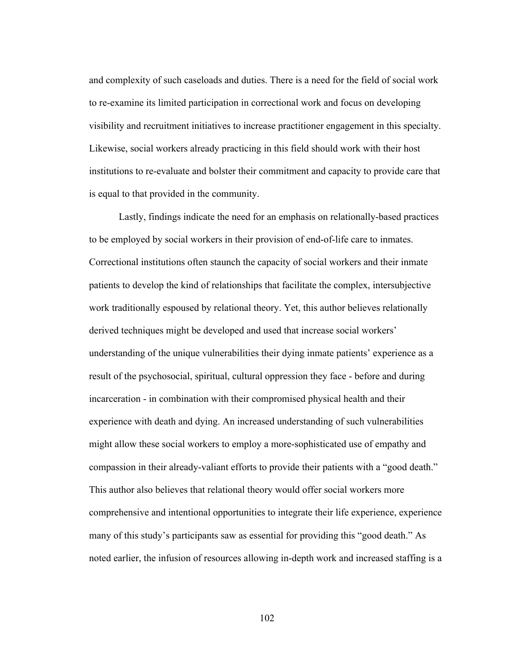and complexity of such caseloads and duties. There is a need for the field of social work to re-examine its limited participation in correctional work and focus on developing visibility and recruitment initiatives to increase practitioner engagement in this specialty. Likewise, social workers already practicing in this field should work with their host institutions to re-evaluate and bolster their commitment and capacity to provide care that is equal to that provided in the community.

Lastly, findings indicate the need for an emphasis on relationally-based practices to be employed by social workers in their provision of end-of-life care to inmates. Correctional institutions often staunch the capacity of social workers and their inmate patients to develop the kind of relationships that facilitate the complex, intersubjective work traditionally espoused by relational theory. Yet, this author believes relationally derived techniques might be developed and used that increase social workers' understanding of the unique vulnerabilities their dying inmate patients' experience as a result of the psychosocial, spiritual, cultural oppression they face - before and during incarceration - in combination with their compromised physical health and their experience with death and dying. An increased understanding of such vulnerabilities might allow these social workers to employ a more-sophisticated use of empathy and compassion in their already-valiant efforts to provide their patients with a "good death." This author also believes that relational theory would offer social workers more comprehensive and intentional opportunities to integrate their life experience, experience many of this study's participants saw as essential for providing this "good death." As noted earlier, the infusion of resources allowing in-depth work and increased staffing is a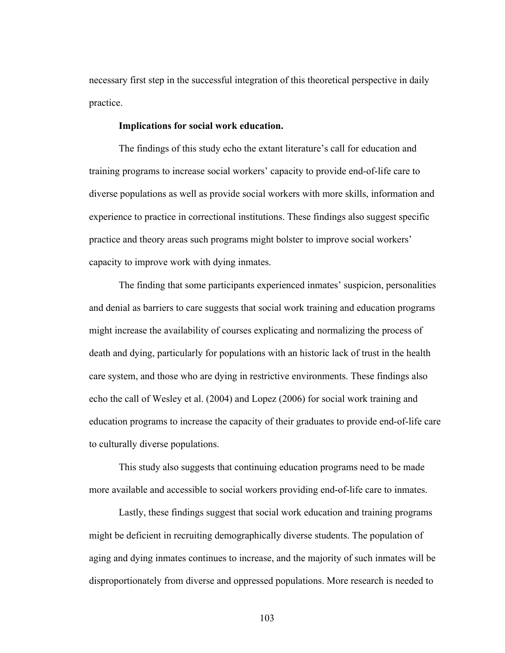necessary first step in the successful integration of this theoretical perspective in daily practice.

#### **Implications for social work education.**

The findings of this study echo the extant literature's call for education and training programs to increase social workers' capacity to provide end-of-life care to diverse populations as well as provide social workers with more skills, information and experience to practice in correctional institutions. These findings also suggest specific practice and theory areas such programs might bolster to improve social workers' capacity to improve work with dying inmates.

The finding that some participants experienced inmates' suspicion, personalities and denial as barriers to care suggests that social work training and education programs might increase the availability of courses explicating and normalizing the process of death and dying, particularly for populations with an historic lack of trust in the health care system, and those who are dying in restrictive environments. These findings also echo the call of Wesley et al. (2004) and Lopez (2006) for social work training and education programs to increase the capacity of their graduates to provide end-of-life care to culturally diverse populations.

This study also suggests that continuing education programs need to be made more available and accessible to social workers providing end-of-life care to inmates.

Lastly, these findings suggest that social work education and training programs might be deficient in recruiting demographically diverse students. The population of aging and dying inmates continues to increase, and the majority of such inmates will be disproportionately from diverse and oppressed populations. More research is needed to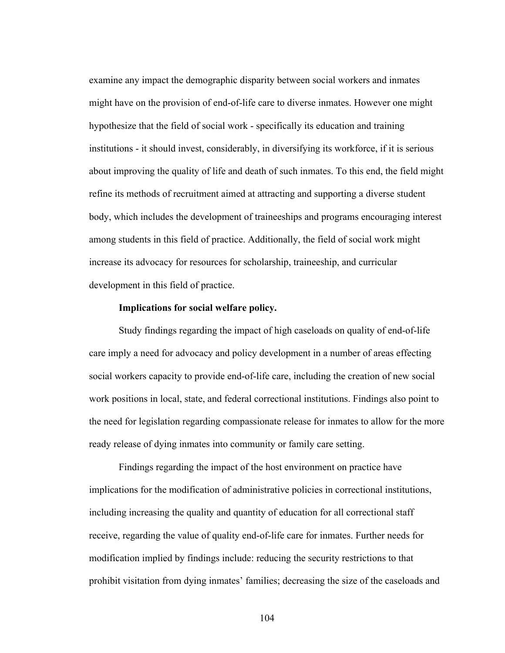examine any impact the demographic disparity between social workers and inmates might have on the provision of end-of-life care to diverse inmates. However one might hypothesize that the field of social work - specifically its education and training institutions - it should invest, considerably, in diversifying its workforce, if it is serious about improving the quality of life and death of such inmates. To this end, the field might refine its methods of recruitment aimed at attracting and supporting a diverse student body, which includes the development of traineeships and programs encouraging interest among students in this field of practice. Additionally, the field of social work might increase its advocacy for resources for scholarship, traineeship, and curricular development in this field of practice.

### **Implications for social welfare policy.**

Study findings regarding the impact of high caseloads on quality of end-of-life care imply a need for advocacy and policy development in a number of areas effecting social workers capacity to provide end-of-life care, including the creation of new social work positions in local, state, and federal correctional institutions. Findings also point to the need for legislation regarding compassionate release for inmates to allow for the more ready release of dying inmates into community or family care setting.

Findings regarding the impact of the host environment on practice have implications for the modification of administrative policies in correctional institutions, including increasing the quality and quantity of education for all correctional staff receive, regarding the value of quality end-of-life care for inmates. Further needs for modification implied by findings include: reducing the security restrictions to that prohibit visitation from dying inmates' families; decreasing the size of the caseloads and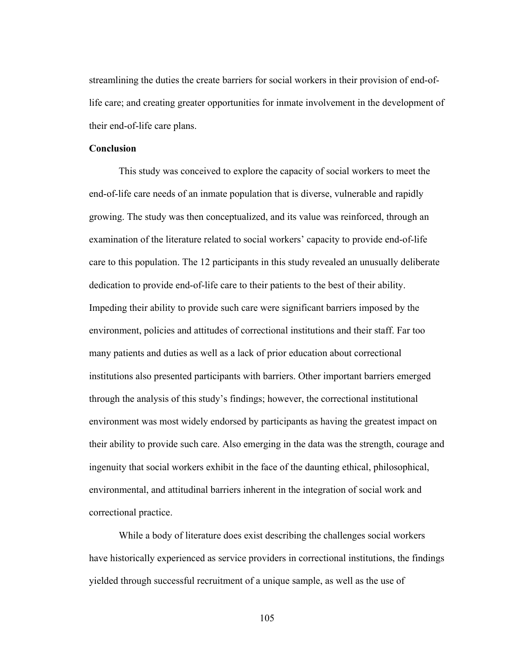streamlining the duties the create barriers for social workers in their provision of end-oflife care; and creating greater opportunities for inmate involvement in the development of their end-of-life care plans.

#### **Conclusion**

This study was conceived to explore the capacity of social workers to meet the end-of-life care needs of an inmate population that is diverse, vulnerable and rapidly growing. The study was then conceptualized, and its value was reinforced, through an examination of the literature related to social workers' capacity to provide end-of-life care to this population. The 12 participants in this study revealed an unusually deliberate dedication to provide end-of-life care to their patients to the best of their ability. Impeding their ability to provide such care were significant barriers imposed by the environment, policies and attitudes of correctional institutions and their staff. Far too many patients and duties as well as a lack of prior education about correctional institutions also presented participants with barriers. Other important barriers emerged through the analysis of this study's findings; however, the correctional institutional environment was most widely endorsed by participants as having the greatest impact on their ability to provide such care. Also emerging in the data was the strength, courage and ingenuity that social workers exhibit in the face of the daunting ethical, philosophical, environmental, and attitudinal barriers inherent in the integration of social work and correctional practice.

While a body of literature does exist describing the challenges social workers have historically experienced as service providers in correctional institutions, the findings yielded through successful recruitment of a unique sample, as well as the use of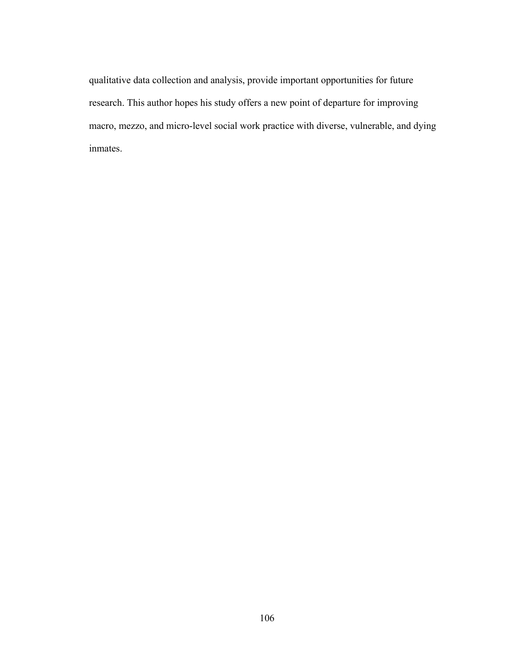qualitative data collection and analysis, provide important opportunities for future research. This author hopes his study offers a new point of departure for improving macro, mezzo, and micro-level social work practice with diverse, vulnerable, and dying inmates.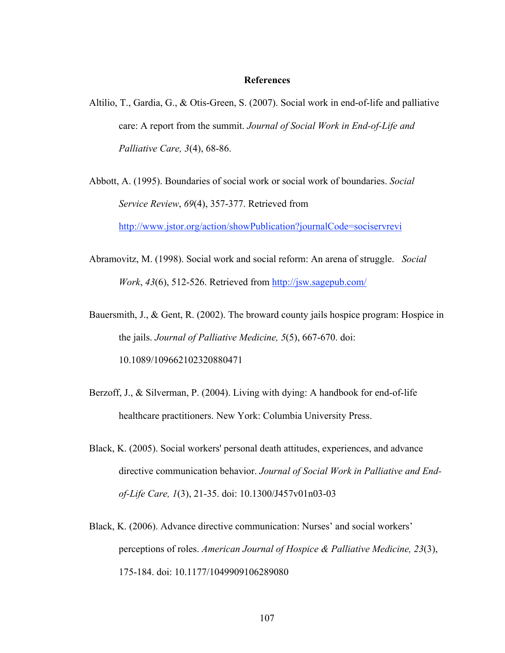### **References**

- Altilio, T., Gardia, G., & Otis-Green, S. (2007). Social work in end-of-life and palliative care: A report from the summit. *Journal of Social Work in End-of-Life and Palliative Care, 3*(4), 68-86.
- Abbott, A. (1995). Boundaries of social work or social work of boundaries. *Social Service Review*, *69*(4), 357-377. Retrieved from http://www.jstor.org/action/showPublication?journalCode=sociservrevi
- Abramovitz, M. (1998). Social work and social reform: An arena of struggle. *Social Work*, *43*(6), 512-526. Retrieved from http://jsw.sagepub.com/
- Bauersmith, J., & Gent, R. (2002). The broward county jails hospice program: Hospice in the jails. *Journal of Palliative Medicine, 5*(5), 667-670. doi: 10.1089/109662102320880471
- Berzoff, J., & Silverman, P. (2004). Living with dying: A handbook for end-of-life healthcare practitioners. New York: Columbia University Press.
- Black, K. (2005). Social workers' personal death attitudes, experiences, and advance directive communication behavior. *Journal of Social Work in Palliative and Endof-Life Care, 1*(3), 21-35. doi: 10.1300/J457v01n03-03
- Black, K. (2006). Advance directive communication: Nurses' and social workers' perceptions of roles. *American Journal of Hospice & Palliative Medicine, 23*(3), 175-184. doi: 10.1177/1049909106289080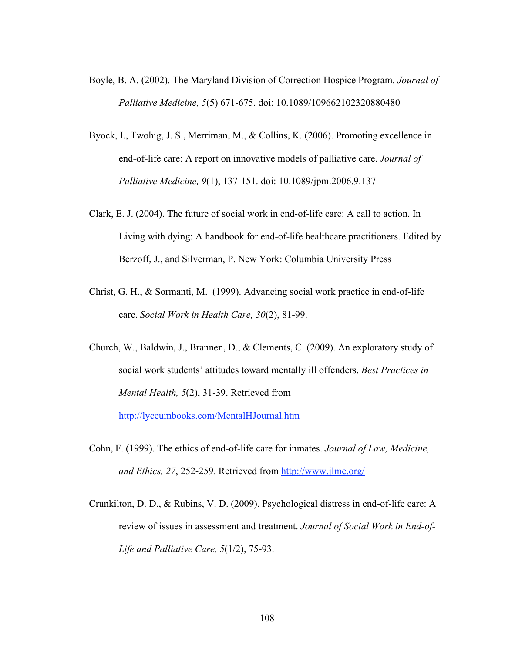- Boyle, B. A. (2002). The Maryland Division of Correction Hospice Program. *Journal of Palliative Medicine, 5*(5) 671-675. doi: 10.1089/109662102320880480
- Byock, I., Twohig, J. S., Merriman, M., & Collins, K. (2006). Promoting excellence in end-of-life care: A report on innovative models of palliative care. *Journal of Palliative Medicine, 9*(1), 137-151. doi: 10.1089/jpm.2006.9.137
- Clark, E. J. (2004). The future of social work in end-of-life care: A call to action. In Living with dying: A handbook for end-of-life healthcare practitioners. Edited by Berzoff, J., and Silverman, P. New York: Columbia University Press
- Christ, G. H., & Sormanti, M. (1999). Advancing social work practice in end-of-life care. *Social Work in Health Care, 30*(2), 81-99.
- Church, W., Baldwin, J., Brannen, D., & Clements, C. (2009). An exploratory study of social work students' attitudes toward mentally ill offenders. *Best Practices in Mental Health, 5*(2), 31-39. Retrieved from http://lyceumbooks.com/MentalHJournal.htm
- Cohn, F. (1999). The ethics of end-of-life care for inmates. *Journal of Law, Medicine, and Ethics, 27*, 252-259. Retrieved from http://www.jlme.org/
- Crunkilton, D. D., & Rubins, V. D. (2009). Psychological distress in end-of-life care: A review of issues in assessment and treatment. *Journal of Social Work in End-of-Life and Palliative Care, 5*(1/2), 75-93.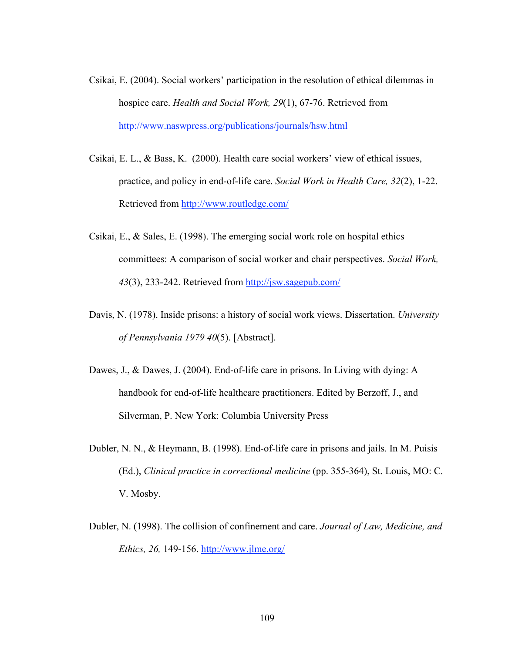- Csikai, E. (2004). Social workers' participation in the resolution of ethical dilemmas in hospice care. *Health and Social Work, 29*(1), 67-76. Retrieved from http://www.naswpress.org/publications/journals/hsw.html
- Csikai, E. L., & Bass, K. (2000). Health care social workers' view of ethical issues, practice, and policy in end-of-life care. *Social Work in Health Care, 32*(2), 1-22. Retrieved from http://www.routledge.com/
- Csikai, E., & Sales, E. (1998). The emerging social work role on hospital ethics committees: A comparison of social worker and chair perspectives. *Social Work, 43*(3), 233-242. Retrieved from http://jsw.sagepub.com/
- Davis, N. (1978). Inside prisons: a history of social work views. Dissertation. *University of Pennsylvania 1979 40*(5). [Abstract].
- Dawes, J., & Dawes, J. (2004). End-of-life care in prisons. In Living with dying: A handbook for end-of-life healthcare practitioners. Edited by Berzoff, J., and Silverman, P. New York: Columbia University Press
- Dubler, N. N., & Heymann, B. (1998). End-of-life care in prisons and jails. In M. Puisis (Ed.), *Clinical practice in correctional medicine* (pp. 355-364), St. Louis, MO: C. V. Mosby.
- Dubler, N. (1998). The collision of confinement and care. *Journal of Law, Medicine, and Ethics, 26,* 149-156. http://www.jlme.org/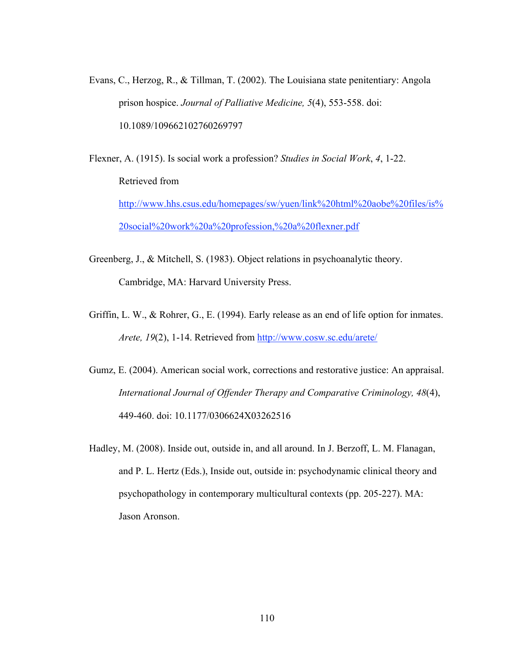Evans, C., Herzog, R., & Tillman, T. (2002). The Louisiana state penitentiary: Angola prison hospice. *Journal of Palliative Medicine, 5*(4), 553-558. doi: 10.1089/109662102760269797

Flexner, A. (1915). Is social work a profession? *Studies in Social Work*, *4*, 1-22. Retrieved from http://www.hhs.csus.edu/homepages/sw/yuen/link%20html%20aobe%20files/is% 20social%20work%20a%20profession,%20a%20flexner.pdf

- Greenberg, J., & Mitchell, S. (1983). Object relations in psychoanalytic theory. Cambridge, MA: Harvard University Press.
- Griffin, L. W., & Rohrer, G., E. (1994). Early release as an end of life option for inmates. *Arete, 19*(2), 1-14. Retrieved from http://www.cosw.sc.edu/arete/
- Gumz, E. (2004). American social work, corrections and restorative justice: An appraisal. *International Journal of Offender Therapy and Comparative Criminology, 48*(4), 449-460. doi: 10.1177/0306624X03262516
- Hadley, M. (2008). Inside out, outside in, and all around. In J. Berzoff, L. M. Flanagan, and P. L. Hertz (Eds.), Inside out, outside in: psychodynamic clinical theory and psychopathology in contemporary multicultural contexts (pp. 205-227). MA: Jason Aronson.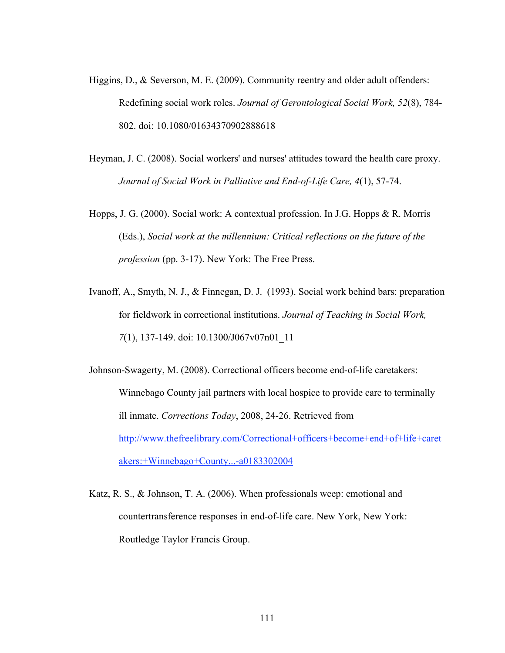- Higgins, D., & Severson, M. E. (2009). Community reentry and older adult offenders: Redefining social work roles. *Journal of Gerontological Social Work, 52*(8), 784- 802. doi: 10.1080/01634370902888618
- Heyman, J. C. (2008). Social workers' and nurses' attitudes toward the health care proxy. *Journal of Social Work in Palliative and End-of-Life Care, 4*(1), 57-74.
- Hopps, J. G. (2000). Social work: A contextual profession. In J.G. Hopps & R. Morris (Eds.), *Social work at the millennium: Critical reflections on the future of the profession* (pp. 3-17). New York: The Free Press.
- Ivanoff, A., Smyth, N. J., & Finnegan, D. J. (1993). Social work behind bars: preparation for fieldwork in correctional institutions. *Journal of Teaching in Social Work, 7*(1), 137-149. doi: 10.1300/J067v07n01\_11
- Johnson-Swagerty, M. (2008). Correctional officers become end-of-life caretakers: Winnebago County jail partners with local hospice to provide care to terminally ill inmate. *Corrections Today*, 2008, 24-26. Retrieved from http://www.thefreelibrary.com/Correctional+officers+become+end+of+life+caret akers:+Winnebago+County...-a0183302004
- Katz, R. S., & Johnson, T. A. (2006). When professionals weep: emotional and countertransference responses in end-of-life care. New York, New York: Routledge Taylor Francis Group.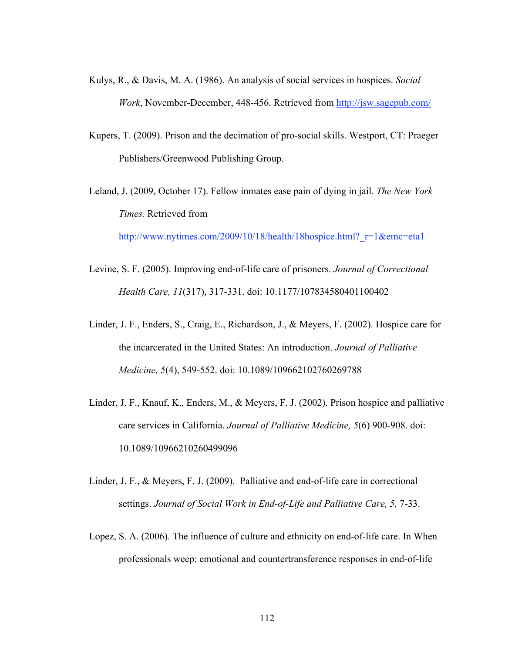- Kulys, R., & Davis, M. A. (1986). An analysis of social services in hospices. *Social Work*, November-December, 448-456. Retrieved from http://jsw.sagepub.com/
- Kupers, T. (2009). Prison and the decimation of pro-social skills. Westport, CT: Praeger Publishers/Greenwood Publishing Group.
- Leland, J. (2009, October 17). Fellow inmates ease pain of dying in jail. *The New York Times.* Retrieved from

http://www.nytimes.com/2009/10/18/health/18hospice.html? r=1&emc=eta1

- Levine, S. F. (2005). Improving end-of-life care of prisoners. *Journal of Correctional Health Care, 11*(317), 317-331. doi: 10.1177/107834580401100402
- Linder, J. F., Enders, S., Craig, E., Richardson, J., & Meyers, F. (2002). Hospice care for the incarcerated in the United States: An introduction. *Journal of Palliative Medicine, 5*(4), 549-552. doi: 10.1089/109662102760269788
- Linder, J. F., Knauf, K., Enders, M., & Meyers, F. J. (2002). Prison hospice and palliative care services in California. *Journal of Palliative Medicine, 5*(6) 900-908. doi: 10.1089/10966210260499096
- Linder, J. F., & Meyers, F. J. (2009). Palliative and end-of-life care in correctional settings. *Journal of Social Work in End-of-Life and Palliative Care, 5,* 7-33.
- Lopez, S. A. (2006). The influence of culture and ethnicity on end-of-life care. In When professionals weep: emotional and countertransference responses in end-of-life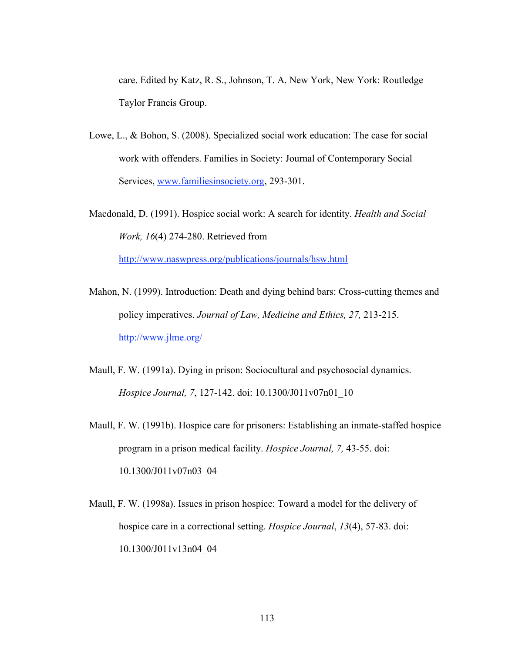care. Edited by Katz, R. S., Johnson, T. A. New York, New York: Routledge Taylor Francis Group.

- Lowe, L., & Bohon, S. (2008). Specialized social work education: The case for social work with offenders. Families in Society: Journal of Contemporary Social Services, www.familiesinsociety.org, 293-301.
- Macdonald, D. (1991). Hospice social work: A search for identity. *Health and Social Work, 16*(4) 274-280. Retrieved from

http://www.naswpress.org/publications/journals/hsw.html

- Mahon, N. (1999). Introduction: Death and dying behind bars: Cross-cutting themes and policy imperatives. *Journal of Law, Medicine and Ethics, 27,* 213-215. http://www.jlme.org/
- Maull, F. W. (1991a). Dying in prison: Sociocultural and psychosocial dynamics. *Hospice Journal, 7*, 127-142. doi: 10.1300/J011v07n01\_10
- Maull, F. W. (1991b). Hospice care for prisoners: Establishing an inmate-staffed hospice program in a prison medical facility. *Hospice Journal, 7,* 43-55. doi: 10.1300/J011v07n03\_04
- Maull, F. W. (1998a). Issues in prison hospice: Toward a model for the delivery of hospice care in a correctional setting. *Hospice Journal*, *13*(4), 57-83. doi: 10.1300/J011v13n04\_04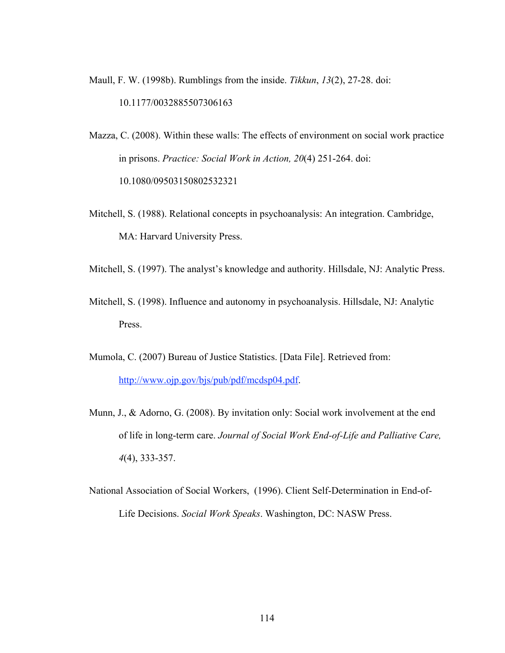- Maull, F. W. (1998b). Rumblings from the inside. *Tikkun*, *13*(2), 27-28. doi: 10.1177/0032885507306163
- Mazza, C. (2008). Within these walls: The effects of environment on social work practice in prisons. *Practice: Social Work in Action, 20*(4) 251-264. doi: 10.1080/09503150802532321
- Mitchell, S. (1988). Relational concepts in psychoanalysis: An integration. Cambridge, MA: Harvard University Press.
- Mitchell, S. (1997). The analyst's knowledge and authority. Hillsdale, NJ: Analytic Press.
- Mitchell, S. (1998). Influence and autonomy in psychoanalysis. Hillsdale, NJ: Analytic Press.
- Mumola, C. (2007) Bureau of Justice Statistics. [Data File]. Retrieved from: http://www.ojp.gov/bjs/pub/pdf/mcdsp04.pdf.
- Munn, J., & Adorno, G. (2008). By invitation only: Social work involvement at the end of life in long-term care. *Journal of Social Work End-of-Life and Palliative Care, 4*(4), 333-357.
- National Association of Social Workers, (1996). Client Self-Determination in End-of-Life Decisions. *Social Work Speaks*. Washington, DC: NASW Press.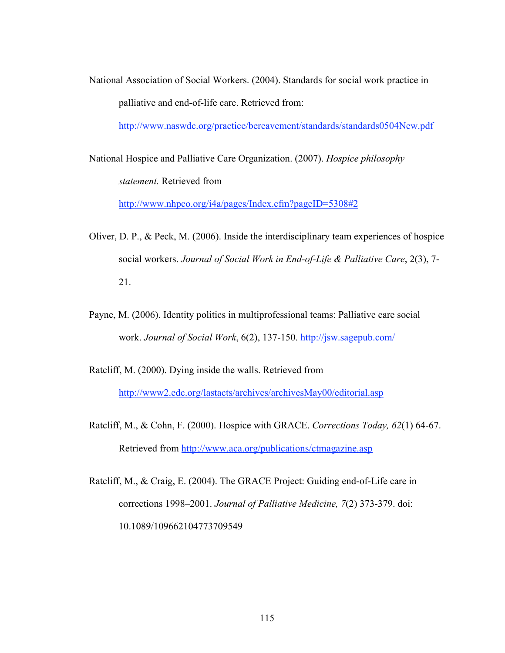National Association of Social Workers. (2004). Standards for social work practice in palliative and end-of-life care. Retrieved from:

http://www.naswdc.org/practice/bereavement/standards/standards0504New.pdf

- National Hospice and Palliative Care Organization. (2007). *Hospice philosophy statement.* Retrieved from http://www.nhpco.org/i4a/pages/Index.cfm?pageID=5308#2
- Oliver, D. P., & Peck, M. (2006). Inside the interdisciplinary team experiences of hospice social workers. *Journal of Social Work in End-of-Life & Palliative Care*, 2(3), 7- 21.
- Payne, M. (2006). Identity politics in multiprofessional teams: Palliative care social work. *Journal of Social Work*, 6(2), 137-150. http://jsw.sagepub.com/

Ratcliff, M. (2000). Dying inside the walls. Retrieved from

http://www2.edc.org/lastacts/archives/archivesMay00/editorial.asp

- Ratcliff, M., & Cohn, F. (2000). Hospice with GRACE. *Corrections Today, 62*(1) 64-67. Retrieved from http://www.aca.org/publications/ctmagazine.asp
- Ratcliff, M., & Craig, E. (2004). The GRACE Project: Guiding end-of-Life care in corrections 1998–2001. *Journal of Palliative Medicine, 7*(2) 373-379. doi: 10.1089/109662104773709549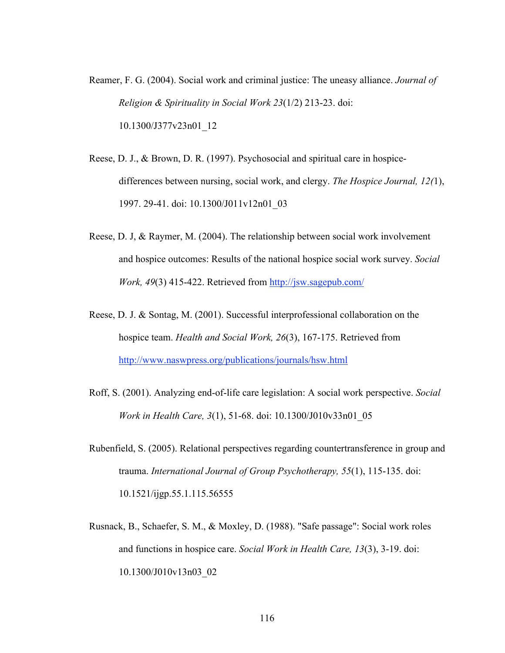- Reamer, F. G. (2004). Social work and criminal justice: The uneasy alliance. *Journal of Religion & Spirituality in Social Work 23*(1/2) 213-23. doi: 10.1300/J377v23n01\_12
- Reese, D. J., & Brown, D. R. (1997). Psychosocial and spiritual care in hospicedifferences between nursing, social work, and clergy. *The Hospice Journal, 12(*1), 1997. 29-41. doi: 10.1300/J011v12n01\_03
- Reese, D. J, & Raymer, M. (2004). The relationship between social work involvement and hospice outcomes: Results of the national hospice social work survey. *Social Work, 49*(3) 415-422. Retrieved from http://jsw.sagepub.com/
- Reese, D. J. & Sontag, M. (2001). Successful interprofessional collaboration on the hospice team. *Health and Social Work, 26*(3), 167-175. Retrieved from http://www.naswpress.org/publications/journals/hsw.html
- Roff, S. (2001). Analyzing end-of-life care legislation: A social work perspective. *Social Work in Health Care, 3*(1), 51-68. doi: 10.1300/J010v33n01\_05
- Rubenfield, S. (2005). Relational perspectives regarding countertransference in group and trauma. *International Journal of Group Psychotherapy, 55*(1), 115-135. doi: 10.1521/ijgp.55.1.115.56555
- Rusnack, B., Schaefer, S. M., & Moxley, D. (1988). "Safe passage": Social work roles and functions in hospice care. *Social Work in Health Care, 13*(3), 3-19. doi: 10.1300/J010v13n03\_02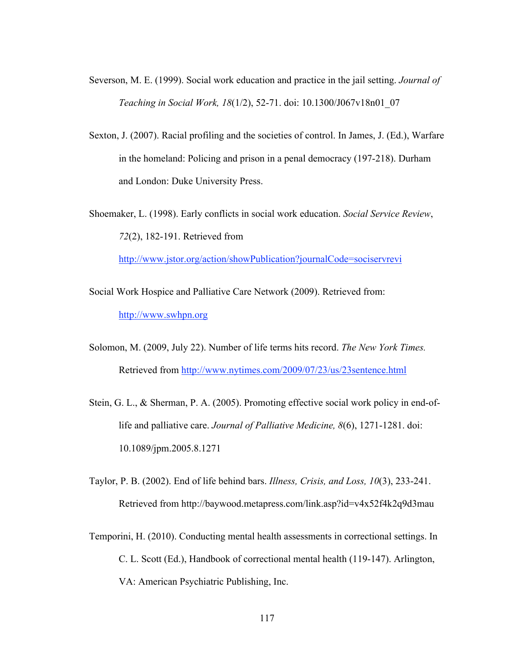- Severson, M. E. (1999). Social work education and practice in the jail setting. *Journal of Teaching in Social Work, 18*(1/2), 52-71. doi: 10.1300/J067v18n01\_07
- Sexton, J. (2007). Racial profiling and the societies of control. In James, J. (Ed.), Warfare in the homeland: Policing and prison in a penal democracy (197-218). Durham and London: Duke University Press.
- Shoemaker, L. (1998). Early conflicts in social work education. *Social Service Review*, *72*(2), 182-191. Retrieved from

http://www.jstor.org/action/showPublication?journalCode=sociservrevi

- Social Work Hospice and Palliative Care Network (2009). Retrieved from: http://www.swhpn.org
- Solomon, M. (2009, July 22). Number of life terms hits record. *The New York Times.* Retrieved from http://www.nytimes.com/2009/07/23/us/23sentence.html
- Stein, G. L., & Sherman, P. A. (2005). Promoting effective social work policy in end-oflife and palliative care. *Journal of Palliative Medicine, 8*(6), 1271-1281. doi: 10.1089/jpm.2005.8.1271
- Taylor, P. B. (2002). End of life behind bars. *Illness, Crisis, and Loss, 10*(3), 233-241. Retrieved from http://baywood.metapress.com/link.asp?id=v4x52f4k2q9d3mau
- Temporini, H. (2010). Conducting mental health assessments in correctional settings. In C. L. Scott (Ed.), Handbook of correctional mental health (119-147). Arlington, VA: American Psychiatric Publishing, Inc.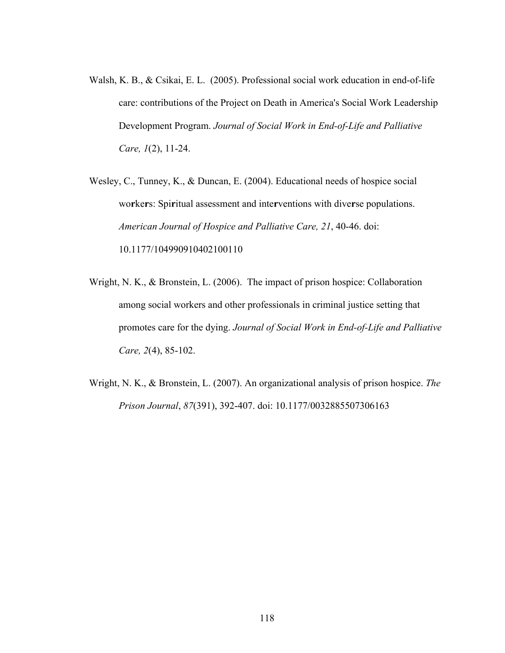- Walsh, K. B., & Csikai, E. L. (2005). Professional social work education in end-of-life care: contributions of the Project on Death in America's Social Work Leadership Development Program. *Journal of Social Work in End-of-Life and Palliative Care, 1*(2), 11-24.
- Wesley, C., Tunney, K., & Duncan, E. (2004). Educational needs of hospice social wo**r**ke**r**s: Spi**r**itual assessment and inte**r**ventions with dive**r**se populations. *American Journal of Hospice and Palliative Care, 21*, 40-46. doi: 10.1177/104990910402100110
- Wright, N. K., & Bronstein, L. (2006). The impact of prison hospice: Collaboration among social workers and other professionals in criminal justice setting that promotes care for the dying. *Journal of Social Work in End-of-Life and Palliative Care, 2*(4), 85-102.
- Wright, N. K., & Bronstein, L. (2007). An organizational analysis of prison hospice. *The Prison Journal*, *87*(391), 392-407. doi: 10.1177/0032885507306163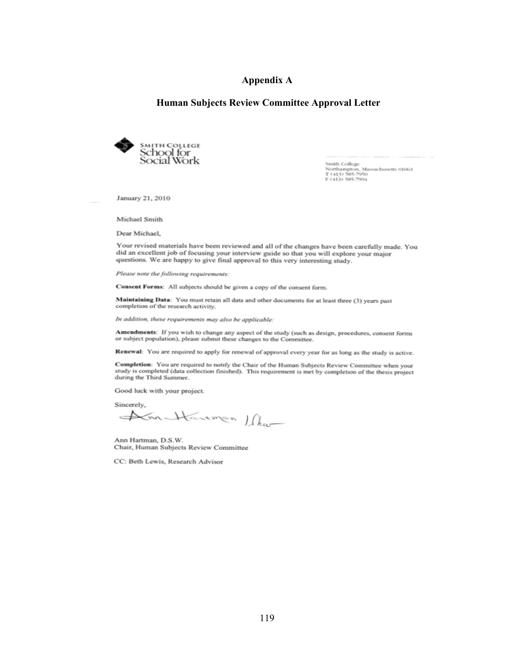#### **Appendix A**

#### **Human Subjects Review Committee Approval Letter**



Smith College<br>Northampton, Massachusetts 01063<br>T (413) 585-7950<br>F (413) 585-7994

January 21, 2010

Michael Smith

Dear Michael.

Your revised materials have been reviewed and all of the changes have been carefully made. You did an excellent job of focusing your interview guide so that you will explore your major questions. We are happy to give final approval to this very interesting study.

Please note the following requirements:

Consent Forms: All subjects should be given a copy of the consent form.

Maintaining Data: You must retain all data and other documents for at least three (3) years past completion of the research activity.

In addition, these requirements may also be applicable:

Amendments: If you wish to change any aspect of the study (such as design, procedures, consent forms or subject population), please submit these changes to the Committee.

Renewal: You are required to apply for renewal of approval every year for as long as the study is active.

Completion: You are required to notify the Chair of the Human Subjects Review Committee when your study is completed (data collection finished). This requirement is met by completion of the thesis project during the Third Summer.

Good luck with your project.

Sincerely,

Din-Harmon Dhu

Ann Hartman, D.S.W. Chair, Human Subjects Review Committee

CC: Beth Lewis, Research Advisor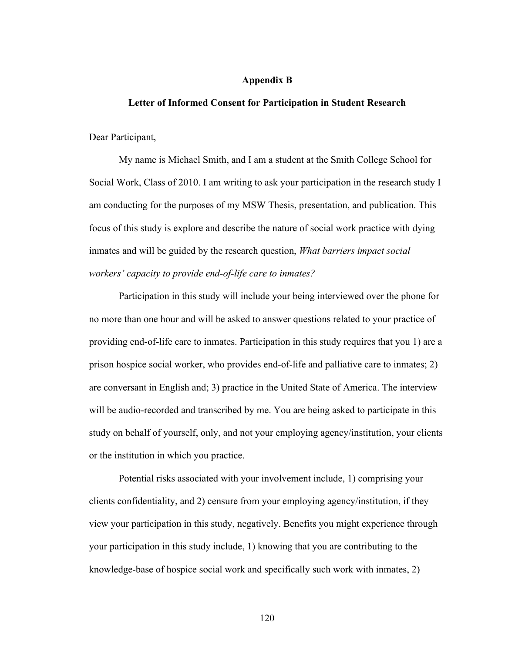#### **Appendix B**

#### **Letter of Informed Consent for Participation in Student Research**

Dear Participant,

My name is Michael Smith, and I am a student at the Smith College School for Social Work, Class of 2010. I am writing to ask your participation in the research study I am conducting for the purposes of my MSW Thesis, presentation, and publication. This focus of this study is explore and describe the nature of social work practice with dying inmates and will be guided by the research question, *What barriers impact social workers' capacity to provide end-of-life care to inmates?*

Participation in this study will include your being interviewed over the phone for no more than one hour and will be asked to answer questions related to your practice of providing end-of-life care to inmates. Participation in this study requires that you 1) are a prison hospice social worker, who provides end-of-life and palliative care to inmates; 2) are conversant in English and; 3) practice in the United State of America. The interview will be audio-recorded and transcribed by me. You are being asked to participate in this study on behalf of yourself, only, and not your employing agency/institution, your clients or the institution in which you practice.

Potential risks associated with your involvement include, 1) comprising your clients confidentiality, and 2) censure from your employing agency/institution, if they view your participation in this study, negatively. Benefits you might experience through your participation in this study include, 1) knowing that you are contributing to the knowledge-base of hospice social work and specifically such work with inmates, 2)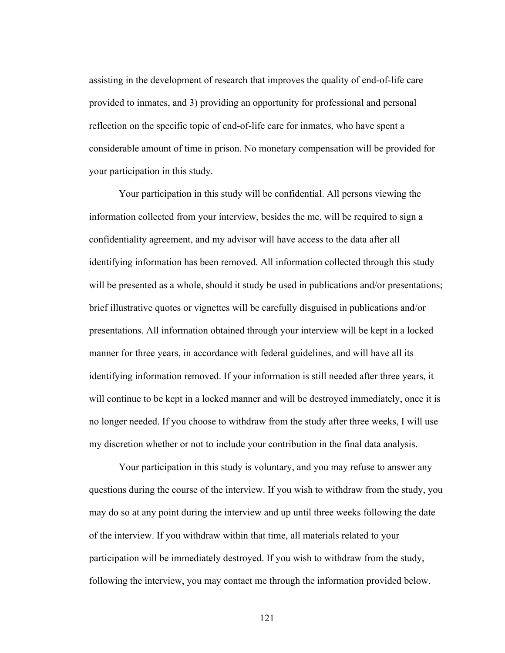assisting in the development of research that improves the quality of end-of-life care provided to inmates, and 3) providing an opportunity for professional and personal reflection on the specific topic of end-of-life care for inmates, who have spent a considerable amount of time in prison. No monetary compensation will be provided for your participation in this study.

Your participation in this study will be confidential. All persons viewing the information collected from your interview, besides the me, will be required to sign a confidentiality agreement, and my advisor will have access to the data after all identifying information has been removed. All information collected through this study will be presented as a whole, should it study be used in publications and/or presentations; brief illustrative quotes or vignettes will be carefully disguised in publications and/or presentations. All information obtained through your interview will be kept in a locked manner for three years, in accordance with federal guidelines, and will have all its identifying information removed. If your information is still needed after three years, it will continue to be kept in a locked manner and will be destroyed immediately, once it is no longer needed. If you choose to withdraw from the study after three weeks, I will use my discretion whether or not to include your contribution in the final data analysis.

Your participation in this study is voluntary, and you may refuse to answer any questions during the course of the interview. If you wish to withdraw from the study, you may do so at any point during the interview and up until three weeks following the date of the interview. If you withdraw within that time, all materials related to your participation will be immediately destroyed. If you wish to withdraw from the study, following the interview, you may contact me through the information provided below.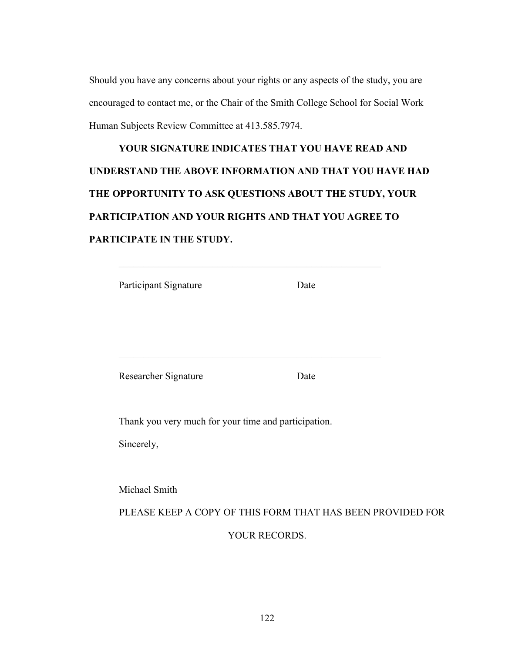Should you have any concerns about your rights or any aspects of the study, you are encouraged to contact me, or the Chair of the Smith College School for Social Work Human Subjects Review Committee at 413.585.7974.

**YOUR SIGNATURE INDICATES THAT YOU HAVE READ AND UNDERSTAND THE ABOVE INFORMATION AND THAT YOU HAVE HAD THE OPPORTUNITY TO ASK QUESTIONS ABOUT THE STUDY, YOUR PARTICIPATION AND YOUR RIGHTS AND THAT YOU AGREE TO PARTICIPATE IN THE STUDY.**

 $\mathcal{L}_\text{max}$  and the contract of the contract of the contract of the contract of the contract of the contract of the contract of the contract of the contract of the contract of the contract of the contract of the contrac

Participant Signature Date  $\mathcal{L}_\text{max}$  , and the contract of the contract of the contract of the contract of the contract of the contract of the contract of the contract of the contract of the contract of the contract of the contract of the contr Researcher Signature Date

Thank you very much for your time and participation.

Sincerely,

Michael Smith

PLEASE KEEP A COPY OF THIS FORM THAT HAS BEEN PROVIDED FOR

YOUR RECORDS.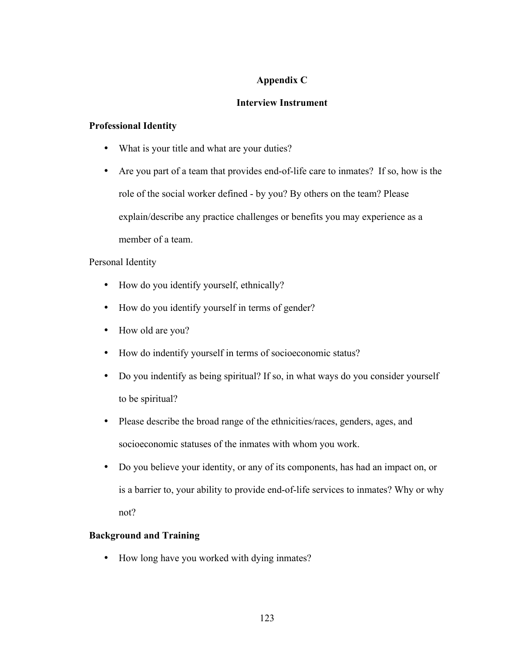# **Appendix C**

## **Interview Instrument**

## **Professional Identity**

- What is your title and what are your duties?
- Are you part of a team that provides end-of-life care to inmates? If so, how is the role of the social worker defined - by you? By others on the team? Please explain/describe any practice challenges or benefits you may experience as a member of a team.

# Personal Identity

- How do you identify yourself, ethnically?
- How do you identify yourself in terms of gender?
- How old are you?
- How do indentify yourself in terms of socioeconomic status?
- Do you indentify as being spiritual? If so, in what ways do you consider yourself to be spiritual?
- Please describe the broad range of the ethnicities/races, genders, ages, and socioeconomic statuses of the inmates with whom you work.
- Do you believe your identity, or any of its components, has had an impact on, or is a barrier to, your ability to provide end-of-life services to inmates? Why or why not?

# **Background and Training**

• How long have you worked with dying inmates?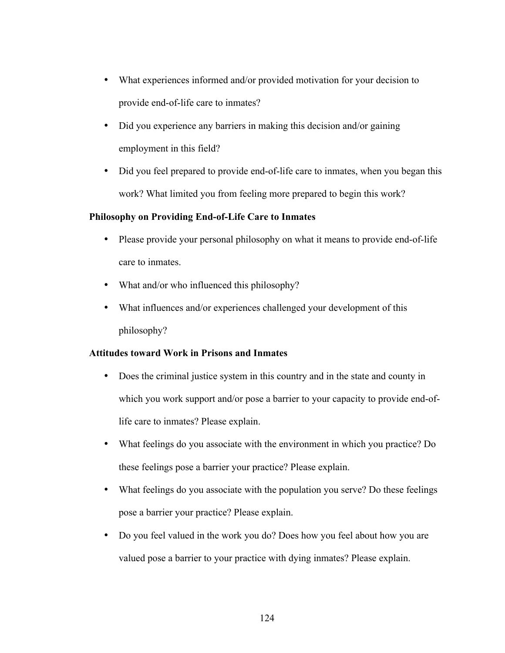- What experiences informed and/or provided motivation for your decision to provide end-of-life care to inmates?
- Did you experience any barriers in making this decision and/or gaining employment in this field?
- Did you feel prepared to provide end-of-life care to inmates, when you began this work? What limited you from feeling more prepared to begin this work?

# **Philosophy on Providing End-of-Life Care to Inmates**

- Please provide your personal philosophy on what it means to provide end-of-life care to inmates.
- What and/or who influenced this philosophy?
- What influences and/or experiences challenged your development of this philosophy?

# **Attitudes toward Work in Prisons and Inmates**

- Does the criminal justice system in this country and in the state and county in which you work support and/or pose a barrier to your capacity to provide end-oflife care to inmates? Please explain.
- What feelings do you associate with the environment in which you practice? Do these feelings pose a barrier your practice? Please explain.
- What feelings do you associate with the population you serve? Do these feelings pose a barrier your practice? Please explain.
- Do you feel valued in the work you do? Does how you feel about how you are valued pose a barrier to your practice with dying inmates? Please explain.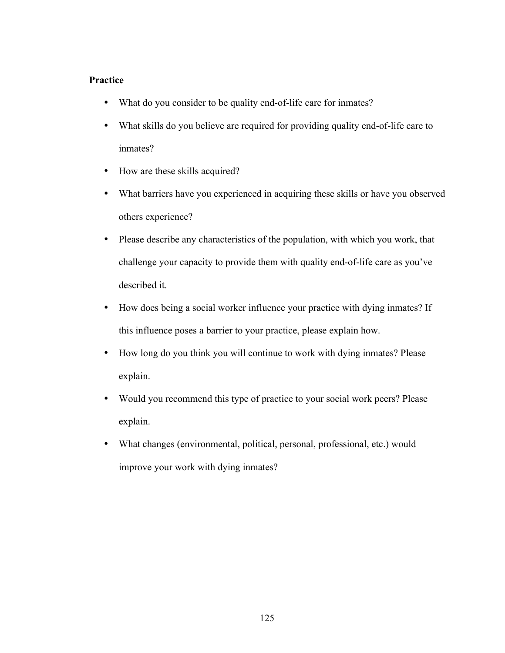## **Practice**

- What do you consider to be quality end-of-life care for inmates?
- What skills do you believe are required for providing quality end-of-life care to inmates?
- How are these skills acquired?
- What barriers have you experienced in acquiring these skills or have you observed others experience?
- Please describe any characteristics of the population, with which you work, that challenge your capacity to provide them with quality end-of-life care as you've described it.
- How does being a social worker influence your practice with dying inmates? If this influence poses a barrier to your practice, please explain how.
- How long do you think you will continue to work with dying inmates? Please explain.
- Would you recommend this type of practice to your social work peers? Please explain.
- What changes (environmental, political, personal, professional, etc.) would improve your work with dying inmates?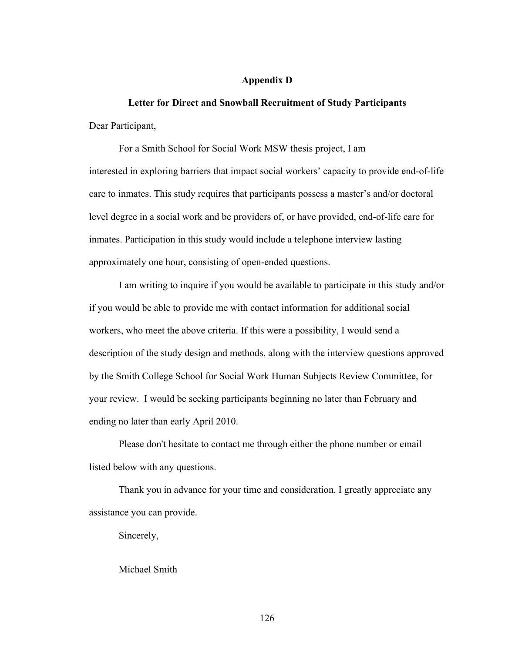### **Appendix D**

**Letter for Direct and Snowball Recruitment of Study Participants** Dear Participant,

For a Smith School for Social Work MSW thesis project, I am interested in exploring barriers that impact social workers' capacity to provide end-of-life care to inmates. This study requires that participants possess a master's and/or doctoral level degree in a social work and be providers of, or have provided, end-of-life care for inmates. Participation in this study would include a telephone interview lasting approximately one hour, consisting of open-ended questions.

I am writing to inquire if you would be available to participate in this study and/or if you would be able to provide me with contact information for additional social workers, who meet the above criteria. If this were a possibility, I would send a description of the study design and methods, along with the interview questions approved by the Smith College School for Social Work Human Subjects Review Committee, for your review. I would be seeking participants beginning no later than February and ending no later than early April 2010.

Please don't hesitate to contact me through either the phone number or email listed below with any questions.

Thank you in advance for your time and consideration. I greatly appreciate any assistance you can provide.

Sincerely,

Michael Smith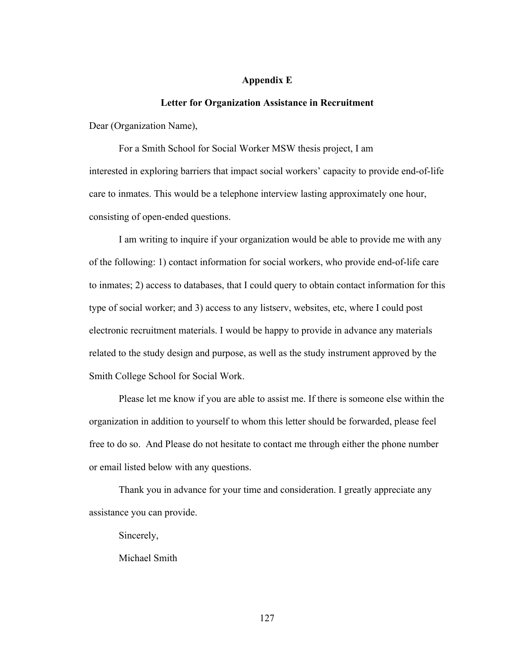### **Appendix E**

#### **Letter for Organization Assistance in Recruitment**

Dear (Organization Name),

For a Smith School for Social Worker MSW thesis project, I am interested in exploring barriers that impact social workers' capacity to provide end-of-life care to inmates. This would be a telephone interview lasting approximately one hour, consisting of open-ended questions.

I am writing to inquire if your organization would be able to provide me with any of the following: 1) contact information for social workers, who provide end-of-life care to inmates; 2) access to databases, that I could query to obtain contact information for this type of social worker; and 3) access to any listserv, websites, etc, where I could post electronic recruitment materials. I would be happy to provide in advance any materials related to the study design and purpose, as well as the study instrument approved by the Smith College School for Social Work.

Please let me know if you are able to assist me. If there is someone else within the organization in addition to yourself to whom this letter should be forwarded, please feel free to do so. And Please do not hesitate to contact me through either the phone number or email listed below with any questions.

Thank you in advance for your time and consideration. I greatly appreciate any assistance you can provide.

Sincerely,

Michael Smith